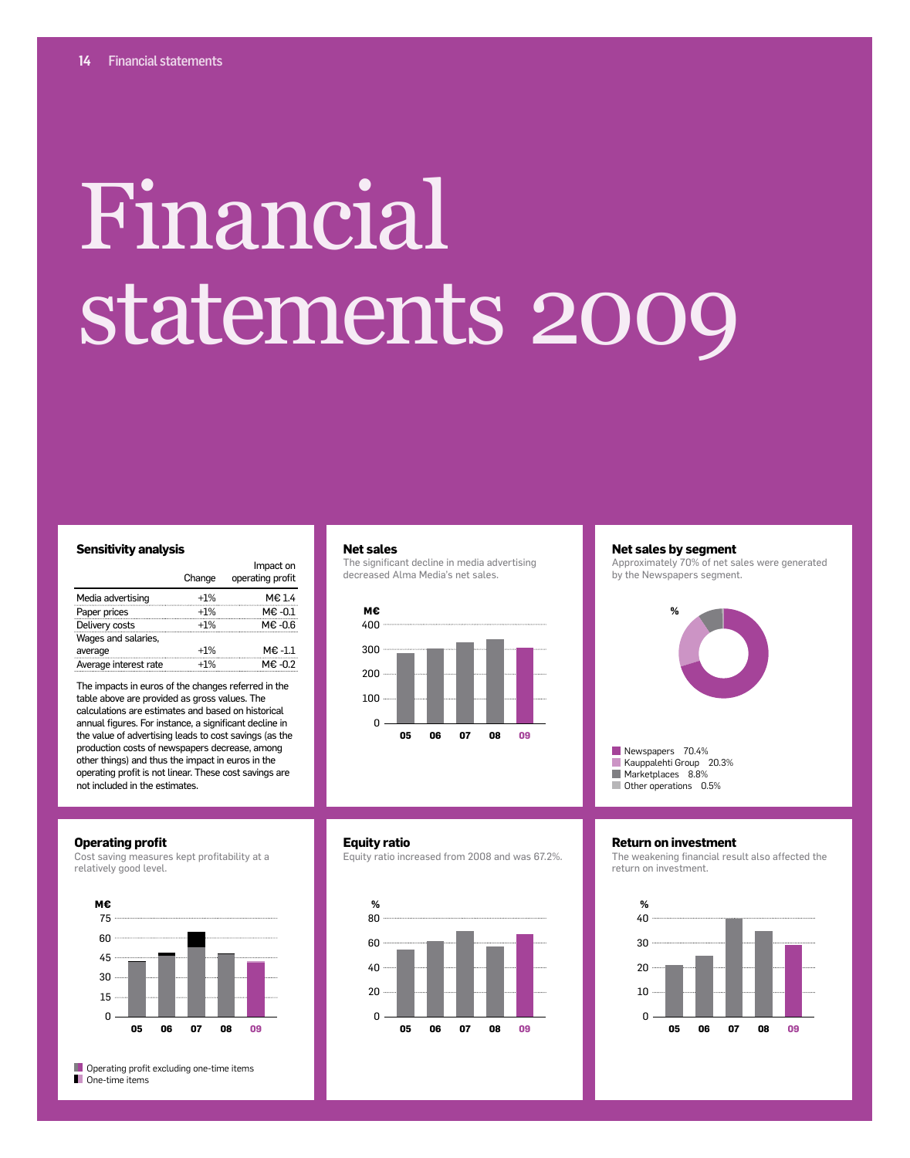# Financial statements 2009

#### **Sensitivity analysis**

|                       | Change | Impact on<br>operating profit |
|-----------------------|--------|-------------------------------|
| Media advertising     | $+1%$  | M€ 1.4                        |
| Paper prices          | $+1%$  | $ME -0.1$                     |
| Delivery costs        | $+1%$  | M€-0.6                        |
| Wages and salaries,   |        |                               |
| average               | $+1%$  | M€-1.1                        |
| Average interest rate | $+1%$  | M€-0.2                        |
|                       |        |                               |

The impacts in euros of the changes referred in the table above are provided as gross values. The calculations are estimates and based on historical annual figures. For instance, a significant decline in the value of advertising leads to cost savings (as the production costs of newspapers decrease, among other things) and thus the impact in euros in the operating profit is not linear. These cost savings are not included in the estimates.

#### **Operating profit**

Cost saving measures kept profitability at a relatively good level.



**Operating profit excluding one-time items One-time items** 

#### **Net sales**

**Equity ratio**

**%**

The significant decline in media advertising decreased Alma Media's net sales.



Equity ratio increased from 2008 and was 67.2%.

**05 06 07 08 09**

#### **Net sales by segment** Approximately 70% of net sales were generated

by the Newspapers segment.



Newspapers 70.4% Kauppalehti Group 20.3% Marketplaces 8.8% Other operations 0.5%

#### **Return on investment**

The weakening financial result also affected the return on investment.

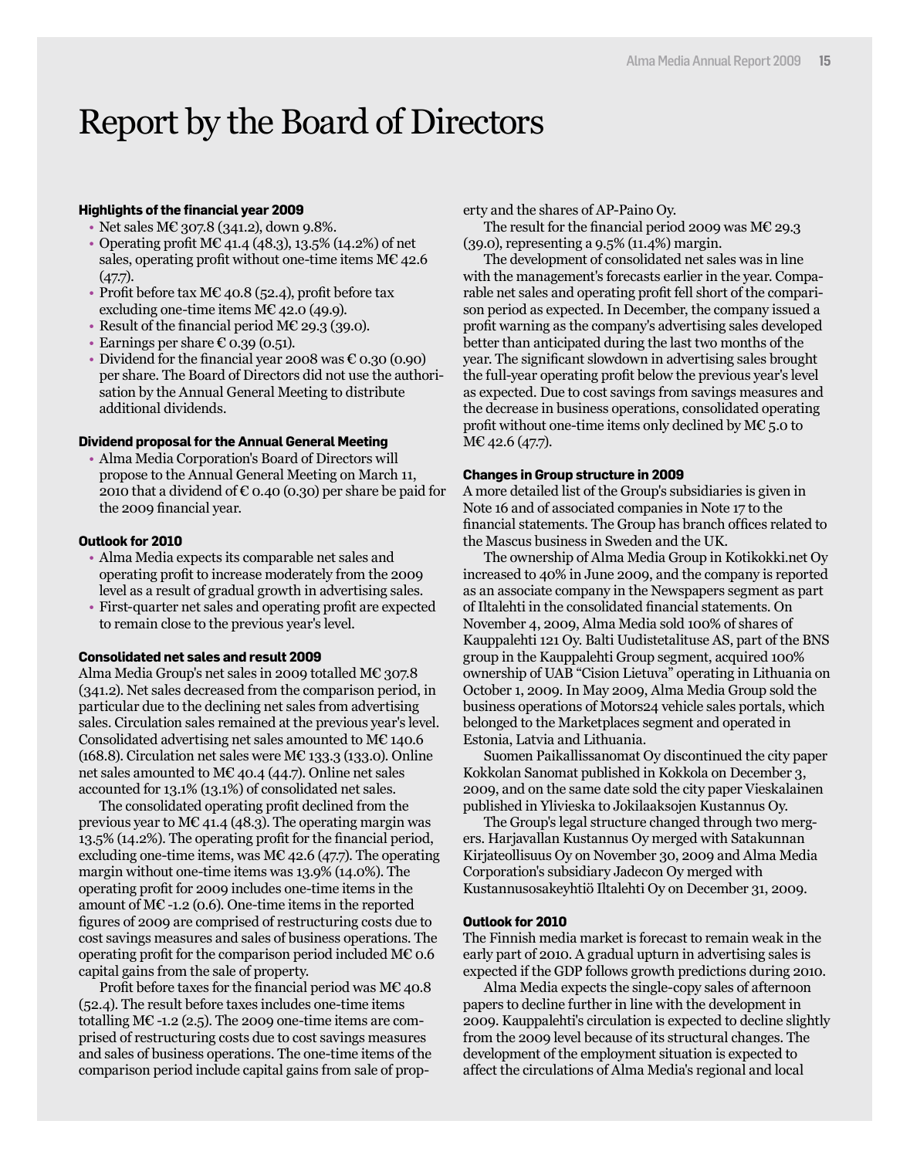### Report by the Board of Directors

#### **Highlights of the financial year 2009**

- Net sales M€ 307.8 (341.2), down 9.8%.
- Operating profit  $M\mathcal{C}$  41.4 (48.3), 13.5% (14.2%) of net sales, operating profit without one-time items  $M\mathcal{E}$  42.6  $(47.7)$ .
- Profit before tax M€ 40.8 (52.4), profit before tax excluding one-time items  $M\mathcal{C}$  42.0 (49.9).
- Result of the financial period M€ 29.3 (39.0).
- Earnings per share  $\epsilon$  0.39 (0.51).
- Dividend for the financial year 2008 was  $\epsilon$  0.30 (0.90) per share. The Board of Directors did not use the authorisation by the Annual General Meeting to distribute additional dividends.

#### **Dividend proposal for the Annual General Meeting**

• Alma Media Corporation's Board of Directors will propose to the Annual General Meeting on March 11, 2010 that a dividend of  $\epsilon$  0.40 (0.30) per share be paid for the 2009 financial year.

#### **Outlook for 2010**

- Alma Media expects its comparable net sales and operating profit to increase moderately from the 2009 level as a result of gradual growth in advertising sales.
- First-quarter net sales and operating profit are expected to remain close to the previous year's level.

#### **Consolidated net sales and result 2009**

Alma Media Group's net sales in 2009 totalled M€ 307.8 (341.2). Net sales decreased from the comparison period, in particular due to the declining net sales from advertising sales. Circulation sales remained at the previous year's level. Consolidated advertising net sales amounted to M€ 140.6 (168.8). Circulation net sales were M $\epsilon$  133.3 (133.0). Online net sales amounted to M€ 40.4 (44.7). Online net sales accounted for 13.1% (13.1%) of consolidated net sales.

The consolidated operating profit declined from the previous year to M€ 41.4 (48.3). The operating margin was 13.5% (14.2%). The operating profit for the financial period, excluding one-time items, was M€ 42.6 (47.7). The operating margin without one-time items was 13.9% (14.0%). The operating profit for 2009 includes one-time items in the amount of M $\epsilon$ -1.2 (0.6). One-time items in the reported figures of 2009 are comprised of restructuring costs due to cost savings measures and sales of business operations. The operating profit for the comparison period included  $M\epsilon$  0.6 capital gains from the sale of property.

Profit before taxes for the financial period was  $ME$  40.8 (52.4). The result before taxes includes one-time items totalling M $\epsilon$ -1.2 (2.5). The 2009 one-time items are comprised of restructuring costs due to cost savings measures and sales of business operations. The one-time items of the comparison period include capital gains from sale of property and the shares of AP-Paino Oy.

The result for the financial period 2009 was  $ME 29.3$ (39.0), representing a 9.5% (11.4%) margin.

The development of consolidated net sales was in line with the management's forecasts earlier in the year. Comparable net sales and operating profit fell short of the comparison period as expected. In December, the company issued a profit warning as the company's advertising sales developed better than anticipated during the last two months of the year. The significant slowdown in advertising sales brought the full-year operating profit below the previous year's level as expected. Due to cost savings from savings measures and the decrease in business operations, consolidated operating profit without one-time items only declined by M€ 5.0 to M€ 42.6 (47.7).

#### **Changes in Group structure in 2009**

A more detailed list of the Group's subsidiaries is given in Note 16 and of associated companies in Note 17 to the financial statements. The Group has branch offices related to the Mascus business in Sweden and the UK.

The ownership of Alma Media Group in Kotikokki.net Oy increased to 40% in June 2009, and the company is reported as an associate company in the Newspapers segment as part of Iltalehti in the consolidated financial statements. On November 4, 2009, Alma Media sold 100% of shares of Kauppalehti 121 Oy. Balti Uudistetalituse AS, part of the BNS group in the Kauppalehti Group segment, acquired 100% ownership of UAB "Cision Lietuva" operating in Lithuania on October 1, 2009. In May 2009, Alma Media Group sold the business operations of Motors24 vehicle sales portals, which belonged to the Marketplaces segment and operated in Estonia, Latvia and Lithuania.

Suomen Paikallissanomat Oy discontinued the city paper Kokkolan Sanomat published in Kokkola on December 3, 2009, and on the same date sold the city paper Vieskalainen published in Ylivieska to Jokilaaksojen Kustannus Oy.

The Group's legal structure changed through two mergers. Harjavallan Kustannus Oy merged with Satakunnan Kirjateollisuus Oy on November 30, 2009 and Alma Media Corporation's subsidiary Jadecon Oy merged with Kustannusosakeyhtiö Iltalehti Oy on December 31, 2009.

#### **Outlook for 2010**

The Finnish media market is forecast to remain weak in the early part of 2010. A gradual upturn in advertising sales is expected if the GDP follows growth predictions during 2010.

Alma Media expects the single-copy sales of afternoon papers to decline further in line with the development in 2009. Kauppalehti's circulation is expected to decline slightly from the 2009 level because of its structural changes. The development of the employment situation is expected to affect the circulations of Alma Media's regional and local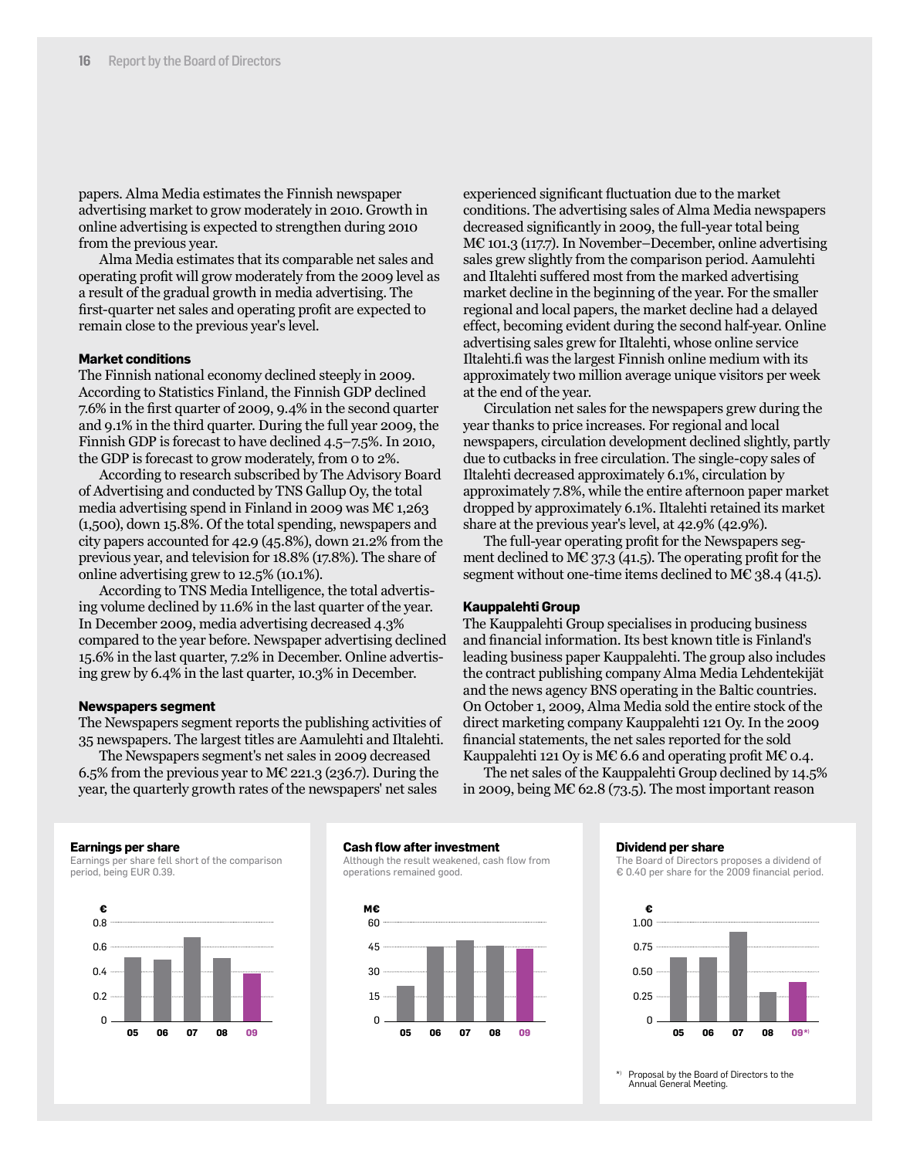papers. Alma Media estimates the Finnish newspaper advertising market to grow moderately in 2010. Growth in online advertising is expected to strengthen during 2010 from the previous year.

Alma Media estimates that its comparable net sales and operating profit will grow moderately from the 2009 level as a result of the gradual growth in media advertising. The first-quarter net sales and operating profit are expected to remain close to the previous year's level.

#### **Market conditions**

The Finnish national economy declined steeply in 2009. According to Statistics Finland, the Finnish GDP declined 7.6% in the first quarter of 2009, 9.4% in the second quarter and 9.1% in the third quarter. During the full year 2009, the Finnish GDP is forecast to have declined 4.5–7.5%. In 2010, the GDP is forecast to grow moderately, from 0 to 2%.

According to research subscribed by The Advisory Board of Advertising and conducted by TNS Gallup Oy, the total media advertising spend in Finland in 2009 was  $M\epsilon$  1,263 (1,500), down 15.8%. Of the total spending, newspapers and city papers accounted for 42.9 (45.8%), down 21.2% from the previous year, and television for 18.8% (17.8%). The share of online advertising grew to 12.5% (10.1%).

According to TNS Media Intelligence, the total advertising volume declined by 11.6% in the last quarter of the year. In December 2009, media advertising decreased 4.3% compared to the year before. Newspaper advertising declined 15.6% in the last quarter, 7.2% in December. Online advertising grew by 6.4% in the last quarter, 10.3% in December.

#### **Newspapers segment**

The Newspapers segment reports the publishing activities of 35 newspapers. The largest titles are Aamulehti and Iltalehti.

The Newspapers segment's net sales in 2009 decreased 6.5% from the previous year to M $\epsilon$  221.3 (236.7). During the year, the quarterly growth rates of the newspapers' net sales

experienced significant fluctuation due to the market conditions. The advertising sales of Alma Media newspapers decreased significantly in 2009, the full-year total being M€ 101.3 (117.7). In November–December, online advertising sales grew slightly from the comparison period. Aamulehti and Iltalehti suffered most from the marked advertising market decline in the beginning of the year. For the smaller regional and local papers, the market decline had a delayed effect, becoming evident during the second half-year. Online advertising sales grew for Iltalehti, whose online service Iltalehti.fi was the largest Finnish online medium with its approximately two million average unique visitors per week at the end of the year.

Circulation net sales for the newspapers grew during the year thanks to price increases. For regional and local newspapers, circulation development declined slightly, partly due to cutbacks in free circulation. The single-copy sales of Iltalehti decreased approximately 6.1%, circulation by approximately 7.8%, while the entire afternoon paper market dropped by approximately 6.1%. Iltalehti retained its market share at the previous year's level, at 42.9% (42.9%).

The full-year operating profit for the Newspapers segment declined to M $\epsilon$  37.3 (41.5). The operating profit for the segment without one-time items declined to M $\epsilon$  38.4 (41.5).

#### **Kauppalehti Group**

The Kauppalehti Group specialises in producing business and financial information. Its best known title is Finland's leading business paper Kauppalehti. The group also includes the contract publishing company Alma Media Lehdentekijät and the news agency BNS operating in the Baltic countries. On October 1, 2009, Alma Media sold the entire stock of the direct marketing company Kauppalehti 121 Oy. In the 2009 financial statements, the net sales reported for the sold Kauppalehti 121 Oy is M€ 6.6 and operating profit M€ 0.4.

The net sales of the Kauppalehti Group declined by 14.5% in 2009, being M€ 62.8 (73.5). The most important reason

#### **Earnings per share**

Earnings per share fell short of the comparison period, being EUR 0.39.



#### **Cash flow after investment**

Although the result weakened, cash flow from operations remained good.



#### **Dividend per share**

The Board of Directors proposes a dividend of € 0.40 per share for the 2009 financial period.



\*) Proposal by the Board of Directors to the Annual General Meeting.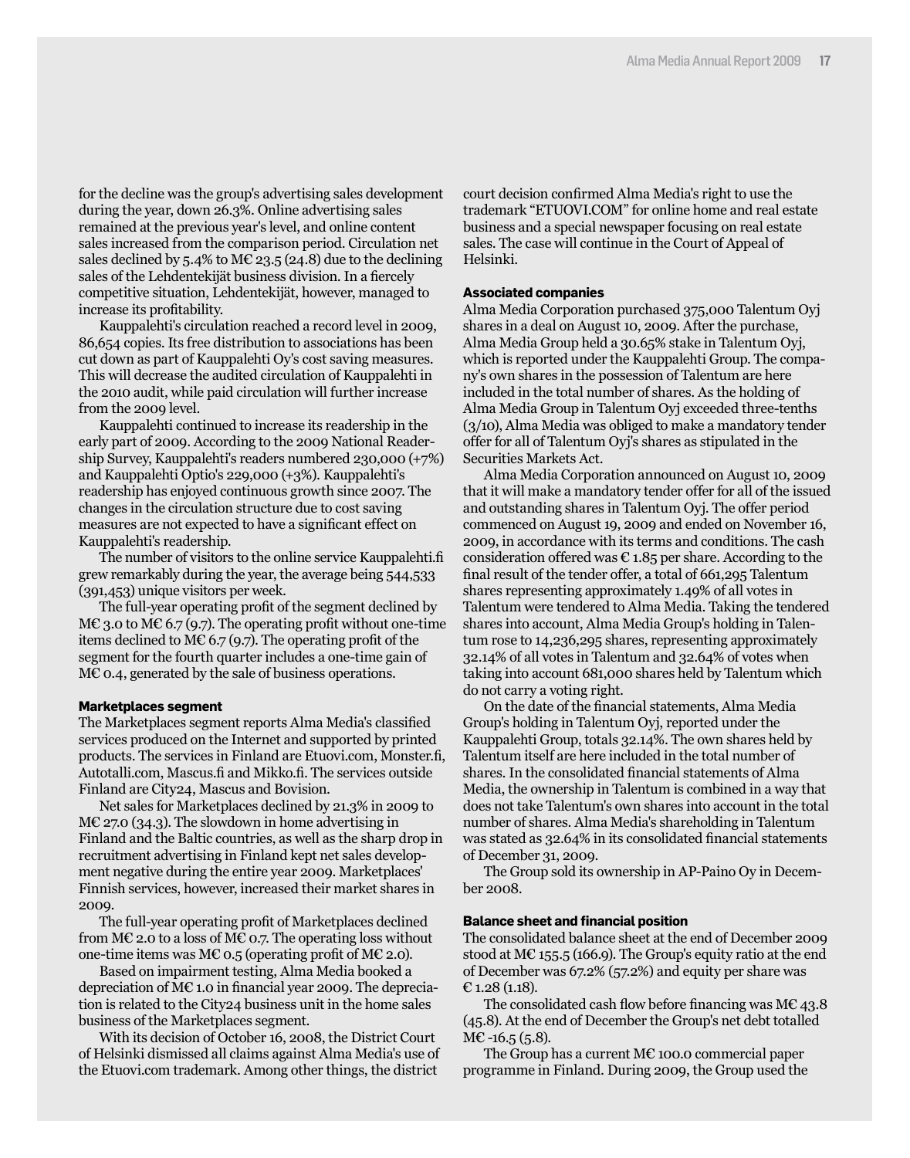for the decline was the group's advertising sales development during the year, down 26.3%. Online advertising sales remained at the previous year's level, and online content sales increased from the comparison period. Circulation net sales declined by 5.4% to M€ 23.5 (24.8) due to the declining sales of the Lehdentekijät business division. In a fiercely competitive situation, Lehdentekijät, however, managed to increase its profitability.

Kauppalehti's circulation reached a record level in 2009, 86,654 copies. Its free distribution to associations has been cut down as part of Kauppalehti Oy's cost saving measures. This will decrease the audited circulation of Kauppalehti in the 2010 audit, while paid circulation will further increase from the 2009 level.

Kauppalehti continued to increase its readership in the early part of 2009. According to the 2009 National Readership Survey, Kauppalehti's readers numbered 230,000 (+7%) and Kauppalehti Optio's 229,000 (+3%). Kauppalehti's readership has enjoyed continuous growth since 2007. The changes in the circulation structure due to cost saving measures are not expected to have a significant effect on Kauppalehti's readership.

The number of visitors to the online service Kauppalehti.fi grew remarkably during the year, the average being 544,533 (391,453) unique visitors per week.

The full-year operating profit of the segment declined by  $M\mathcal{\in}$  3.0 to  $M\mathcal{\in}$  6.7 (9.7). The operating profit without one-time items declined to M€ 6.7 (9.7). The operating profit of the segment for the fourth quarter includes a one-time gain of M€ 0.4, generated by the sale of business operations.

#### **Marketplaces segment**

The Marketplaces segment reports Alma Media's classified services produced on the Internet and supported by printed products. The services in Finland are Etuovi.com, Monster.fi, Autotalli.com, Mascus.fi and Mikko.fi. The services outside Finland are City24, Mascus and Bovision.

Net sales for Marketplaces declined by 21.3% in 2009 to  $M\mathcal{E}$  27.0 (34.3). The slowdown in home advertising in Finland and the Baltic countries, as well as the sharp drop in recruitment advertising in Finland kept net sales development negative during the entire year 2009. Marketplaces' Finnish services, however, increased their market shares in 2009.

The full-year operating profit of Marketplaces declined from M€ 2.0 to a loss of M€ 0.7. The operating loss without one-time items was M€ 0.5 (operating profit of M€ 2.0).

Based on impairment testing, Alma Media booked a depreciation of M€ 1.0 in financial year 2009. The depreciation is related to the City24 business unit in the home sales business of the Marketplaces segment.

With its decision of October 16, 2008, the District Court of Helsinki dismissed all claims against Alma Media's use of the Etuovi.com trademark. Among other things, the district

court decision confirmed Alma Media's right to use the trademark "ETUOVI.COM" for online home and real estate business and a special newspaper focusing on real estate sales. The case will continue in the Court of Appeal of Helsinki.

#### **Associated companies**

Alma Media Corporation purchased 375,000 Talentum Oyj shares in a deal on August 10, 2009. After the purchase, Alma Media Group held a 30.65% stake in Talentum Oyj, which is reported under the Kauppalehti Group. The company's own shares in the possession of Talentum are here included in the total number of shares. As the holding of Alma Media Group in Talentum Oyj exceeded three-tenths (3/10), Alma Media was obliged to make a mandatory tender offer for all of Talentum Oyj's shares as stipulated in the Securities Markets Act.

Alma Media Corporation announced on August 10, 2009 that it will make a mandatory tender offer for all of the issued and outstanding shares in Talentum Oyj. The offer period commenced on August 19, 2009 and ended on November 16, 2009, in accordance with its terms and conditions. The cash consideration offered was  $\epsilon$  1.85 per share. According to the final result of the tender offer, a total of 661,295 Talentum shares representing approximately 1.49% of all votes in Talentum were tendered to Alma Media. Taking the tendered shares into account, Alma Media Group's holding in Talentum rose to 14,236,295 shares, representing approximately 32.14% of all votes in Talentum and 32.64% of votes when taking into account 681,000 shares held by Talentum which do not carry a voting right.

On the date of the financial statements, Alma Media Group's holding in Talentum Oyj, reported under the Kauppalehti Group, totals 32.14%. The own shares held by Talentum itself are here included in the total number of shares. In the consolidated financial statements of Alma Media, the ownership in Talentum is combined in a way that does not take Talentum's own shares into account in the total number of shares. Alma Media's shareholding in Talentum was stated as 32.64% in its consolidated financial statements of December 31, 2009.

The Group sold its ownership in AP-Paino Oy in December 2008.

#### **Balance sheet and financial position**

The consolidated balance sheet at the end of December 2009 stood at M€ 155.5 (166.9). The Group's equity ratio at the end of December was 67.2% (57.2%) and equity per share was  $E$  1.28 (1.18).

The consolidated cash flow before financing was M€ 43.8 (45.8). At the end of December the Group's net debt totalled  $M\mathbb{C}$  -16.5 (5.8).

The Group has a current  $M\mathcal{E}$  100.0 commercial paper programme in Finland. During 2009, the Group used the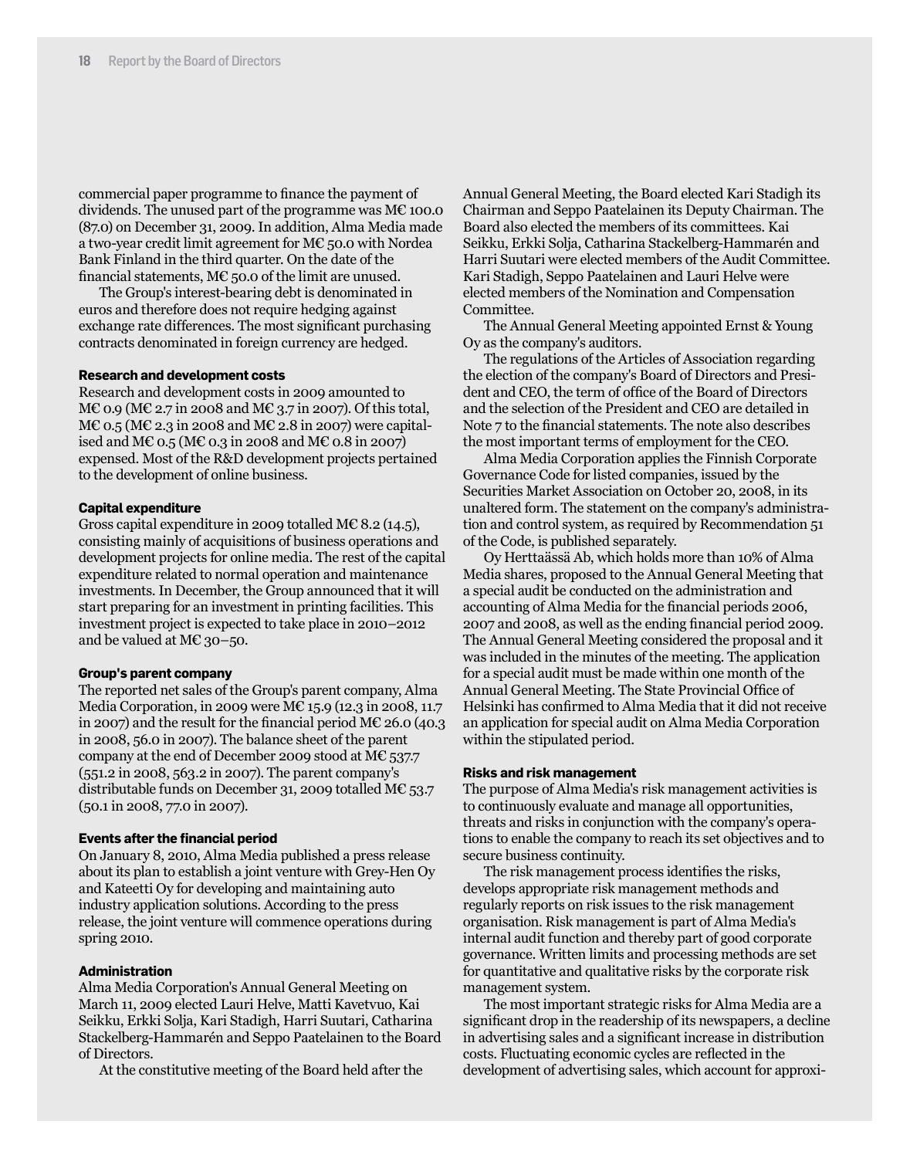commercial paper programme to finance the payment of dividends. The unused part of the programme was M€ 100.0 (87.0) on December 31, 2009. In addition, Alma Media made a two-year credit limit agreement for M $\epsilon$  50.0 with Nordea Bank Finland in the third quarter. On the date of the financial statements, M $E$  50.0 of the limit are unused.

The Group's interest-bearing debt is denominated in euros and therefore does not require hedging against exchange rate differences. The most significant purchasing contracts denominated in foreign currency are hedged.

#### **Research and development costs**

Research and development costs in 2009 amounted to  $M\mathcal{C}$  0.9 (M $\mathcal{C}$  2.7 in 2008 and M $\mathcal{C}$  3.7 in 2007). Of this total, ME 0.5 (ME 2.3 in 2008 and ME 2.8 in 2007) were capitalised and M€ 0.5 (M€ 0.3 in 2008 and M€ 0.8 in 2007) expensed. Most of the R&D development projects pertained to the development of online business.

#### **Capital expenditure**

Gross capital expenditure in 2009 totalled M€ 8.2 (14.5), consisting mainly of acquisitions of business operations and development projects for online media. The rest of the capital expenditure related to normal operation and maintenance investments. In December, the Group announced that it will start preparing for an investment in printing facilities. This investment project is expected to take place in 2010–2012 and be valued at M€ 30–50.

#### **Group's parent company**

The reported net sales of the Group's parent company, Alma Media Corporation, in 2009 were M€ 15.9 (12.3 in 2008, 11.7 in 2007) and the result for the financial period  $M\mathcal{E}$  26.0 (40.3) in 2008, 56.0 in 2007). The balance sheet of the parent company at the end of December 2009 stood at M€ 537.7 (551.2 in 2008, 563.2 in 2007). The parent company's distributable funds on December 31, 2009 totalled M€ 53.7 (50.1 in 2008, 77.0 in 2007).

#### **Events after the financial period**

On January 8, 2010, Alma Media published a press release about its plan to establish a joint venture with Grey-Hen Oy and Kateetti Oy for developing and maintaining auto industry application solutions. According to the press release, the joint venture will commence operations during spring 2010.

#### **Administration**

Alma Media Corporation's Annual General Meeting on March 11, 2009 elected Lauri Helve, Matti Kavetvuo, Kai Seikku, Erkki Solja, Kari Stadigh, Harri Suutari, Catharina Stackelberg-Hammarén and Seppo Paatelainen to the Board of Directors.

At the constitutive meeting of the Board held after the

Annual General Meeting, the Board elected Kari Stadigh its Chairman and Seppo Paatelainen its Deputy Chairman. The Board also elected the members of its committees. Kai Seikku, Erkki Solja, Catharina Stackelberg-Hammarén and Harri Suutari were elected members of the Audit Committee. Kari Stadigh, Seppo Paatelainen and Lauri Helve were elected members of the Nomination and Compensation Committee.

The Annual General Meeting appointed Ernst & Young Oy as the company's auditors.

The regulations of the Articles of Association regarding the election of the company's Board of Directors and President and CEO, the term of office of the Board of Directors and the selection of the President and CEO are detailed in Note 7 to the financial statements. The note also describes the most important terms of employment for the CEO.

Alma Media Corporation applies the Finnish Corporate Governance Code for listed companies, issued by the Securities Market Association on October 20, 2008, in its unaltered form. The statement on the company's administration and control system, as required by Recommendation 51 of the Code, is published separately.

Oy Herttaässä Ab, which holds more than 10% of Alma Media shares, proposed to the Annual General Meeting that a special audit be conducted on the administration and accounting of Alma Media for the financial periods 2006, 2007 and 2008, as well as the ending financial period 2009. The Annual General Meeting considered the proposal and it was included in the minutes of the meeting. The application for a special audit must be made within one month of the Annual General Meeting. The State Provincial Office of Helsinki has confirmed to Alma Media that it did not receive an application for special audit on Alma Media Corporation within the stipulated period.

#### **Risks and risk management**

The purpose of Alma Media's risk management activities is to continuously evaluate and manage all opportunities, threats and risks in conjunction with the company's operations to enable the company to reach its set objectives and to secure business continuity.

The risk management process identifies the risks, develops appropriate risk management methods and regularly reports on risk issues to the risk management organisation. Risk management is part of Alma Media's internal audit function and thereby part of good corporate governance. Written limits and processing methods are set for quantitative and qualitative risks by the corporate risk management system.

The most important strategic risks for Alma Media are a significant drop in the readership of its newspapers, a decline in advertising sales and a significant increase in distribution costs. Fluctuating economic cycles are reflected in the development of advertising sales, which account for approxi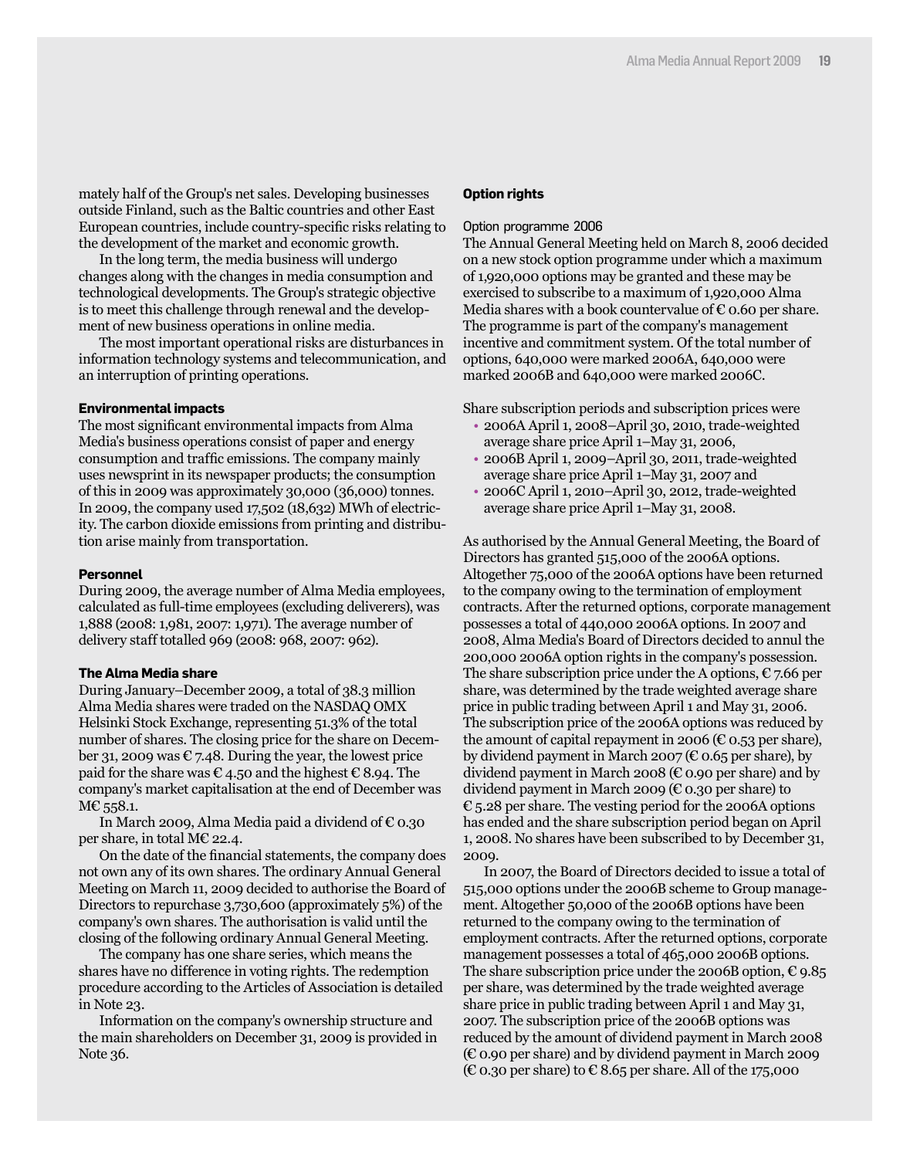mately half of the Group's net sales. Developing businesses outside Finland, such as the Baltic countries and other East European countries, include country-specific risks relating to the development of the market and economic growth.

In the long term, the media business will undergo changes along with the changes in media consumption and technological developments. The Group's strategic objective is to meet this challenge through renewal and the development of new business operations in online media.

The most important operational risks are disturbances in information technology systems and telecommunication, and an interruption of printing operations.

#### **Environmental impacts**

The most significant environmental impacts from Alma Media's business operations consist of paper and energy consumption and traffic emissions. The company mainly uses newsprint in its newspaper products; the consumption of this in 2009 was approximately 30,000 (36,000) tonnes. In 2009, the company used 17,502 (18,632) MWh of electricity. The carbon dioxide emissions from printing and distribution arise mainly from transportation.

#### **Personnel**

During 2009, the average number of Alma Media employees, calculated as full-time employees (excluding deliverers), was 1,888 (2008: 1,981, 2007: 1,971). The average number of delivery staff totalled 969 (2008: 968, 2007: 962).

#### **The Alma Media share**

During January–December 2009, a total of 38.3 million Alma Media shares were traded on the NASDAQ OMX Helsinki Stock Exchange, representing 51.3% of the total number of shares. The closing price for the share on December 31, 2009 was  $\epsilon$  7.48. During the year, the lowest price paid for the share was  $\epsilon$  4.50 and the highest  $\epsilon$  8.94. The company's market capitalisation at the end of December was M€ 558.1.

In March 2009, Alma Media paid a dividend of  $\epsilon$  0.30 per share, in total M€ 22.4.

On the date of the financial statements, the company does not own any of its own shares. The ordinary Annual General Meeting on March 11, 2009 decided to authorise the Board of Directors to repurchase 3,730,600 (approximately 5%) of the company's own shares. The authorisation is valid until the closing of the following ordinary Annual General Meeting.

The company has one share series, which means the shares have no difference in voting rights. The redemption procedure according to the Articles of Association is detailed in Note 23.

Information on the company's ownership structure and the main shareholders on December 31, 2009 is provided in Note 36.

#### **Option rights**

#### Option programme 2006

The Annual General Meeting held on March 8, 2006 decided on a new stock option programme under which a maximum of 1,920,000 options may be granted and these may be exercised to subscribe to a maximum of 1,920,000 Alma Media shares with a book countervalue of  $\epsilon$  0.60 per share. The programme is part of the company's management incentive and commitment system. Of the total number of options, 640,000 were marked 2006A, 640,000 were marked 2006B and 640,000 were marked 2006C.

Share subscription periods and subscription prices were

- 2006A April 1, 2008–April 30, 2010, trade-weighted average share price April 1–May 31, 2006,
- 2006B April 1, 2009–April 30, 2011, trade-weighted average share price April 1–May 31, 2007 and
- 2006C April 1, 2010–April 30, 2012, trade-weighted average share price April 1–May 31, 2008.

As authorised by the Annual General Meeting, the Board of Directors has granted 515,000 of the 2006A options. Altogether 75,000 of the 2006A options have been returned to the company owing to the termination of employment contracts. After the returned options, corporate management possesses a total of 440,000 2006A options. In 2007 and 2008, Alma Media's Board of Directors decided to annul the 200,000 2006A option rights in the company's possession. The share subscription price under the A options,  $\epsilon$  7.66 per share, was determined by the trade weighted average share price in public trading between April 1 and May 31, 2006. The subscription price of the 2006A options was reduced by the amount of capital repayment in 2006 ( $\epsilon$  0.53 per share), by dividend payment in March 2007 ( $\epsilon$  0.65 per share), by dividend payment in March 2008 ( $\epsilon$  0.90 per share) and by dividend payment in March 2009 (€ 0.30 per share) to  $\epsilon$  5.28 per share. The vesting period for the 2006A options has ended and the share subscription period began on April 1, 2008. No shares have been subscribed to by December 31, 2009.

In 2007, the Board of Directors decided to issue a total of 515,000 options under the 2006B scheme to Group management. Altogether 50,000 of the 2006B options have been returned to the company owing to the termination of employment contracts. After the returned options, corporate management possesses a total of 465,000 2006B options. The share subscription price under the 2006B option,  $\epsilon$  9.85 per share, was determined by the trade weighted average share price in public trading between April 1 and May 31, 2007. The subscription price of the 2006B options was reduced by the amount of dividend payment in March 2008  $(\epsilon)$  0.90 per share) and by dividend payment in March 2009 ( $\epsilon$  0.30 per share) to  $\epsilon$  8.65 per share. All of the 175,000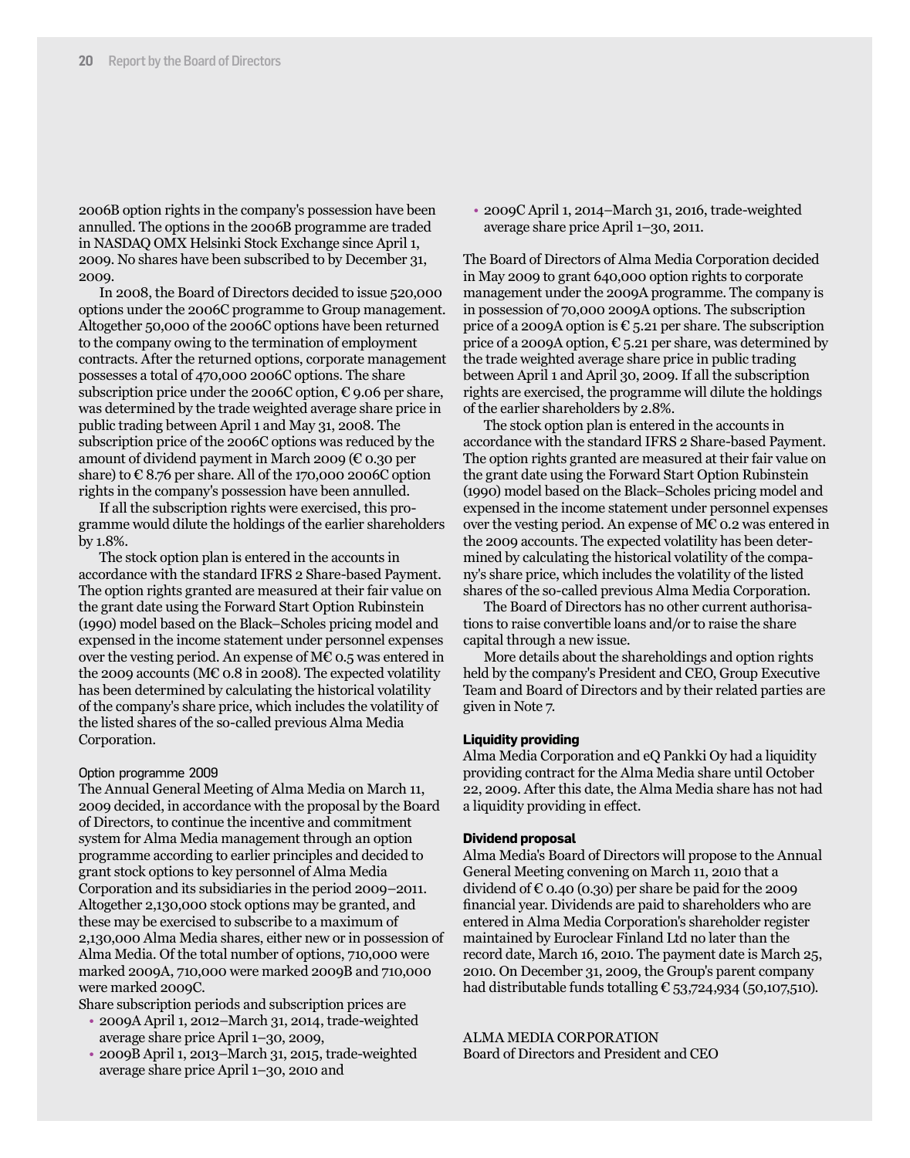2006B option rights in the company's possession have been annulled. The options in the 2006B programme are traded in NASDAQ OMX Helsinki Stock Exchange since April 1, 2009. No shares have been subscribed to by December 31, 2009.

In 2008, the Board of Directors decided to issue 520,000 options under the 2006C programme to Group management. Altogether 50,000 of the 2006C options have been returned to the company owing to the termination of employment contracts. After the returned options, corporate management possesses a total of 470,000 2006C options. The share subscription price under the 2006C option,  $\epsilon$  9.06 per share, was determined by the trade weighted average share price in public trading between April 1 and May 31, 2008. The subscription price of the 2006C options was reduced by the amount of dividend payment in March 2009 ( $\epsilon$  0.30 per share) to  $\epsilon$  8.76 per share. All of the 170,000 2006C option rights in the company's possession have been annulled.

If all the subscription rights were exercised, this programme would dilute the holdings of the earlier shareholders by 1.8%.

The stock option plan is entered in the accounts in accordance with the standard IFRS 2 Share-based Payment. The option rights granted are measured at their fair value on the grant date using the Forward Start Option Rubinstein (1990) model based on the Black–Scholes pricing model and expensed in the income statement under personnel expenses over the vesting period. An expense of M€ 0.5 was entered in the 2009 accounts (M $\epsilon$  0.8 in 2008). The expected volatility has been determined by calculating the historical volatility of the company's share price, which includes the volatility of the listed shares of the so-called previous Alma Media Corporation.

#### Option programme 2009

The Annual General Meeting of Alma Media on March 11, 2009 decided, in accordance with the proposal by the Board of Directors, to continue the incentive and commitment system for Alma Media management through an option programme according to earlier principles and decided to grant stock options to key personnel of Alma Media Corporation and its subsidiaries in the period 2009–2011. Altogether 2,130,000 stock options may be granted, and these may be exercised to subscribe to a maximum of 2,130,000 Alma Media shares, either new or in possession of Alma Media. Of the total number of options, 710,000 were marked 2009A, 710,000 were marked 2009B and 710,000 were marked 2009C.

Share subscription periods and subscription prices are

- 2009A April 1, 2012–March 31, 2014, trade-weighted average share price April 1–30, 2009,
- 2009B April 1, 2013–March 31, 2015, trade-weighted average share price April 1–30, 2010 and

• 2009C April 1, 2014–March 31, 2016, trade-weighted average share price April 1–30, 2011.

The Board of Directors of Alma Media Corporation decided in May 2009 to grant 640,000 option rights to corporate management under the 2009A programme. The company is in possession of 70,000 2009A options. The subscription price of a 2009A option is  $\epsilon$  5.21 per share. The subscription price of a 2009A option,  $\epsilon$  5.21 per share, was determined by the trade weighted average share price in public trading between April 1 and April 30, 2009. If all the subscription rights are exercised, the programme will dilute the holdings of the earlier shareholders by 2.8%.

The stock option plan is entered in the accounts in accordance with the standard IFRS 2 Share-based Payment. The option rights granted are measured at their fair value on the grant date using the Forward Start Option Rubinstein (1990) model based on the Black–Scholes pricing model and expensed in the income statement under personnel expenses over the vesting period. An expense of M€ 0.2 was entered in the 2009 accounts. The expected volatility has been determined by calculating the historical volatility of the company's share price, which includes the volatility of the listed shares of the so-called previous Alma Media Corporation.

The Board of Directors has no other current authorisations to raise convertible loans and/or to raise the share capital through a new issue.

More details about the shareholdings and option rights held by the company's President and CEO, Group Executive Team and Board of Directors and by their related parties are given in Note 7.

#### **Liquidity providing**

Alma Media Corporation and eQ Pankki Oy had a liquidity providing contract for the Alma Media share until October 22, 2009. After this date, the Alma Media share has not had a liquidity providing in effect.

#### **Dividend proposal**

Alma Media's Board of Directors will propose to the Annual General Meeting convening on March 11, 2010 that a dividend of  $\epsilon$  0.40 (0.30) per share be paid for the 2009 financial year. Dividends are paid to shareholders who are entered in Alma Media Corporation's shareholder register maintained by Euroclear Finland Ltd no later than the record date, March 16, 2010. The payment date is March 25, 2010. On December 31, 2009, the Group's parent company had distributable funds totalling  $\epsilon$  53,724,934 (50,107,510).

ALMA MEDIA CORPORATION Board of Directors and President and CEO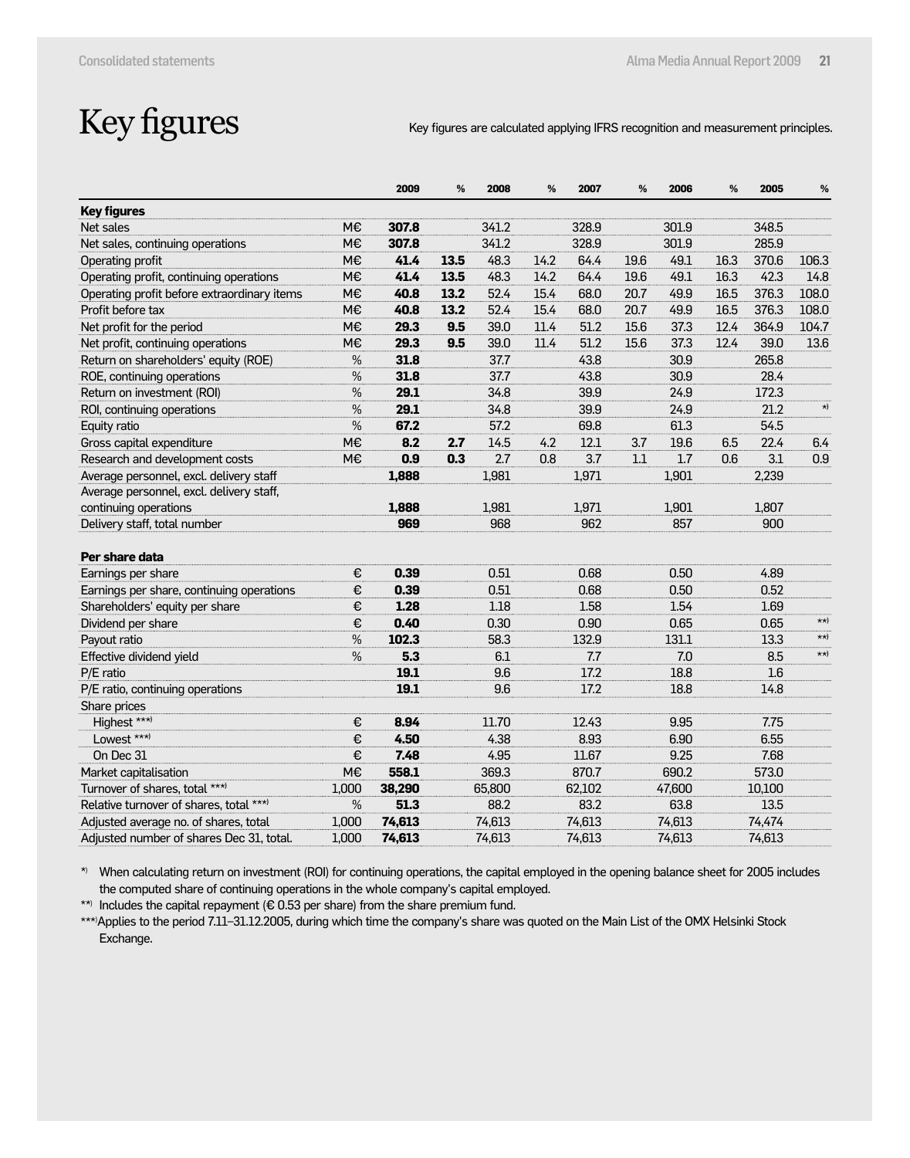### Key figures are calculated applying IFRS recognition and measurement principles.

| <b>Key figures</b><br>341.2<br>348.5<br>Net sales<br>M€<br>307.8<br>328.9<br>301.9<br>M€<br>307.8<br>341.2<br>328.9<br>301.9<br>285.9<br>Net sales, continuing operations<br>14.2<br>49.1<br>16.3<br>Operating profit<br>M€<br>41.4<br>13.5<br>48.3<br>64.4<br>19.6<br>370.6<br>106.3<br>Operating profit, continuing operations<br>49.1<br>42.3<br>M€<br>41.4<br>13.5<br>48.3<br>14.2<br>64.4<br>19.6<br>16.3<br>14.8<br>52.4<br>49.9<br>Operating profit before extraordinary items<br>M€<br>40.8<br>13.2<br>15.4<br>68.0<br>20.7<br>16.5<br>376.3<br>108.0<br>Profit before tax<br>52.4<br>15.4<br>49.9<br>M€<br>40.8<br>13.2<br>68.0<br>20.7<br>16.5<br>376.3<br>108.0<br>M€<br>Net profit for the period<br>29.3<br>9.5<br>39.0<br>11.4<br>51.2<br>15.6<br>37.3<br>12.4<br>364.9<br>104.7<br>M€<br>Net profit, continuing operations<br>29.3<br>9.5<br>39.0<br>11.4<br>51.2<br>15.6<br>37.3<br>12.4<br>39.0<br>13.6<br>%<br>30.9<br>265.8<br>Return on shareholders' equity (ROE)<br>31.8<br>37.7<br>43.8<br>%<br>31.8<br>37.7<br>43.8<br>30.9<br>28.4<br>ROE, continuing operations<br>%<br>Return on investment (ROI)<br>29.1<br>34.8<br>39.9<br>24.9<br>172.3<br>$\star)$<br>%<br>29.1<br>34.8<br>39.9<br>24.9<br>21.2<br>ROI, continuing operations<br>%<br>Equity ratio<br>67.2<br>57.2<br>69.8<br>61.3<br>54.5<br>Gross capital expenditure<br>M€<br>4.2<br>12.1<br>3.7<br>19.6<br>6.5<br>22.4<br>8.2<br>2.7<br>14.5<br>6.4<br>2.7<br>Research and development costs<br>M€<br>0.9<br>0.3<br>3.7<br>1.7<br>3.1<br>0.9<br>0.8<br>1.1<br>0.6<br>Average personnel, excl. delivery staff<br>1,888<br>1,981<br>1,971<br>1,901<br>2,239<br>Average personnel, excl. delivery staff,<br>continuing operations<br>1.888<br>1.981<br>1.971<br>1,901<br>1,807<br>Delivery staff, total number<br>969<br>968<br>962<br>857<br>900<br>Per share data<br>0.39<br>0.51<br>0.68<br>0.50<br>4.89<br>Earnings per share<br>€<br>Earnings per share, continuing operations<br>€<br>0.39<br>0.51<br>0.68<br>0.50<br>0.52<br>€<br>Shareholders' equity per share<br>1.28<br>1.18<br>1.58<br>1.54<br>1.69<br>$\star\star$<br>€<br>0.40<br>0.30<br>0.90<br>0.65<br>0.65<br>Dividend per share<br>$\star\star$ )<br>Payout ratio<br>$\%$<br>102.3<br>58.3<br>132.9<br>131.1<br>13.3<br>$\star\star$ )<br>Effective dividend yield<br>$\%$<br>5.3<br>7.0<br>6.1<br>8.5<br>7.7<br>1.6<br>P/E ratio<br>19.1<br>9.6<br>17.2<br>18.8<br>P/E ratio, continuing operations<br>19.1<br>9.6<br>17.2<br>18.8<br>14.8<br>Share prices<br>Highest ***)<br>11.70<br>9.95<br>€<br>8.94<br>12.43<br>7.75<br>Lowest ***)<br>4.50<br>4.38<br>8.93<br>6.90<br>€<br>6.55<br>On Dec 31<br>€<br>7.48<br>4.95<br>11.67<br>9.25<br>7.68<br>M€<br>558.1<br>369.3<br>870.7<br>690.2<br>Market capitalisation<br>573.0<br>Turnover of shares, total ***)<br>1,000<br>38,290<br>65,800<br>62,102<br>47,600<br>10,100<br>Relative turnover of shares, total ***)<br>%<br>51.3<br>88.2<br>83.2<br>63.8<br>13.5<br>74,613<br>74,613<br>74,613<br>74,613<br>74,474<br>Adjusted average no. of shares, total<br>1,000<br>74,613<br>74,613<br>74,613<br>Adjusted number of shares Dec 31, total.<br>1,000<br>74,613<br>74,613 |  | 2009 | % | 2008 | % | 2007 | % | 2006 | % | 2005 | $\%$ |
|----------------------------------------------------------------------------------------------------------------------------------------------------------------------------------------------------------------------------------------------------------------------------------------------------------------------------------------------------------------------------------------------------------------------------------------------------------------------------------------------------------------------------------------------------------------------------------------------------------------------------------------------------------------------------------------------------------------------------------------------------------------------------------------------------------------------------------------------------------------------------------------------------------------------------------------------------------------------------------------------------------------------------------------------------------------------------------------------------------------------------------------------------------------------------------------------------------------------------------------------------------------------------------------------------------------------------------------------------------------------------------------------------------------------------------------------------------------------------------------------------------------------------------------------------------------------------------------------------------------------------------------------------------------------------------------------------------------------------------------------------------------------------------------------------------------------------------------------------------------------------------------------------------------------------------------------------------------------------------------------------------------------------------------------------------------------------------------------------------------------------------------------------------------------------------------------------------------------------------------------------------------------------------------------------------------------------------------------------------------------------------------------------------------------------------------------------------------------------------------------------------------------------------------------------------------------------------------------------------------------------------------------------------------------------------------------------------------------------------------------------------------------------------------------------------------------------------------------------------------------------------------------------------------------------------------------------------------------------------------------------------------------------------------------------------------------------------------------------------------------------------------------------------------------------------|--|------|---|------|---|------|---|------|---|------|------|
|                                                                                                                                                                                                                                                                                                                                                                                                                                                                                                                                                                                                                                                                                                                                                                                                                                                                                                                                                                                                                                                                                                                                                                                                                                                                                                                                                                                                                                                                                                                                                                                                                                                                                                                                                                                                                                                                                                                                                                                                                                                                                                                                                                                                                                                                                                                                                                                                                                                                                                                                                                                                                                                                                                                                                                                                                                                                                                                                                                                                                                                                                                                                                                                  |  |      |   |      |   |      |   |      |   |      |      |
|                                                                                                                                                                                                                                                                                                                                                                                                                                                                                                                                                                                                                                                                                                                                                                                                                                                                                                                                                                                                                                                                                                                                                                                                                                                                                                                                                                                                                                                                                                                                                                                                                                                                                                                                                                                                                                                                                                                                                                                                                                                                                                                                                                                                                                                                                                                                                                                                                                                                                                                                                                                                                                                                                                                                                                                                                                                                                                                                                                                                                                                                                                                                                                                  |  |      |   |      |   |      |   |      |   |      |      |
|                                                                                                                                                                                                                                                                                                                                                                                                                                                                                                                                                                                                                                                                                                                                                                                                                                                                                                                                                                                                                                                                                                                                                                                                                                                                                                                                                                                                                                                                                                                                                                                                                                                                                                                                                                                                                                                                                                                                                                                                                                                                                                                                                                                                                                                                                                                                                                                                                                                                                                                                                                                                                                                                                                                                                                                                                                                                                                                                                                                                                                                                                                                                                                                  |  |      |   |      |   |      |   |      |   |      |      |
|                                                                                                                                                                                                                                                                                                                                                                                                                                                                                                                                                                                                                                                                                                                                                                                                                                                                                                                                                                                                                                                                                                                                                                                                                                                                                                                                                                                                                                                                                                                                                                                                                                                                                                                                                                                                                                                                                                                                                                                                                                                                                                                                                                                                                                                                                                                                                                                                                                                                                                                                                                                                                                                                                                                                                                                                                                                                                                                                                                                                                                                                                                                                                                                  |  |      |   |      |   |      |   |      |   |      |      |
|                                                                                                                                                                                                                                                                                                                                                                                                                                                                                                                                                                                                                                                                                                                                                                                                                                                                                                                                                                                                                                                                                                                                                                                                                                                                                                                                                                                                                                                                                                                                                                                                                                                                                                                                                                                                                                                                                                                                                                                                                                                                                                                                                                                                                                                                                                                                                                                                                                                                                                                                                                                                                                                                                                                                                                                                                                                                                                                                                                                                                                                                                                                                                                                  |  |      |   |      |   |      |   |      |   |      |      |
|                                                                                                                                                                                                                                                                                                                                                                                                                                                                                                                                                                                                                                                                                                                                                                                                                                                                                                                                                                                                                                                                                                                                                                                                                                                                                                                                                                                                                                                                                                                                                                                                                                                                                                                                                                                                                                                                                                                                                                                                                                                                                                                                                                                                                                                                                                                                                                                                                                                                                                                                                                                                                                                                                                                                                                                                                                                                                                                                                                                                                                                                                                                                                                                  |  |      |   |      |   |      |   |      |   |      |      |
|                                                                                                                                                                                                                                                                                                                                                                                                                                                                                                                                                                                                                                                                                                                                                                                                                                                                                                                                                                                                                                                                                                                                                                                                                                                                                                                                                                                                                                                                                                                                                                                                                                                                                                                                                                                                                                                                                                                                                                                                                                                                                                                                                                                                                                                                                                                                                                                                                                                                                                                                                                                                                                                                                                                                                                                                                                                                                                                                                                                                                                                                                                                                                                                  |  |      |   |      |   |      |   |      |   |      |      |
|                                                                                                                                                                                                                                                                                                                                                                                                                                                                                                                                                                                                                                                                                                                                                                                                                                                                                                                                                                                                                                                                                                                                                                                                                                                                                                                                                                                                                                                                                                                                                                                                                                                                                                                                                                                                                                                                                                                                                                                                                                                                                                                                                                                                                                                                                                                                                                                                                                                                                                                                                                                                                                                                                                                                                                                                                                                                                                                                                                                                                                                                                                                                                                                  |  |      |   |      |   |      |   |      |   |      |      |
|                                                                                                                                                                                                                                                                                                                                                                                                                                                                                                                                                                                                                                                                                                                                                                                                                                                                                                                                                                                                                                                                                                                                                                                                                                                                                                                                                                                                                                                                                                                                                                                                                                                                                                                                                                                                                                                                                                                                                                                                                                                                                                                                                                                                                                                                                                                                                                                                                                                                                                                                                                                                                                                                                                                                                                                                                                                                                                                                                                                                                                                                                                                                                                                  |  |      |   |      |   |      |   |      |   |      |      |
|                                                                                                                                                                                                                                                                                                                                                                                                                                                                                                                                                                                                                                                                                                                                                                                                                                                                                                                                                                                                                                                                                                                                                                                                                                                                                                                                                                                                                                                                                                                                                                                                                                                                                                                                                                                                                                                                                                                                                                                                                                                                                                                                                                                                                                                                                                                                                                                                                                                                                                                                                                                                                                                                                                                                                                                                                                                                                                                                                                                                                                                                                                                                                                                  |  |      |   |      |   |      |   |      |   |      |      |
|                                                                                                                                                                                                                                                                                                                                                                                                                                                                                                                                                                                                                                                                                                                                                                                                                                                                                                                                                                                                                                                                                                                                                                                                                                                                                                                                                                                                                                                                                                                                                                                                                                                                                                                                                                                                                                                                                                                                                                                                                                                                                                                                                                                                                                                                                                                                                                                                                                                                                                                                                                                                                                                                                                                                                                                                                                                                                                                                                                                                                                                                                                                                                                                  |  |      |   |      |   |      |   |      |   |      |      |
|                                                                                                                                                                                                                                                                                                                                                                                                                                                                                                                                                                                                                                                                                                                                                                                                                                                                                                                                                                                                                                                                                                                                                                                                                                                                                                                                                                                                                                                                                                                                                                                                                                                                                                                                                                                                                                                                                                                                                                                                                                                                                                                                                                                                                                                                                                                                                                                                                                                                                                                                                                                                                                                                                                                                                                                                                                                                                                                                                                                                                                                                                                                                                                                  |  |      |   |      |   |      |   |      |   |      |      |
|                                                                                                                                                                                                                                                                                                                                                                                                                                                                                                                                                                                                                                                                                                                                                                                                                                                                                                                                                                                                                                                                                                                                                                                                                                                                                                                                                                                                                                                                                                                                                                                                                                                                                                                                                                                                                                                                                                                                                                                                                                                                                                                                                                                                                                                                                                                                                                                                                                                                                                                                                                                                                                                                                                                                                                                                                                                                                                                                                                                                                                                                                                                                                                                  |  |      |   |      |   |      |   |      |   |      |      |
|                                                                                                                                                                                                                                                                                                                                                                                                                                                                                                                                                                                                                                                                                                                                                                                                                                                                                                                                                                                                                                                                                                                                                                                                                                                                                                                                                                                                                                                                                                                                                                                                                                                                                                                                                                                                                                                                                                                                                                                                                                                                                                                                                                                                                                                                                                                                                                                                                                                                                                                                                                                                                                                                                                                                                                                                                                                                                                                                                                                                                                                                                                                                                                                  |  |      |   |      |   |      |   |      |   |      |      |
|                                                                                                                                                                                                                                                                                                                                                                                                                                                                                                                                                                                                                                                                                                                                                                                                                                                                                                                                                                                                                                                                                                                                                                                                                                                                                                                                                                                                                                                                                                                                                                                                                                                                                                                                                                                                                                                                                                                                                                                                                                                                                                                                                                                                                                                                                                                                                                                                                                                                                                                                                                                                                                                                                                                                                                                                                                                                                                                                                                                                                                                                                                                                                                                  |  |      |   |      |   |      |   |      |   |      |      |
|                                                                                                                                                                                                                                                                                                                                                                                                                                                                                                                                                                                                                                                                                                                                                                                                                                                                                                                                                                                                                                                                                                                                                                                                                                                                                                                                                                                                                                                                                                                                                                                                                                                                                                                                                                                                                                                                                                                                                                                                                                                                                                                                                                                                                                                                                                                                                                                                                                                                                                                                                                                                                                                                                                                                                                                                                                                                                                                                                                                                                                                                                                                                                                                  |  |      |   |      |   |      |   |      |   |      |      |
|                                                                                                                                                                                                                                                                                                                                                                                                                                                                                                                                                                                                                                                                                                                                                                                                                                                                                                                                                                                                                                                                                                                                                                                                                                                                                                                                                                                                                                                                                                                                                                                                                                                                                                                                                                                                                                                                                                                                                                                                                                                                                                                                                                                                                                                                                                                                                                                                                                                                                                                                                                                                                                                                                                                                                                                                                                                                                                                                                                                                                                                                                                                                                                                  |  |      |   |      |   |      |   |      |   |      |      |
|                                                                                                                                                                                                                                                                                                                                                                                                                                                                                                                                                                                                                                                                                                                                                                                                                                                                                                                                                                                                                                                                                                                                                                                                                                                                                                                                                                                                                                                                                                                                                                                                                                                                                                                                                                                                                                                                                                                                                                                                                                                                                                                                                                                                                                                                                                                                                                                                                                                                                                                                                                                                                                                                                                                                                                                                                                                                                                                                                                                                                                                                                                                                                                                  |  |      |   |      |   |      |   |      |   |      |      |
|                                                                                                                                                                                                                                                                                                                                                                                                                                                                                                                                                                                                                                                                                                                                                                                                                                                                                                                                                                                                                                                                                                                                                                                                                                                                                                                                                                                                                                                                                                                                                                                                                                                                                                                                                                                                                                                                                                                                                                                                                                                                                                                                                                                                                                                                                                                                                                                                                                                                                                                                                                                                                                                                                                                                                                                                                                                                                                                                                                                                                                                                                                                                                                                  |  |      |   |      |   |      |   |      |   |      |      |
|                                                                                                                                                                                                                                                                                                                                                                                                                                                                                                                                                                                                                                                                                                                                                                                                                                                                                                                                                                                                                                                                                                                                                                                                                                                                                                                                                                                                                                                                                                                                                                                                                                                                                                                                                                                                                                                                                                                                                                                                                                                                                                                                                                                                                                                                                                                                                                                                                                                                                                                                                                                                                                                                                                                                                                                                                                                                                                                                                                                                                                                                                                                                                                                  |  |      |   |      |   |      |   |      |   |      |      |
|                                                                                                                                                                                                                                                                                                                                                                                                                                                                                                                                                                                                                                                                                                                                                                                                                                                                                                                                                                                                                                                                                                                                                                                                                                                                                                                                                                                                                                                                                                                                                                                                                                                                                                                                                                                                                                                                                                                                                                                                                                                                                                                                                                                                                                                                                                                                                                                                                                                                                                                                                                                                                                                                                                                                                                                                                                                                                                                                                                                                                                                                                                                                                                                  |  |      |   |      |   |      |   |      |   |      |      |
|                                                                                                                                                                                                                                                                                                                                                                                                                                                                                                                                                                                                                                                                                                                                                                                                                                                                                                                                                                                                                                                                                                                                                                                                                                                                                                                                                                                                                                                                                                                                                                                                                                                                                                                                                                                                                                                                                                                                                                                                                                                                                                                                                                                                                                                                                                                                                                                                                                                                                                                                                                                                                                                                                                                                                                                                                                                                                                                                                                                                                                                                                                                                                                                  |  |      |   |      |   |      |   |      |   |      |      |
|                                                                                                                                                                                                                                                                                                                                                                                                                                                                                                                                                                                                                                                                                                                                                                                                                                                                                                                                                                                                                                                                                                                                                                                                                                                                                                                                                                                                                                                                                                                                                                                                                                                                                                                                                                                                                                                                                                                                                                                                                                                                                                                                                                                                                                                                                                                                                                                                                                                                                                                                                                                                                                                                                                                                                                                                                                                                                                                                                                                                                                                                                                                                                                                  |  |      |   |      |   |      |   |      |   |      |      |
|                                                                                                                                                                                                                                                                                                                                                                                                                                                                                                                                                                                                                                                                                                                                                                                                                                                                                                                                                                                                                                                                                                                                                                                                                                                                                                                                                                                                                                                                                                                                                                                                                                                                                                                                                                                                                                                                                                                                                                                                                                                                                                                                                                                                                                                                                                                                                                                                                                                                                                                                                                                                                                                                                                                                                                                                                                                                                                                                                                                                                                                                                                                                                                                  |  |      |   |      |   |      |   |      |   |      |      |
|                                                                                                                                                                                                                                                                                                                                                                                                                                                                                                                                                                                                                                                                                                                                                                                                                                                                                                                                                                                                                                                                                                                                                                                                                                                                                                                                                                                                                                                                                                                                                                                                                                                                                                                                                                                                                                                                                                                                                                                                                                                                                                                                                                                                                                                                                                                                                                                                                                                                                                                                                                                                                                                                                                                                                                                                                                                                                                                                                                                                                                                                                                                                                                                  |  |      |   |      |   |      |   |      |   |      |      |
|                                                                                                                                                                                                                                                                                                                                                                                                                                                                                                                                                                                                                                                                                                                                                                                                                                                                                                                                                                                                                                                                                                                                                                                                                                                                                                                                                                                                                                                                                                                                                                                                                                                                                                                                                                                                                                                                                                                                                                                                                                                                                                                                                                                                                                                                                                                                                                                                                                                                                                                                                                                                                                                                                                                                                                                                                                                                                                                                                                                                                                                                                                                                                                                  |  |      |   |      |   |      |   |      |   |      |      |
|                                                                                                                                                                                                                                                                                                                                                                                                                                                                                                                                                                                                                                                                                                                                                                                                                                                                                                                                                                                                                                                                                                                                                                                                                                                                                                                                                                                                                                                                                                                                                                                                                                                                                                                                                                                                                                                                                                                                                                                                                                                                                                                                                                                                                                                                                                                                                                                                                                                                                                                                                                                                                                                                                                                                                                                                                                                                                                                                                                                                                                                                                                                                                                                  |  |      |   |      |   |      |   |      |   |      |      |
|                                                                                                                                                                                                                                                                                                                                                                                                                                                                                                                                                                                                                                                                                                                                                                                                                                                                                                                                                                                                                                                                                                                                                                                                                                                                                                                                                                                                                                                                                                                                                                                                                                                                                                                                                                                                                                                                                                                                                                                                                                                                                                                                                                                                                                                                                                                                                                                                                                                                                                                                                                                                                                                                                                                                                                                                                                                                                                                                                                                                                                                                                                                                                                                  |  |      |   |      |   |      |   |      |   |      |      |
|                                                                                                                                                                                                                                                                                                                                                                                                                                                                                                                                                                                                                                                                                                                                                                                                                                                                                                                                                                                                                                                                                                                                                                                                                                                                                                                                                                                                                                                                                                                                                                                                                                                                                                                                                                                                                                                                                                                                                                                                                                                                                                                                                                                                                                                                                                                                                                                                                                                                                                                                                                                                                                                                                                                                                                                                                                                                                                                                                                                                                                                                                                                                                                                  |  |      |   |      |   |      |   |      |   |      |      |
|                                                                                                                                                                                                                                                                                                                                                                                                                                                                                                                                                                                                                                                                                                                                                                                                                                                                                                                                                                                                                                                                                                                                                                                                                                                                                                                                                                                                                                                                                                                                                                                                                                                                                                                                                                                                                                                                                                                                                                                                                                                                                                                                                                                                                                                                                                                                                                                                                                                                                                                                                                                                                                                                                                                                                                                                                                                                                                                                                                                                                                                                                                                                                                                  |  |      |   |      |   |      |   |      |   |      |      |
|                                                                                                                                                                                                                                                                                                                                                                                                                                                                                                                                                                                                                                                                                                                                                                                                                                                                                                                                                                                                                                                                                                                                                                                                                                                                                                                                                                                                                                                                                                                                                                                                                                                                                                                                                                                                                                                                                                                                                                                                                                                                                                                                                                                                                                                                                                                                                                                                                                                                                                                                                                                                                                                                                                                                                                                                                                                                                                                                                                                                                                                                                                                                                                                  |  |      |   |      |   |      |   |      |   |      |      |
|                                                                                                                                                                                                                                                                                                                                                                                                                                                                                                                                                                                                                                                                                                                                                                                                                                                                                                                                                                                                                                                                                                                                                                                                                                                                                                                                                                                                                                                                                                                                                                                                                                                                                                                                                                                                                                                                                                                                                                                                                                                                                                                                                                                                                                                                                                                                                                                                                                                                                                                                                                                                                                                                                                                                                                                                                                                                                                                                                                                                                                                                                                                                                                                  |  |      |   |      |   |      |   |      |   |      |      |
|                                                                                                                                                                                                                                                                                                                                                                                                                                                                                                                                                                                                                                                                                                                                                                                                                                                                                                                                                                                                                                                                                                                                                                                                                                                                                                                                                                                                                                                                                                                                                                                                                                                                                                                                                                                                                                                                                                                                                                                                                                                                                                                                                                                                                                                                                                                                                                                                                                                                                                                                                                                                                                                                                                                                                                                                                                                                                                                                                                                                                                                                                                                                                                                  |  |      |   |      |   |      |   |      |   |      |      |
|                                                                                                                                                                                                                                                                                                                                                                                                                                                                                                                                                                                                                                                                                                                                                                                                                                                                                                                                                                                                                                                                                                                                                                                                                                                                                                                                                                                                                                                                                                                                                                                                                                                                                                                                                                                                                                                                                                                                                                                                                                                                                                                                                                                                                                                                                                                                                                                                                                                                                                                                                                                                                                                                                                                                                                                                                                                                                                                                                                                                                                                                                                                                                                                  |  |      |   |      |   |      |   |      |   |      |      |
|                                                                                                                                                                                                                                                                                                                                                                                                                                                                                                                                                                                                                                                                                                                                                                                                                                                                                                                                                                                                                                                                                                                                                                                                                                                                                                                                                                                                                                                                                                                                                                                                                                                                                                                                                                                                                                                                                                                                                                                                                                                                                                                                                                                                                                                                                                                                                                                                                                                                                                                                                                                                                                                                                                                                                                                                                                                                                                                                                                                                                                                                                                                                                                                  |  |      |   |      |   |      |   |      |   |      |      |
|                                                                                                                                                                                                                                                                                                                                                                                                                                                                                                                                                                                                                                                                                                                                                                                                                                                                                                                                                                                                                                                                                                                                                                                                                                                                                                                                                                                                                                                                                                                                                                                                                                                                                                                                                                                                                                                                                                                                                                                                                                                                                                                                                                                                                                                                                                                                                                                                                                                                                                                                                                                                                                                                                                                                                                                                                                                                                                                                                                                                                                                                                                                                                                                  |  |      |   |      |   |      |   |      |   |      |      |
|                                                                                                                                                                                                                                                                                                                                                                                                                                                                                                                                                                                                                                                                                                                                                                                                                                                                                                                                                                                                                                                                                                                                                                                                                                                                                                                                                                                                                                                                                                                                                                                                                                                                                                                                                                                                                                                                                                                                                                                                                                                                                                                                                                                                                                                                                                                                                                                                                                                                                                                                                                                                                                                                                                                                                                                                                                                                                                                                                                                                                                                                                                                                                                                  |  |      |   |      |   |      |   |      |   |      |      |
|                                                                                                                                                                                                                                                                                                                                                                                                                                                                                                                                                                                                                                                                                                                                                                                                                                                                                                                                                                                                                                                                                                                                                                                                                                                                                                                                                                                                                                                                                                                                                                                                                                                                                                                                                                                                                                                                                                                                                                                                                                                                                                                                                                                                                                                                                                                                                                                                                                                                                                                                                                                                                                                                                                                                                                                                                                                                                                                                                                                                                                                                                                                                                                                  |  |      |   |      |   |      |   |      |   |      |      |

\*) When calculating return on investment (ROI) for continuing operations, the capital employed in the opening balance sheet for 2005 includes the computed share of continuing operations in the whole company's capital employed.

\*\*) Includes the capital repayment ( $\epsilon$  0.53 per share) from the share premium fund.

\*\*\*) Applies to the period 7.11–31.12.2005, during which time the company's share was quoted on the Main List of the OMX Helsinki Stock Exchange.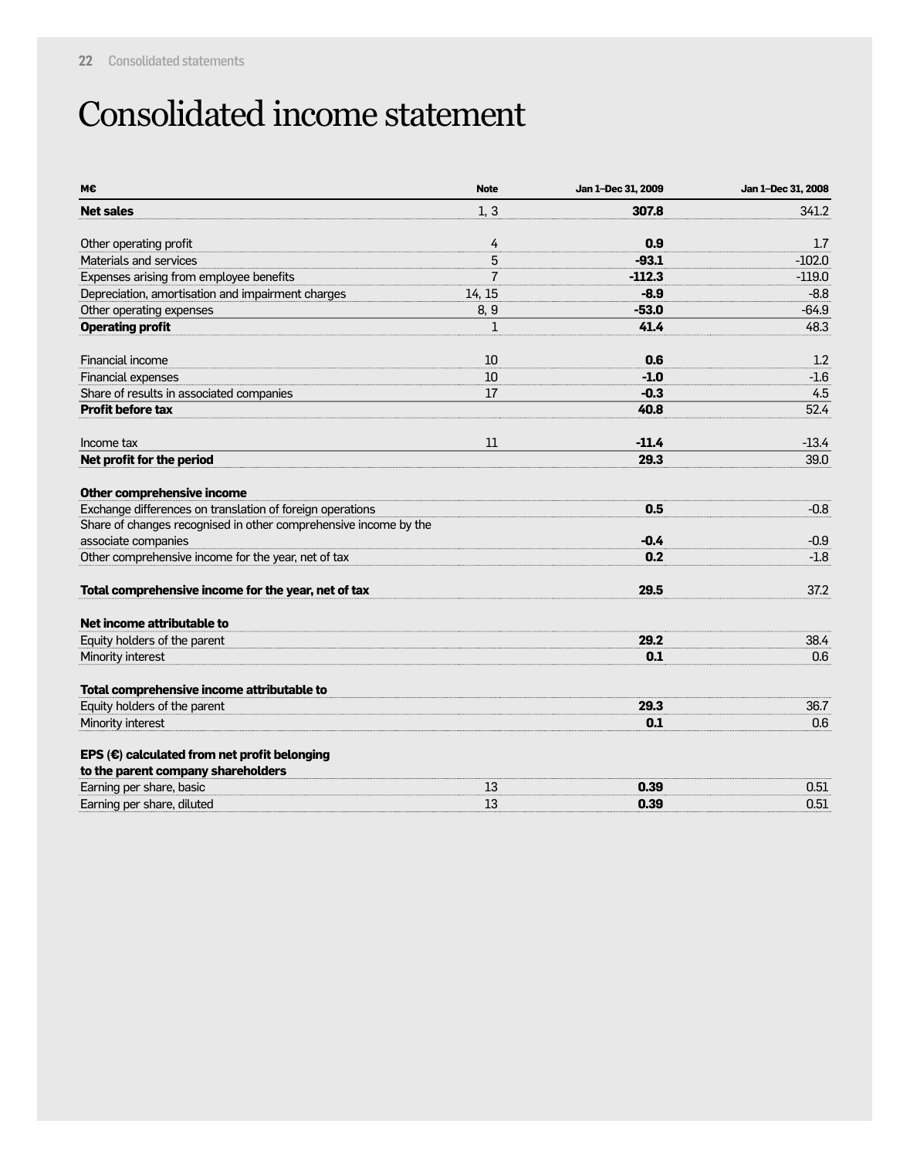### Consolidated income statement

| M€                                                               | <b>Note</b>    | Jan 1-Dec 31, 2009 | Jan 1-Dec 31, 2008 |
|------------------------------------------------------------------|----------------|--------------------|--------------------|
| <b>Net sales</b>                                                 | 1, 3           | 307.8              | 341.2              |
| Other operating profit                                           | 4              | 0.9                | 1.7                |
| Materials and services                                           | 5              | $-93.1$            | $-102.0$           |
| Expenses arising from employee benefits                          | $\overline{7}$ | $-112.3$           | $-119.0$           |
| Depreciation, amortisation and impairment charges                | 14, 15         | $-8.9$             | $-8.8$             |
| Other operating expenses                                         | 8, 9           | $-53.0$            | $-64.9$            |
| <b>Operating profit</b>                                          | $\mathbf 1$    | 41.4               | 48.3               |
| Financial income                                                 | 10             | 0.6                | 1.2                |
| <b>Financial expenses</b>                                        | 10             | $-1.0$             | $-1.6$             |
| Share of results in associated companies                         | 17             | $-0.3$             | 4.5                |
| <b>Profit before tax</b>                                         |                | 40.8               | 52.4               |
| Income tax                                                       | 11             | $-11.4$            | $-13.4$            |
| Net profit for the period                                        |                | 29.3               | 39.0               |
| Other comprehensive income                                       |                |                    |                    |
| Exchange differences on translation of foreign operations        |                | 0.5                | $-0.8$             |
| Share of changes recognised in other comprehensive income by the |                |                    |                    |
| associate companies                                              |                | $-0.4$             | $-0.9$             |
| Other comprehensive income for the year, net of tax              |                | 0.2                | $-1.8$             |
| Total comprehensive income for the year, net of tax              |                | 29.5               | 37.2               |
| Net income attributable to                                       |                |                    |                    |
| Equity holders of the parent                                     |                | 29.2               | 38.4               |
| Minority interest                                                |                | 0.1                | 0.6                |
| Total comprehensive income attributable to                       |                |                    |                    |
| Equity holders of the parent                                     |                | 29.3               | 36.7               |
| Minority interest                                                |                | 0.1                | 0.6                |
| EPS $(\epsilon)$ calculated from net profit belonging            |                |                    |                    |
| to the parent company shareholders                               |                |                    |                    |
| Earning per share, basic                                         | 13             | 0.39               | 0.51               |
| Earning per share, diluted                                       | 13             | 0.39               | 0.51               |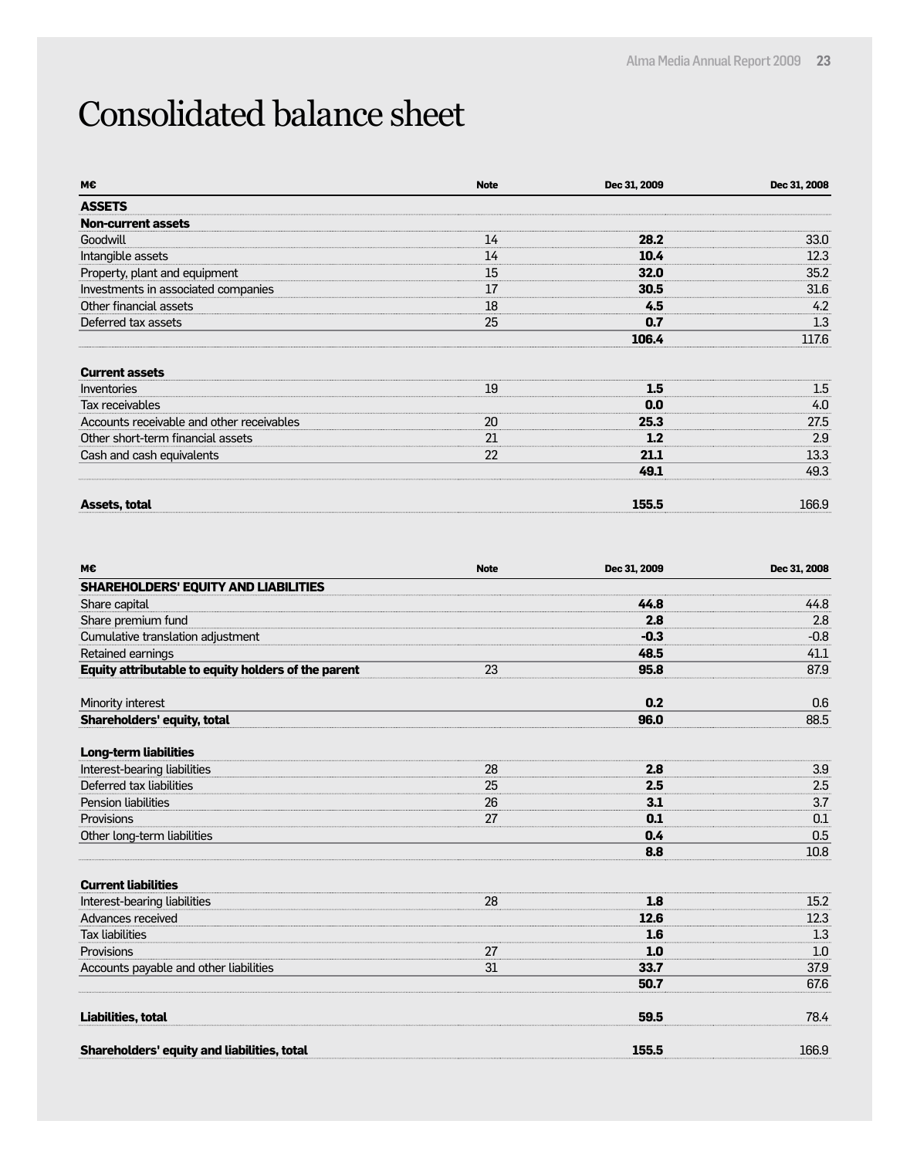### Consolidated balance sheet

| M€                                        | <b>Note</b> | Dec 31, 2009 | Dec 31, 2008 |
|-------------------------------------------|-------------|--------------|--------------|
| <b>ASSETS</b>                             |             |              |              |
| <b>Non-current assets</b>                 |             |              |              |
| Goodwill                                  | 14          | 28.2         | 33.0         |
| Intangible assets                         | 14          | 10.4         | 12.3         |
| Property, plant and equipment             | 15          | 32.0         | 35.2         |
| Investments in associated companies       | 17          | 30.5         | 31.6         |
| Other financial assets                    | 18          | 4.5          | 4.2          |
| Deferred tax assets                       | 25          | 0.7          | 1.3          |
|                                           |             | 106.4        | 117.6        |
| <b>Current assets</b>                     |             |              |              |
| Inventories                               | 19          | 1.5          | $1.5\,$      |
| Tax receivables                           |             | 0.0          | 4.0          |
| Accounts receivable and other receivables | 20          | 25.3         | 27.5         |
| Other short-term financial assets         | 21          | 1.2          | 2.9          |
| Cash and cash equivalents                 | 22          | 21.1         | 13.3         |
|                                           |             | 49.1         | 49.3         |
| <b>Assets, total</b>                      |             | 155.5        | 166.9        |

| M€                                                  | <b>Note</b> | Dec 31, 2009 | Dec 31, 2008 |
|-----------------------------------------------------|-------------|--------------|--------------|
| <b>SHAREHOLDERS' EQUITY AND LIABILITIES</b>         |             |              |              |
| Share capital                                       |             | 44.8         | 44.8         |
| Share premium fund                                  |             | 2.8          | 2.8          |
| Cumulative translation adjustment                   |             | $-0.3$       | $-0.8$       |
| Retained earnings                                   |             | 48.5         | 41.1         |
| Equity attributable to equity holders of the parent | 23          | 95.8         | 87.9         |
| Minority interest                                   |             | 0.2          | 0.6          |
| <b>Shareholders' equity, total</b>                  |             | 96.0         | 88.5         |
| <b>Long-term liabilities</b>                        |             |              |              |
| Interest-bearing liabilities                        | 28          | 2.8          | 3.9          |
| Deferred tax liabilities                            | 25          | 2.5          | 2.5          |
| <b>Pension liabilities</b>                          | 26          | 3.1          | 3.7          |
| Provisions                                          | 27          | 0.1          | 0.1          |
| Other long-term liabilities                         |             | 0.4          | 0.5          |
|                                                     |             | 8.8          | 10.8         |
| <b>Current liabilities</b>                          |             |              |              |
| Interest-bearing liabilities                        | 28          | 1.8          | 15.2         |
| Advances received                                   |             | 12.6         | 12.3         |
| <b>Tax liabilities</b>                              |             | 1.6          | 1.3          |
| Provisions                                          | 27          | 1.0          | 1.0          |
| Accounts payable and other liabilities              | 31          | 33.7         | 37.9         |
|                                                     |             | 50.7         | 67.6         |
| Liabilities, total                                  |             | 59.5         | 78.4         |
| Shareholders' equity and liabilities, total         |             | 155.5        | 166.9        |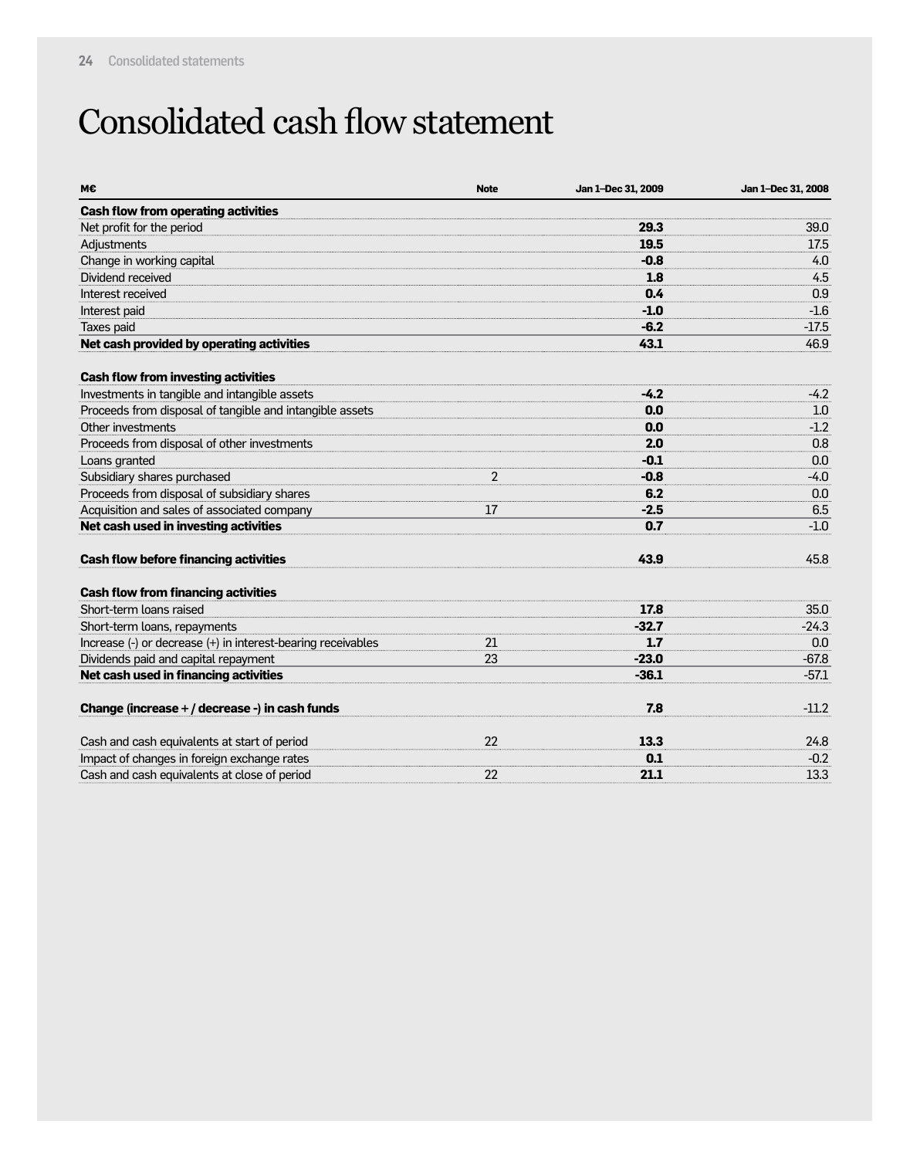### Consolidated cash flow statement

| М€                                                           | <b>Note</b>    | Jan 1-Dec 31, 2009 | Jan 1-Dec 31, 2008 |
|--------------------------------------------------------------|----------------|--------------------|--------------------|
| <b>Cash flow from operating activities</b>                   |                |                    |                    |
| Net profit for the period                                    |                | 29.3               | 39.0               |
| Adjustments                                                  |                | 19.5               | 17.5               |
| Change in working capital                                    |                | $-0.8$             | 4.0                |
| Dividend received                                            |                | 1.8                | 4.5                |
| Interest received                                            |                | 0.4                | 0.9                |
| Interest paid                                                |                | $-1.0$             | $-1.6$             |
| Taxes paid                                                   |                | $-6.2$             | $-17.5$            |
| Net cash provided by operating activities                    |                | 43.1               | 46.9               |
| <b>Cash flow from investing activities</b>                   |                |                    |                    |
| Investments in tangible and intangible assets                |                | $-4.2$             | $-4.2$             |
| Proceeds from disposal of tangible and intangible assets     |                | 0.0                | 1.0                |
| Other investments                                            |                | 0.0                | $-1.2$             |
| Proceeds from disposal of other investments                  |                | 2.0                | 0.8                |
| Loans granted                                                |                | $-0.1$             | 0.0                |
| Subsidiary shares purchased                                  | $\overline{2}$ | $-0.8$             | $-4.0$             |
| Proceeds from disposal of subsidiary shares                  |                | 6.2                | 0.0                |
| Acquisition and sales of associated company                  | 17             | $-2.5$             | 6.5                |
| Net cash used in investing activities                        |                | 0.7                | $-1.0$             |
| <b>Cash flow before financing activities</b>                 |                | 43.9               | 45.8               |
| <b>Cash flow from financing activities</b>                   |                |                    |                    |
| Short-term loans raised                                      |                | 17.8               | 35.0               |
| Short-term loans, repayments                                 |                | $-32.7$            | $-24.3$            |
| Increase (-) or decrease (+) in interest-bearing receivables | 21             | 1.7                | 0.0                |
| Dividends paid and capital repayment                         | 23             | $-23.0$            | $-67.8$            |
| Net cash used in financing activities                        |                | $-36.1$            | $-57.1$            |
| Change (increase + / decrease -) in cash funds               |                | 7.8                | $-11.2$            |
| Cash and cash equivalents at start of period                 | 22             | 13.3               | 24.8               |
| Impact of changes in foreign exchange rates                  |                | 0.1                | $-0.2$             |
| Cash and cash equivalents at close of period                 | 22             | 21.1               | 13.3               |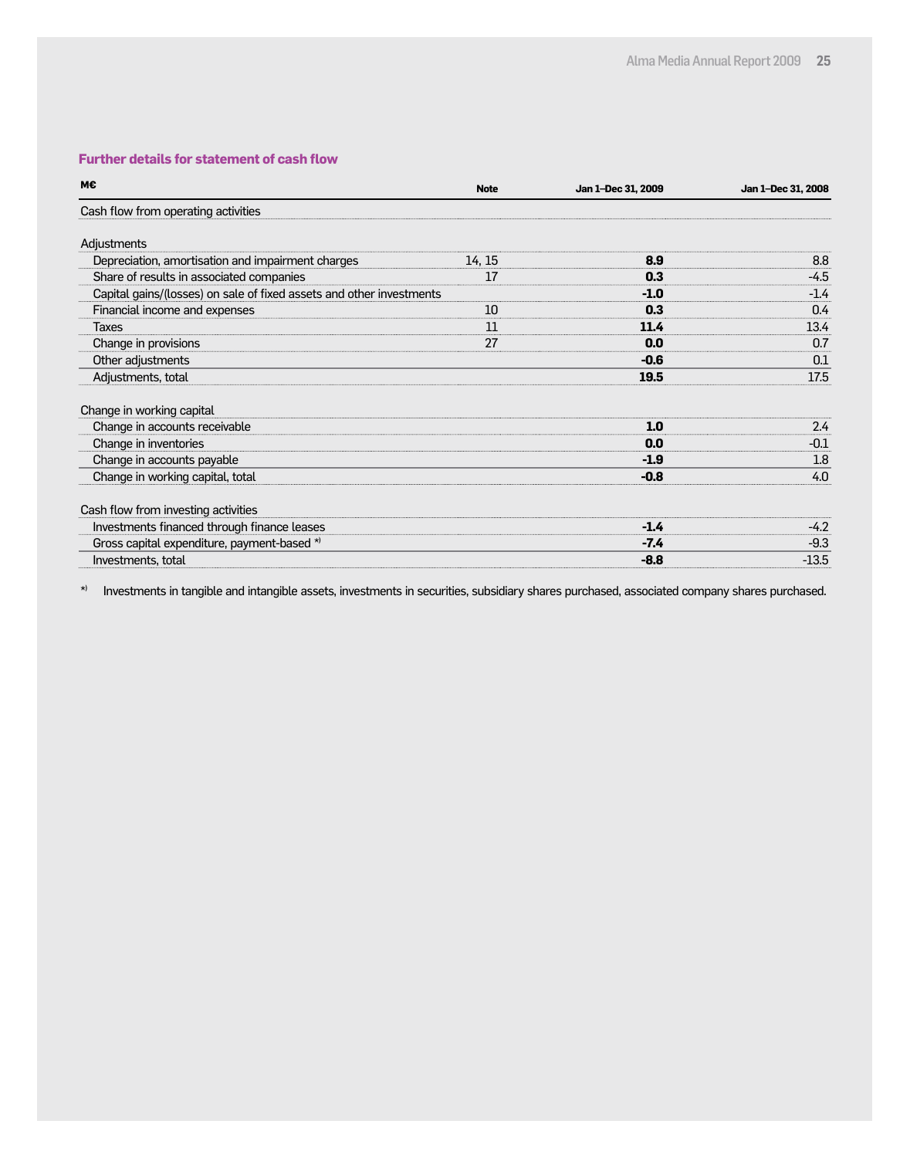#### **Further details for statement of cash flow**

| M€                                                                   | <b>Note</b> | Jan 1-Dec 31, 2009 | Jan 1-Dec 31, 2008 |
|----------------------------------------------------------------------|-------------|--------------------|--------------------|
| Cash flow from operating activities                                  |             |                    |                    |
| Adjustments                                                          |             |                    |                    |
| Depreciation, amortisation and impairment charges                    | 14, 15      | 8.9                | 8.8                |
| Share of results in associated companies                             | 17          | 0.3                | -4.5               |
| Capital gains/(losses) on sale of fixed assets and other investments |             | $-1.0$             | $-1.4$             |
| Financial income and expenses                                        | 10          | 0.3                | 0.4                |
| Taxes                                                                | 11          | 11.4               | 13.4               |
| Change in provisions                                                 | 27          | 0.0                | 0.7                |
| Other adjustments                                                    |             | $-0.6$             | 0.1                |
| Adjustments, total                                                   |             | 19.5               | 17.5               |
| Change in working capital                                            |             |                    |                    |
| Change in accounts receivable                                        |             | 1.0                | 2.4                |
| Change in inventories                                                |             | 0.0                | $-0.1$             |
| Change in accounts payable                                           |             | $-1.9$             | 1.8                |
| Change in working capital, total                                     |             | $-0.8$             | 4.0                |
| Cash flow from investing activities                                  |             |                    |                    |
| Investments financed through finance leases                          |             | $-1.4$             | $-4.2$             |
| Gross capital expenditure, payment-based *)                          |             | $-7.4$             | $-9.3$             |
| Investments, total                                                   |             | $-8.8$             | $-13.5$            |

\*) Investments in tangible and intangible assets, investments in securities, subsidiary shares purchased, associated company shares purchased.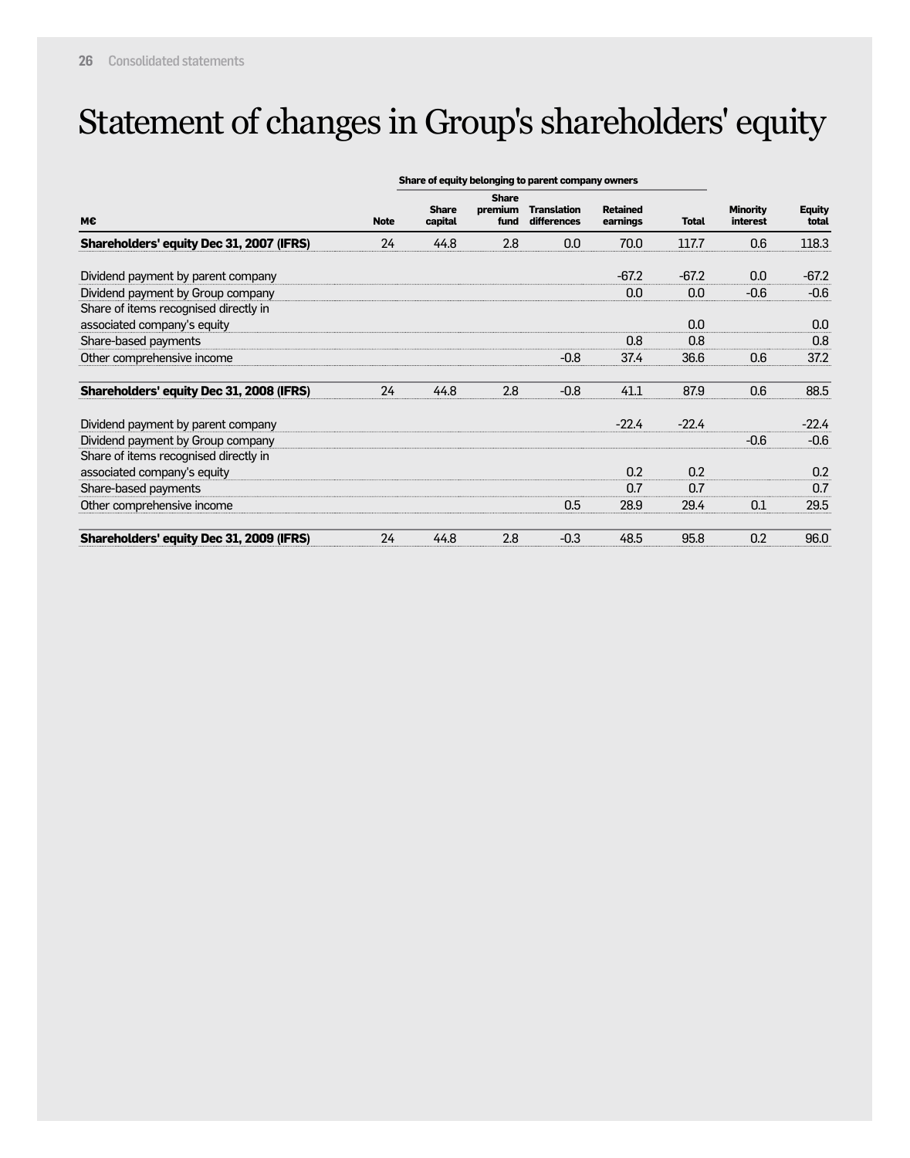### Statement of changes in Group's shareholders' equity

|                                          | Share of equity belonging to parent company owners |                         |                                 |                                   |                             |              |                             |                        |
|------------------------------------------|----------------------------------------------------|-------------------------|---------------------------------|-----------------------------------|-----------------------------|--------------|-----------------------------|------------------------|
| M€                                       | <b>Note</b>                                        | <b>Share</b><br>capital | <b>Share</b><br>premium<br>fund | <b>Translation</b><br>differences | <b>Retained</b><br>earnings | <b>Total</b> | <b>Minority</b><br>interest | <b>Equity</b><br>total |
| Shareholders' equity Dec 31, 2007 (IFRS) | 24                                                 | 44.8                    | 2.8                             | 0.0                               | 70.0                        | 117.7        | 0.6                         | 118.3                  |
| Dividend payment by parent company       |                                                    |                         |                                 |                                   | $-67.2$                     | $-67.2$      | 0.0                         | $-67.2$                |
| Dividend payment by Group company        |                                                    |                         |                                 |                                   | 0.0                         | 0.0          | $-0.6$                      | $-0.6$                 |
| Share of items recognised directly in    |                                                    |                         |                                 |                                   |                             |              |                             |                        |
| associated company's equity              |                                                    |                         |                                 |                                   |                             | 0.0          |                             | 0.0                    |
| Share-based payments                     |                                                    |                         |                                 |                                   | 0.8                         | 0.8          |                             | 0.8                    |
| Other comprehensive income               |                                                    |                         |                                 | $-0.8$                            | 37.4                        | 36.6         | 0.6                         | 37.2                   |
| Shareholders' equity Dec 31, 2008 (IFRS) | 24                                                 | 44.8                    | 2.8                             | $-0.8$                            | 41.1                        | 87.9         | 0.6                         | 88.5                   |
| Dividend payment by parent company       |                                                    |                         |                                 |                                   | $-22.4$                     | $-22.4$      |                             | $-22.4$                |
| Dividend payment by Group company        |                                                    |                         |                                 |                                   |                             |              | $-0.6$                      | $-0.6$                 |
| Share of items recognised directly in    |                                                    |                         |                                 |                                   |                             |              |                             |                        |
| associated company's equity              |                                                    |                         |                                 |                                   | 0.2                         | 0.2          |                             | 0.2                    |
| Share-based payments                     |                                                    |                         |                                 |                                   | 0.7                         | 0.7          |                             | 0.7                    |
| Other comprehensive income               |                                                    |                         |                                 | 0.5                               | 28.9                        | 29.4         | 0.1                         | 29.5                   |
| Shareholders' equity Dec 31, 2009 (IFRS) | 24                                                 | 44.8                    | 2.8                             | $-0.3$                            | 48.5                        | 95.8         | 0.2                         | 96.0                   |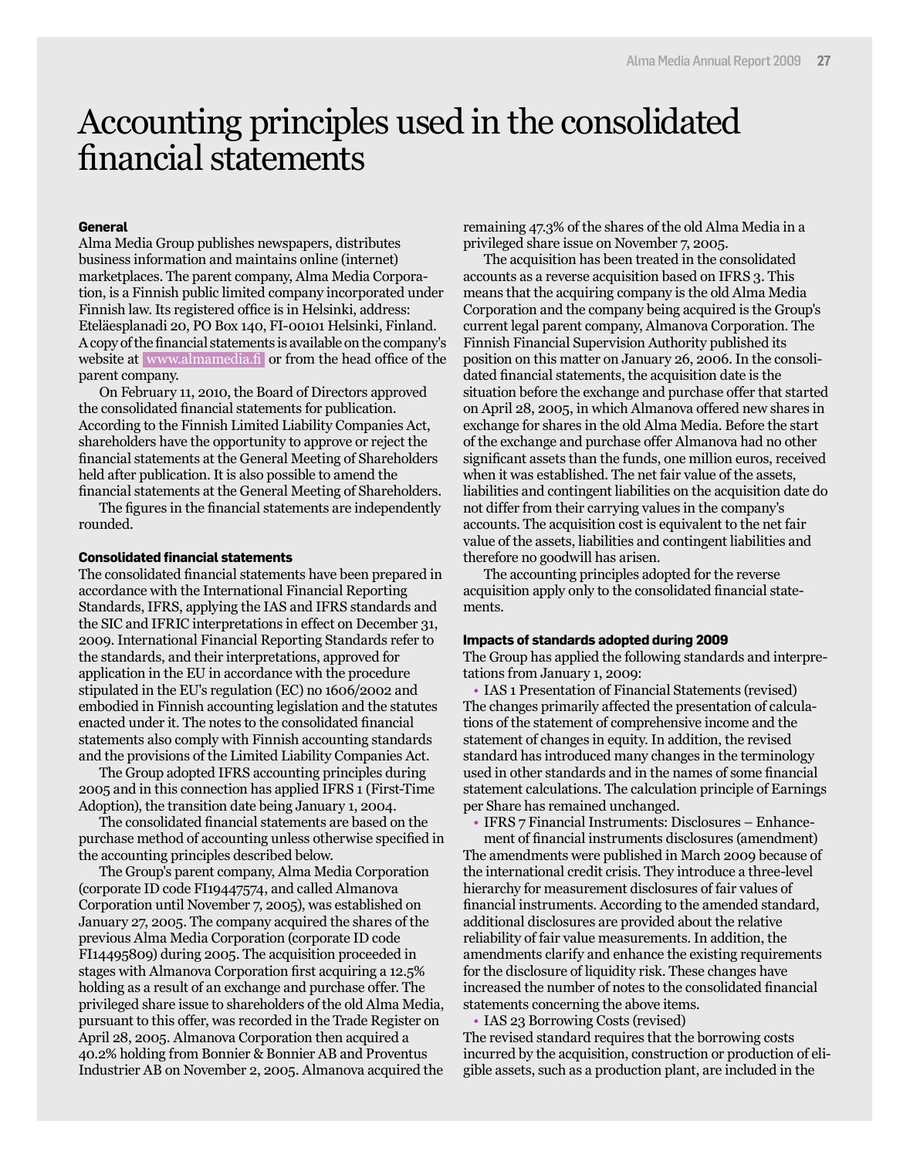### Accounting principles used in the consolidated financial statements

#### **General**

Alma Media Group publishes newspapers, distributes business information and maintains online (internet) marketplaces. The parent company, Alma Media Corporation, is a Finnish public limited company incorporated under Finnish law. Its registered office is in Helsinki, address: Eteläesplanadi 20, PO Box 140, FI-00101 Helsinki, Finland. A copy of the financial statements is available on the company's website at www.almamedia.fi or from the head office of the parent company.

On February 11, 2010, the Board of Directors approved the consolidated financial statements for publication. According to the Finnish Limited Liability Companies Act, shareholders have the opportunity to approve or reject the financial statements at the General Meeting of Shareholders held after publication. It is also possible to amend the financial statements at the General Meeting of Shareholders.

The figures in the financial statements are independently rounded.

#### **Consolidated financial statements**

The consolidated financial statements have been prepared in accordance with the International Financial Reporting Standards, IFRS, applying the IAS and IFRS standards and the SIC and IFRIC interpretations in effect on December 31, 2009. International Financial Reporting Standards refer to the standards, and their interpretations, approved for application in the EU in accordance with the procedure stipulated in the EU's regulation (EC) no 1606/2002 and embodied in Finnish accounting legislation and the statutes enacted under it. The notes to the consolidated financial statements also comply with Finnish accounting standards and the provisions of the Limited Liability Companies Act.

The Group adopted IFRS accounting principles during 2005 and in this connection has applied IFRS 1 (First-Time Adoption), the transition date being January 1, 2004.

The consolidated financial statements are based on the purchase method of accounting unless otherwise specified in the accounting principles described below.

The Group's parent company, Alma Media Corporation (corporate ID code FI19447574, and called Almanova Corporation until November 7, 2005), was established on January 27, 2005. The company acquired the shares of the previous Alma Media Corporation (corporate ID code FI14495809) during 2005. The acquisition proceeded in stages with Almanova Corporation first acquiring a 12.5% holding as a result of an exchange and purchase offer. The privileged share issue to shareholders of the old Alma Media, pursuant to this offer, was recorded in the Trade Register on April 28, 2005. Almanova Corporation then acquired a 40.2% holding from Bonnier & Bonnier AB and Proventus Industrier AB on November 2, 2005. Almanova acquired the

remaining 47.3% of the shares of the old Alma Media in a privileged share issue on November 7, 2005.

The acquisition has been treated in the consolidated accounts as a reverse acquisition based on IFRS 3. This means that the acquiring company is the old Alma Media Corporation and the company being acquired is the Group's current legal parent company, Almanova Corporation. The Finnish Financial Supervision Authority published its position on this matter on January 26, 2006. In the consolidated financial statements, the acquisition date is the situation before the exchange and purchase offer that started on April 28, 2005, in which Almanova offered new shares in exchange for shares in the old Alma Media. Before the start of the exchange and purchase offer Almanova had no other significant assets than the funds, one million euros, received when it was established. The net fair value of the assets, liabilities and contingent liabilities on the acquisition date do not differ from their carrying values in the company's accounts. The acquisition cost is equivalent to the net fair value of the assets, liabilities and contingent liabilities and therefore no goodwill has arisen.

The accounting principles adopted for the reverse acquisition apply only to the consolidated financial statements.

#### **Impacts of standards adopted during 2009**

The Group has applied the following standards and interpretations from January 1, 2009:

• IAS 1 Presentation of Financial Statements (revised) The changes primarily affected the presentation of calculations of the statement of comprehensive income and the statement of changes in equity. In addition, the revised standard has introduced many changes in the terminology used in other standards and in the names of some financial statement calculations. The calculation principle of Earnings per Share has remained unchanged.

• IFRS 7 Financial Instruments: Disclosures – Enhance-

ment of financial instruments disclosures (amendment) The amendments were published in March 2009 because of the international credit crisis. They introduce a three-level hierarchy for measurement disclosures of fair values of financial instruments. According to the amended standard, additional disclosures are provided about the relative reliability of fair value measurements. In addition, the amendments clarify and enhance the existing requirements for the disclosure of liquidity risk. These changes have increased the number of notes to the consolidated financial statements concerning the above items.

• IAS 23 Borrowing Costs (revised) The revised standard requires that the borrowing costs incurred by the acquisition, construction or production of eligible assets, such as a production plant, are included in the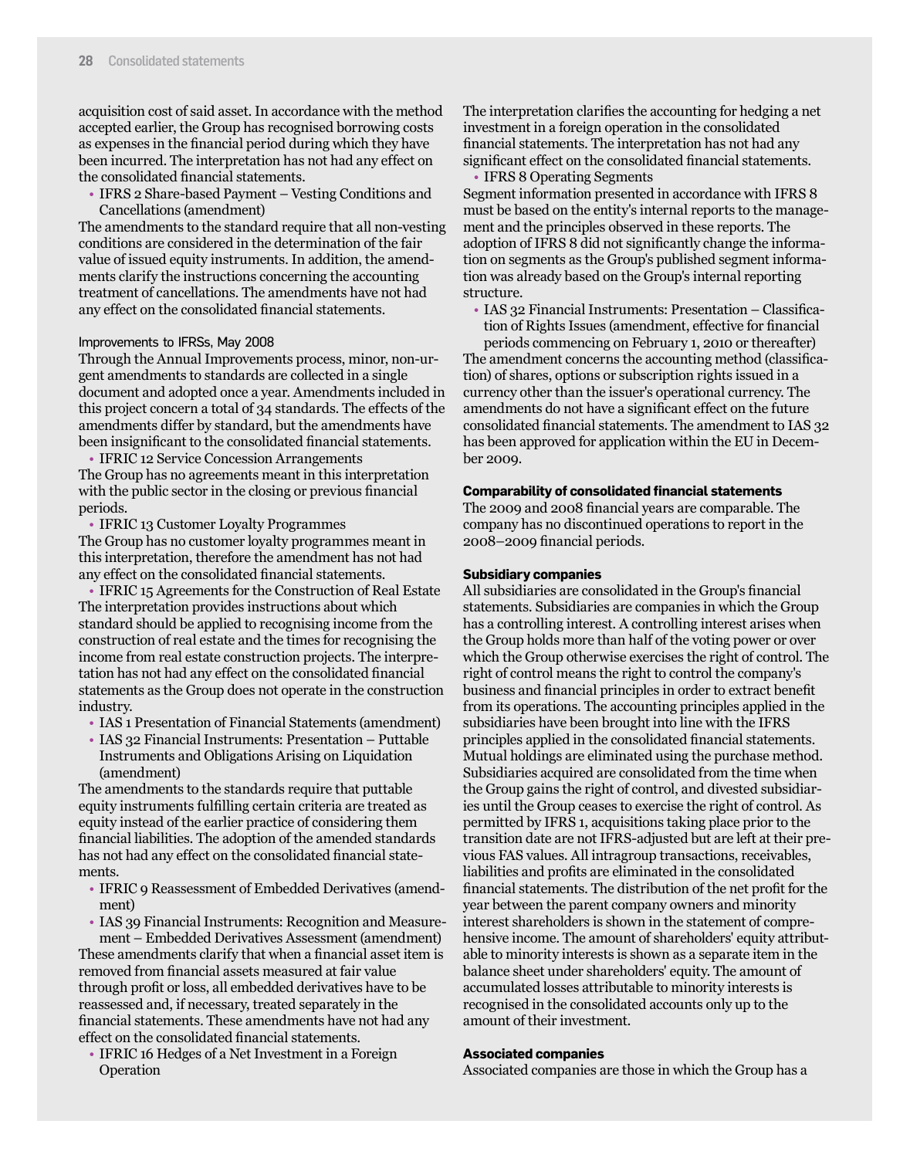acquisition cost of said asset. In accordance with the method accepted earlier, the Group has recognised borrowing costs as expenses in the financial period during which they have been incurred. The interpretation has not had any effect on the consolidated financial statements.

• IFRS 2 Share-based Payment – Vesting Conditions and Cancellations (amendment)

The amendments to the standard require that all non-vesting conditions are considered in the determination of the fair value of issued equity instruments. In addition, the amendments clarify the instructions concerning the accounting treatment of cancellations. The amendments have not had any effect on the consolidated financial statements.

#### Improvements to IFRSs, May 2008

Through the Annual Improvements process, minor, non-urgent amendments to standards are collected in a single document and adopted once a year. Amendments included in this project concern a total of 34 standards. The effects of the amendments differ by standard, but the amendments have been insignificant to the consolidated financial statements.

• IFRIC 12 Service Concession Arrangements The Group has no agreements meant in this interpretation with the public sector in the closing or previous financial periods.

• IFRIC 13 Customer Loyalty Programmes The Group has no customer loyalty programmes meant in this interpretation, therefore the amendment has not had any effect on the consolidated financial statements.

• IFRIC 15 Agreements for the Construction of Real Estate The interpretation provides instructions about which standard should be applied to recognising income from the construction of real estate and the times for recognising the income from real estate construction projects. The interpretation has not had any effect on the consolidated financial statements as the Group does not operate in the construction industry.

- IAS 1 Presentation of Financial Statements (amendment)
- IAS 32 Financial Instruments: Presentation Puttable Instruments and Obligations Arising on Liquidation (amendment)

The amendments to the standards require that puttable equity instruments fulfilling certain criteria are treated as equity instead of the earlier practice of considering them financial liabilities. The adoption of the amended standards has not had any effect on the consolidated financial statements.

- IFRIC 9 Reassessment of Embedded Derivatives (amendment)
- IAS 39 Financial Instruments: Recognition and Measurement – Embedded Derivatives Assessment (amendment)

These amendments clarify that when a financial asset item is removed from financial assets measured at fair value through profit or loss, all embedded derivatives have to be reassessed and, if necessary, treated separately in the financial statements. These amendments have not had any effect on the consolidated financial statements.

• IFRIC 16 Hedges of a Net Investment in a Foreign Operation

The interpretation clarifies the accounting for hedging a net investment in a foreign operation in the consolidated financial statements. The interpretation has not had any significant effect on the consolidated financial statements.

• IFRS 8 Operating Segments

Segment information presented in accordance with IFRS 8 must be based on the entity's internal reports to the management and the principles observed in these reports. The adoption of IFRS 8 did not significantly change the information on segments as the Group's published segment information was already based on the Group's internal reporting structure.

• IAS 32 Financial Instruments: Presentation – Classification of Rights Issues (amendment, effective for financial

periods commencing on February 1, 2010 or thereafter) The amendment concerns the accounting method (classification) of shares, options or subscription rights issued in a currency other than the issuer's operational currency. The amendments do not have a significant effect on the future consolidated financial statements. The amendment to IAS 32 has been approved for application within the EU in December 2009.

#### **Comparability of consolidated financial statements**

The 2009 and 2008 financial years are comparable. The company has no discontinued operations to report in the 2008–2009 financial periods.

#### **Subsidiary companies**

All subsidiaries are consolidated in the Group's financial statements. Subsidiaries are companies in which the Group has a controlling interest. A controlling interest arises when the Group holds more than half of the voting power or over which the Group otherwise exercises the right of control. The right of control means the right to control the company's business and financial principles in order to extract benefit from its operations. The accounting principles applied in the subsidiaries have been brought into line with the IFRS principles applied in the consolidated financial statements. Mutual holdings are eliminated using the purchase method. Subsidiaries acquired are consolidated from the time when the Group gains the right of control, and divested subsidiaries until the Group ceases to exercise the right of control. As permitted by IFRS 1, acquisitions taking place prior to the transition date are not IFRS-adjusted but are left at their previous FAS values. All intragroup transactions, receivables, liabilities and profits are eliminated in the consolidated financial statements. The distribution of the net profit for the year between the parent company owners and minority interest shareholders is shown in the statement of comprehensive income. The amount of shareholders' equity attributable to minority interests is shown as a separate item in the balance sheet under shareholders' equity. The amount of accumulated losses attributable to minority interests is recognised in the consolidated accounts only up to the amount of their investment.

#### **Associated companies**

Associated companies are those in which the Group has a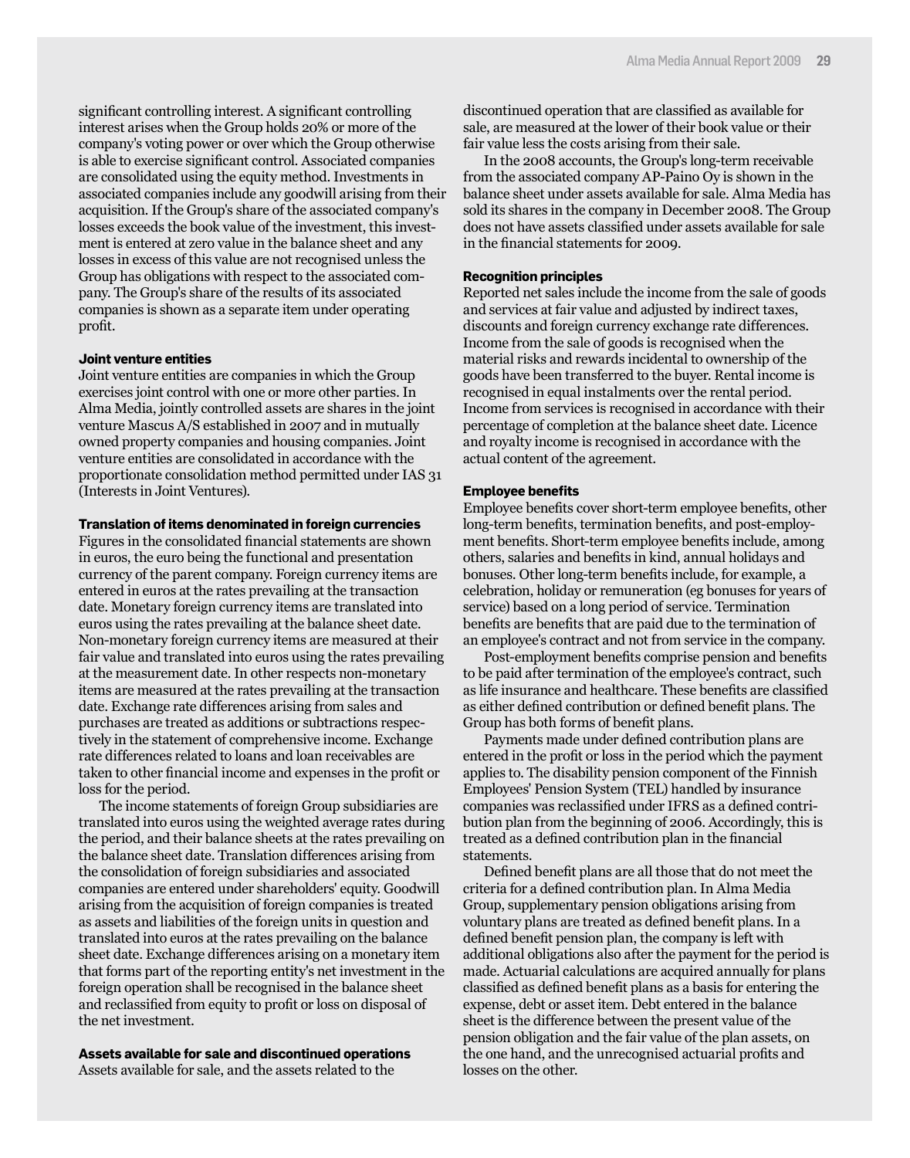significant controlling interest. A significant controlling interest arises when the Group holds 20% or more of the company's voting power or over which the Group otherwise is able to exercise significant control. Associated companies are consolidated using the equity method. Investments in associated companies include any goodwill arising from their acquisition. If the Group's share of the associated company's losses exceeds the book value of the investment, this investment is entered at zero value in the balance sheet and any losses in excess of this value are not recognised unless the Group has obligations with respect to the associated company. The Group's share of the results of its associated companies is shown as a separate item under operating profit.

#### **Joint venture entities**

Joint venture entities are companies in which the Group exercises joint control with one or more other parties. In Alma Media, jointly controlled assets are shares in the joint venture Mascus A/S established in 2007 and in mutually owned property companies and housing companies. Joint venture entities are consolidated in accordance with the proportionate consolidation method permitted under IAS 31 (Interests in Joint Ventures).

#### **Translation of items denominated in foreign currencies**

Figures in the consolidated financial statements are shown in euros, the euro being the functional and presentation currency of the parent company. Foreign currency items are entered in euros at the rates prevailing at the transaction date. Monetary foreign currency items are translated into euros using the rates prevailing at the balance sheet date. Non-monetary foreign currency items are measured at their fair value and translated into euros using the rates prevailing at the measurement date. In other respects non-monetary items are measured at the rates prevailing at the transaction date. Exchange rate differences arising from sales and purchases are treated as additions or subtractions respectively in the statement of comprehensive income. Exchange rate differences related to loans and loan receivables are taken to other financial income and expenses in the profit or loss for the period.

The income statements of foreign Group subsidiaries are translated into euros using the weighted average rates during the period, and their balance sheets at the rates prevailing on the balance sheet date. Translation differences arising from the consolidation of foreign subsidiaries and associated companies are entered under shareholders' equity. Goodwill arising from the acquisition of foreign companies is treated as assets and liabilities of the foreign units in question and translated into euros at the rates prevailing on the balance sheet date. Exchange differences arising on a monetary item that forms part of the reporting entity's net investment in the foreign operation shall be recognised in the balance sheet and reclassified from equity to profit or loss on disposal of the net investment.

**Assets available for sale and discontinued operations** Assets available for sale, and the assets related to the

discontinued operation that are classified as available for sale, are measured at the lower of their book value or their fair value less the costs arising from their sale.

In the 2008 accounts, the Group's long-term receivable from the associated company AP-Paino Oy is shown in the balance sheet under assets available for sale. Alma Media has sold its shares in the company in December 2008. The Group does not have assets classified under assets available for sale in the financial statements for 2009.

#### **Recognition principles**

Reported net sales include the income from the sale of goods and services at fair value and adjusted by indirect taxes, discounts and foreign currency exchange rate differences. Income from the sale of goods is recognised when the material risks and rewards incidental to ownership of the goods have been transferred to the buyer. Rental income is recognised in equal instalments over the rental period. Income from services is recognised in accordance with their percentage of completion at the balance sheet date. Licence and royalty income is recognised in accordance with the actual content of the agreement.

#### **Employee benefits**

Employee benefits cover short-term employee benefits, other long-term benefits, termination benefits, and post-employment benefits. Short-term employee benefits include, among others, salaries and benefits in kind, annual holidays and bonuses. Other long-term benefits include, for example, a celebration, holiday or remuneration (eg bonuses for years of service) based on a long period of service. Termination benefits are benefits that are paid due to the termination of an employee's contract and not from service in the company.

Post-employment benefits comprise pension and benefits to be paid after termination of the employee's contract, such as life insurance and healthcare. These benefits are classified as either defined contribution or defined benefit plans. The Group has both forms of benefit plans.

Payments made under defined contribution plans are entered in the profit or loss in the period which the payment applies to. The disability pension component of the Finnish Employees' Pension System (TEL) handled by insurance companies was reclassified under IFRS as a defined contribution plan from the beginning of 2006. Accordingly, this is treated as a defined contribution plan in the financial statements.

Defined benefit plans are all those that do not meet the criteria for a defined contribution plan. In Alma Media Group, supplementary pension obligations arising from voluntary plans are treated as defined benefit plans. In a defined benefit pension plan, the company is left with additional obligations also after the payment for the period is made. Actuarial calculations are acquired annually for plans classified as defined benefit plans as a basis for entering the expense, debt or asset item. Debt entered in the balance sheet is the difference between the present value of the pension obligation and the fair value of the plan assets, on the one hand, and the unrecognised actuarial profits and losses on the other.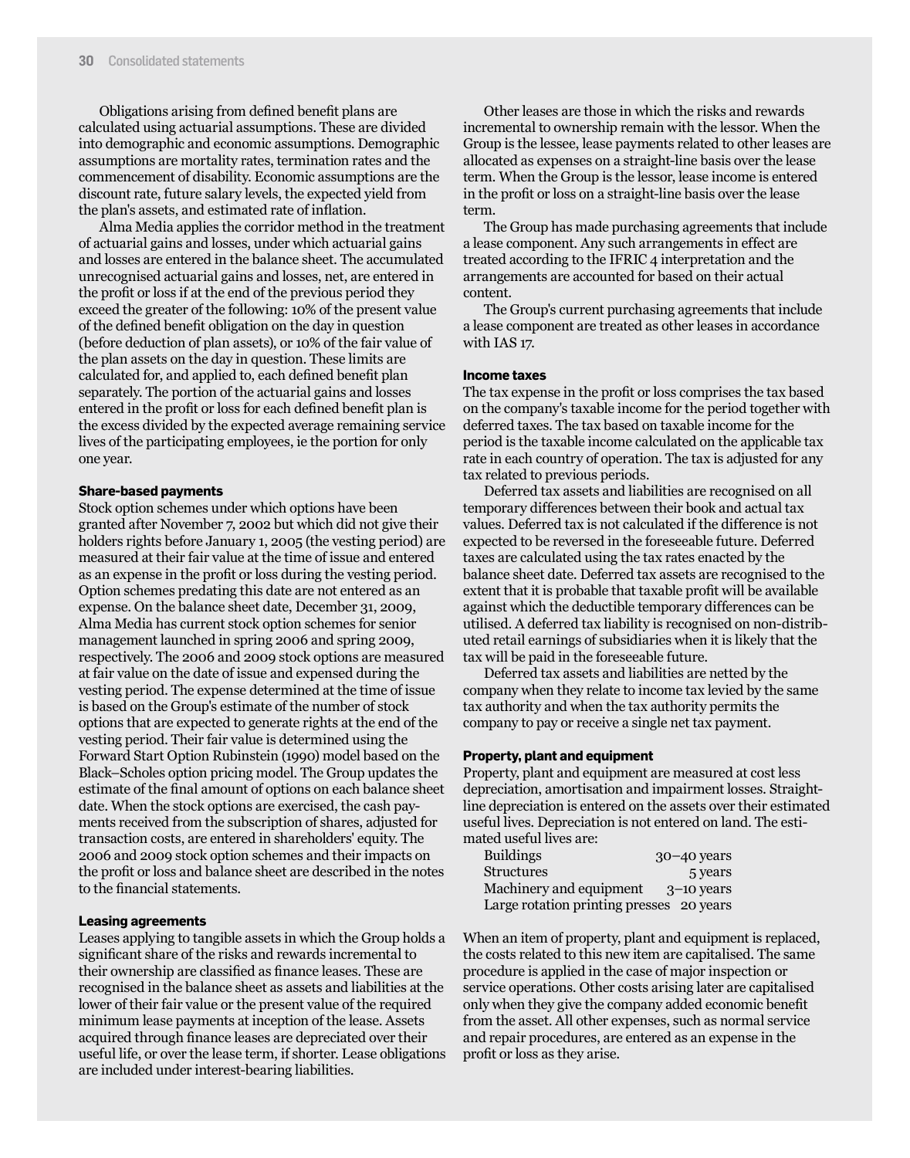Obligations arising from defined benefit plans are calculated using actuarial assumptions. These are divided into demographic and economic assumptions. Demographic assumptions are mortality rates, termination rates and the commencement of disability. Economic assumptions are the discount rate, future salary levels, the expected yield from the plan's assets, and estimated rate of inflation.

Alma Media applies the corridor method in the treatment of actuarial gains and losses, under which actuarial gains and losses are entered in the balance sheet. The accumulated unrecognised actuarial gains and losses, net, are entered in the profit or loss if at the end of the previous period they exceed the greater of the following: 10% of the present value of the defined benefit obligation on the day in question (before deduction of plan assets), or 10% of the fair value of the plan assets on the day in question. These limits are calculated for, and applied to, each defined benefit plan separately. The portion of the actuarial gains and losses entered in the profit or loss for each defined benefit plan is the excess divided by the expected average remaining service lives of the participating employees, ie the portion for only one year.

#### **Share-based payments**

Stock option schemes under which options have been granted after November 7, 2002 but which did not give their holders rights before January 1, 2005 (the vesting period) are measured at their fair value at the time of issue and entered as an expense in the profit or loss during the vesting period. Option schemes predating this date are not entered as an expense. On the balance sheet date, December 31, 2009, Alma Media has current stock option schemes for senior management launched in spring 2006 and spring 2009, respectively. The 2006 and 2009 stock options are measured at fair value on the date of issue and expensed during the vesting period. The expense determined at the time of issue is based on the Group's estimate of the number of stock options that are expected to generate rights at the end of the vesting period. Their fair value is determined using the Forward Start Option Rubinstein (1990) model based on the Black–Scholes option pricing model. The Group updates the estimate of the final amount of options on each balance sheet date. When the stock options are exercised, the cash payments received from the subscription of shares, adjusted for transaction costs, are entered in shareholders' equity. The 2006 and 2009 stock option schemes and their impacts on the profit or loss and balance sheet are described in the notes to the financial statements.

#### **Leasing agreements**

Leases applying to tangible assets in which the Group holds a significant share of the risks and rewards incremental to their ownership are classified as finance leases. These are recognised in the balance sheet as assets and liabilities at the lower of their fair value or the present value of the required minimum lease payments at inception of the lease. Assets acquired through finance leases are depreciated over their useful life, or over the lease term, if shorter. Lease obligations are included under interest-bearing liabilities.

Other leases are those in which the risks and rewards incremental to ownership remain with the lessor. When the Group is the lessee, lease payments related to other leases are allocated as expenses on a straight-line basis over the lease term. When the Group is the lessor, lease income is entered in the profit or loss on a straight-line basis over the lease term.

The Group has made purchasing agreements that include a lease component. Any such arrangements in effect are treated according to the IFRIC 4 interpretation and the arrangements are accounted for based on their actual content.

The Group's current purchasing agreements that include a lease component are treated as other leases in accordance with IAS 17.

#### **Income taxes**

The tax expense in the profit or loss comprises the tax based on the company's taxable income for the period together with deferred taxes. The tax based on taxable income for the period is the taxable income calculated on the applicable tax rate in each country of operation. The tax is adjusted for any tax related to previous periods.

Deferred tax assets and liabilities are recognised on all temporary differences between their book and actual tax values. Deferred tax is not calculated if the difference is not expected to be reversed in the foreseeable future. Deferred taxes are calculated using the tax rates enacted by the balance sheet date. Deferred tax assets are recognised to the extent that it is probable that taxable profit will be available against which the deductible temporary differences can be utilised. A deferred tax liability is recognised on non-distributed retail earnings of subsidiaries when it is likely that the tax will be paid in the foreseeable future.

Deferred tax assets and liabilities are netted by the company when they relate to income tax levied by the same tax authority and when the tax authority permits the company to pay or receive a single net tax payment.

#### **Property, plant and equipment**

Property, plant and equipment are measured at cost less depreciation, amortisation and impairment losses. Straightline depreciation is entered on the assets over their estimated useful lives. Depreciation is not entered on land. The estimated useful lives are:

| <b>Buildings</b>                         | $30 - 40$ years |
|------------------------------------------|-----------------|
| <b>Structures</b>                        | 5 years         |
| Machinery and equipment                  | $3-10$ years    |
| Large rotation printing presses 20 years |                 |

When an item of property, plant and equipment is replaced, the costs related to this new item are capitalised. The same procedure is applied in the case of major inspection or service operations. Other costs arising later are capitalised only when they give the company added economic benefit from the asset. All other expenses, such as normal service and repair procedures, are entered as an expense in the profit or loss as they arise.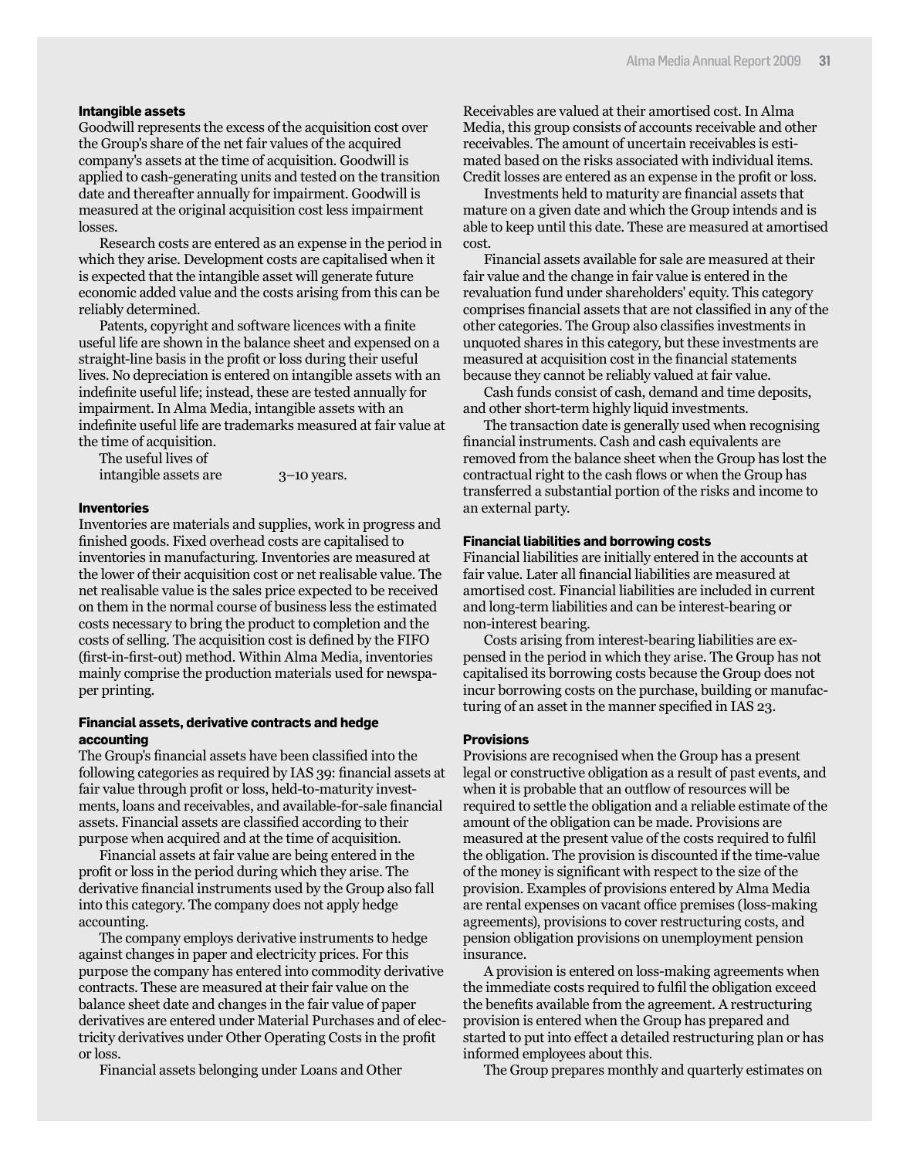#### **Intangible assets**

Goodwill represents the excess of the acquisition cost over the Group's share of the net fair values of the acquired company's assets at the time of acquisition. Goodwill is applied to cash-generating units and tested on the transition date and thereafter annually for impairment. Goodwill is measured at the original acquisition cost less impairment losses.

Research costs are entered as an expense in the period in which they arise. Development costs are capitalised when it is expected that the intangible asset will generate future economic added value and the costs arising from this can be reliably determined.

Patents, copyright and software licences with a finite useful life are shown in the balance sheet and expensed on a straight-line basis in the profit or loss during their useful lives. No depreciation is entered on intangible assets with an indefinite useful life; instead, these are tested annually for impairment. In Alma Media, intangible assets with an indefinite useful life are trademarks measured at fair value at the time of acquisition.

The useful lives of intangible assets are 3–10 years.

#### **Inventories**

Inventories are materials and supplies, work in progress and finished goods. Fixed overhead costs are capitalised to inventories in manufacturing. Inventories are measured at the lower of their acquisition cost or net realisable value. The net realisable value is the sales price expected to be received on them in the normal course of business less the estimated costs necessary to bring the product to completion and the costs of selling. The acquisition cost is defined by the FIFO (first-in-first-out) method. Within Alma Media, inventories mainly comprise the production materials used for newspaper printing.

#### **Financial assets, derivative contracts and hedge accounting**

The Group's financial assets have been classified into the following categories as required by IAS 39: financial assets at fair value through profit or loss, held-to-maturity investments, loans and receivables, and available-for-sale financial assets. Financial assets are classified according to their purpose when acquired and at the time of acquisition.

Financial assets at fair value are being entered in the profit or loss in the period during which they arise. The derivative financial instruments used by the Group also fall into this category. The company does not apply hedge accounting.

The company employs derivative instruments to hedge against changes in paper and electricity prices. For this purpose the company has entered into commodity derivative contracts. These are measured at their fair value on the balance sheet date and changes in the fair value of paper derivatives are entered under Material Purchases and of electricity derivatives under Other Operating Costs in the profit or loss.

Financial assets belonging under Loans and Other

Receivables are valued at their amortised cost. In Alma Media, this group consists of accounts receivable and other receivables. The amount of uncertain receivables is estimated based on the risks associated with individual items. Credit losses are entered as an expense in the profit or loss.

Investments held to maturity are financial assets that mature on a given date and which the Group intends and is able to keep until this date. These are measured at amortised cost.

Financial assets available for sale are measured at their fair value and the change in fair value is entered in the revaluation fund under shareholders' equity. This category comprises financial assets that are not classified in any of the other categories. The Group also classifies investments in unquoted shares in this category, but these investments are measured at acquisition cost in the financial statements because they cannot be reliably valued at fair value.

Cash funds consist of cash, demand and time deposits, and other short-term highly liquid investments.

The transaction date is generally used when recognising financial instruments. Cash and cash equivalents are removed from the balance sheet when the Group has lost the contractual right to the cash flows or when the Group has transferred a substantial portion of the risks and income to an external party.

#### **Financial liabilities and borrowing costs**

Financial liabilities are initially entered in the accounts at fair value. Later all financial liabilities are measured at amortised cost. Financial liabilities are included in current and long-term liabilities and can be interest-bearing or non-interest bearing.

Costs arising from interest-bearing liabilities are expensed in the period in which they arise. The Group has not capitalised its borrowing costs because the Group does not incur borrowing costs on the purchase, building or manufacturing of an asset in the manner specified in IAS 23.

#### **Provisions**

Provisions are recognised when the Group has a present legal or constructive obligation as a result of past events, and when it is probable that an outflow of resources will be required to settle the obligation and a reliable estimate of the amount of the obligation can be made. Provisions are measured at the present value of the costs required to fulfil the obligation. The provision is discounted if the time-value of the money is significant with respect to the size of the provision. Examples of provisions entered by Alma Media are rental expenses on vacant office premises (loss-making agreements), provisions to cover restructuring costs, and pension obligation provisions on unemployment pension insurance.

A provision is entered on loss-making agreements when the immediate costs required to fulfil the obligation exceed the benefits available from the agreement. A restructuring provision is entered when the Group has prepared and started to put into effect a detailed restructuring plan or has informed employees about this.

The Group prepares monthly and quarterly estimates on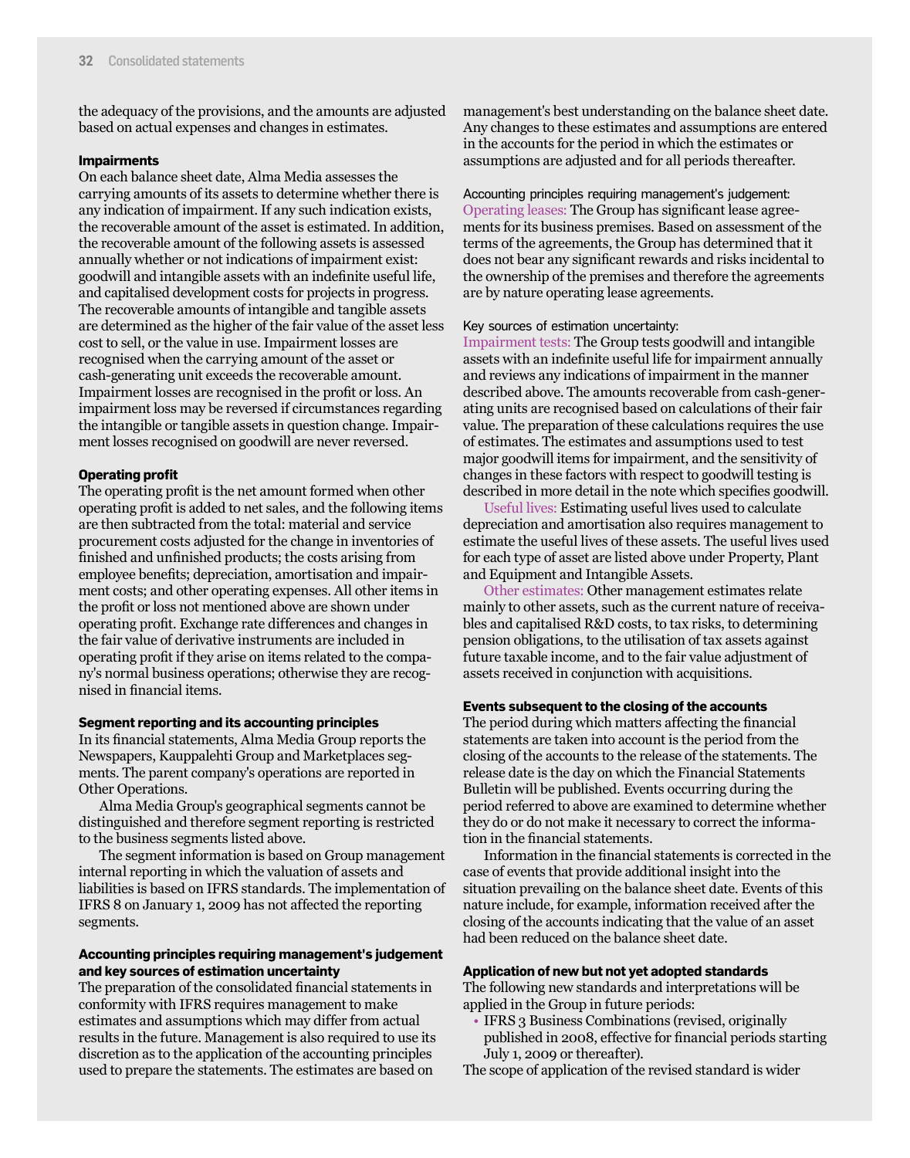the adequacy of the provisions, and the amounts are adjusted based on actual expenses and changes in estimates.

#### **Impairments**

On each balance sheet date, Alma Media assesses the carrying amounts of its assets to determine whether there is any indication of impairment. If any such indication exists, the recoverable amount of the asset is estimated. In addition, the recoverable amount of the following assets is assessed annually whether or not indications of impairment exist: goodwill and intangible assets with an indefinite useful life, and capitalised development costs for projects in progress. The recoverable amounts of intangible and tangible assets are determined as the higher of the fair value of the asset less cost to sell, or the value in use. Impairment losses are recognised when the carrying amount of the asset or cash-generating unit exceeds the recoverable amount. Impairment losses are recognised in the profit or loss. An impairment loss may be reversed if circumstances regarding the intangible or tangible assets in question change. Impairment losses recognised on goodwill are never reversed.

#### **Operating profit**

The operating profit is the net amount formed when other operating profit is added to net sales, and the following items are then subtracted from the total: material and service procurement costs adjusted for the change in inventories of finished and unfinished products; the costs arising from employee benefits; depreciation, amortisation and impairment costs; and other operating expenses. All other items in the profit or loss not mentioned above are shown under operating profit. Exchange rate differences and changes in the fair value of derivative instruments are included in operating profit if they arise on items related to the company's normal business operations; otherwise they are recognised in financial items.

#### **Segment reporting and its accounting principles**

In its financial statements, Alma Media Group reports the Newspapers, Kauppalehti Group and Marketplaces segments. The parent company's operations are reported in Other Operations.

Alma Media Group's geographical segments cannot be distinguished and therefore segment reporting is restricted to the business segments listed above.

The segment information is based on Group management internal reporting in which the valuation of assets and liabilities is based on IFRS standards. The implementation of IFRS 8 on January 1, 2009 has not affected the reporting segments.

#### **Accounting principles requiring management's judgement and key sources of estimation uncertainty**

The preparation of the consolidated financial statements in conformity with IFRS requires management to make estimates and assumptions which may differ from actual results in the future. Management is also required to use its discretion as to the application of the accounting principles used to prepare the statements. The estimates are based on

management's best understanding on the balance sheet date. Any changes to these estimates and assumptions are entered in the accounts for the period in which the estimates or assumptions are adjusted and for all periods thereafter.

Accounting principles requiring management's judgement: Operating leases: The Group has significant lease agreements for its business premises. Based on assessment of the terms of the agreements, the Group has determined that it does not bear any significant rewards and risks incidental to the ownership of the premises and therefore the agreements are by nature operating lease agreements.

#### Key sources of estimation uncertainty:

Impairment tests: The Group tests goodwill and intangible assets with an indefinite useful life for impairment annually and reviews any indications of impairment in the manner described above. The amounts recoverable from cash-generating units are recognised based on calculations of their fair value. The preparation of these calculations requires the use of estimates. The estimates and assumptions used to test major goodwill items for impairment, and the sensitivity of changes in these factors with respect to goodwill testing is described in more detail in the note which specifies goodwill.

Useful lives: Estimating useful lives used to calculate depreciation and amortisation also requires management to estimate the useful lives of these assets. The useful lives used for each type of asset are listed above under Property, Plant and Equipment and Intangible Assets.

Other estimates: Other management estimates relate mainly to other assets, such as the current nature of receivables and capitalised R&D costs, to tax risks, to determining pension obligations, to the utilisation of tax assets against future taxable income, and to the fair value adjustment of assets received in conjunction with acquisitions.

#### **Events subsequent to the closing of the accounts**

The period during which matters affecting the financial statements are taken into account is the period from the closing of the accounts to the release of the statements. The release date is the day on which the Financial Statements Bulletin will be published. Events occurring during the period referred to above are examined to determine whether they do or do not make it necessary to correct the information in the financial statements.

Information in the financial statements is corrected in the case of events that provide additional insight into the situation prevailing on the balance sheet date. Events of this nature include, for example, information received after the closing of the accounts indicating that the value of an asset had been reduced on the balance sheet date.

#### **Application of new but not yet adopted standards**

The following new standards and interpretations will be applied in the Group in future periods:

• IFRS 3 Business Combinations (revised, originally published in 2008, effective for financial periods starting July 1, 2009 or thereafter).

The scope of application of the revised standard is wider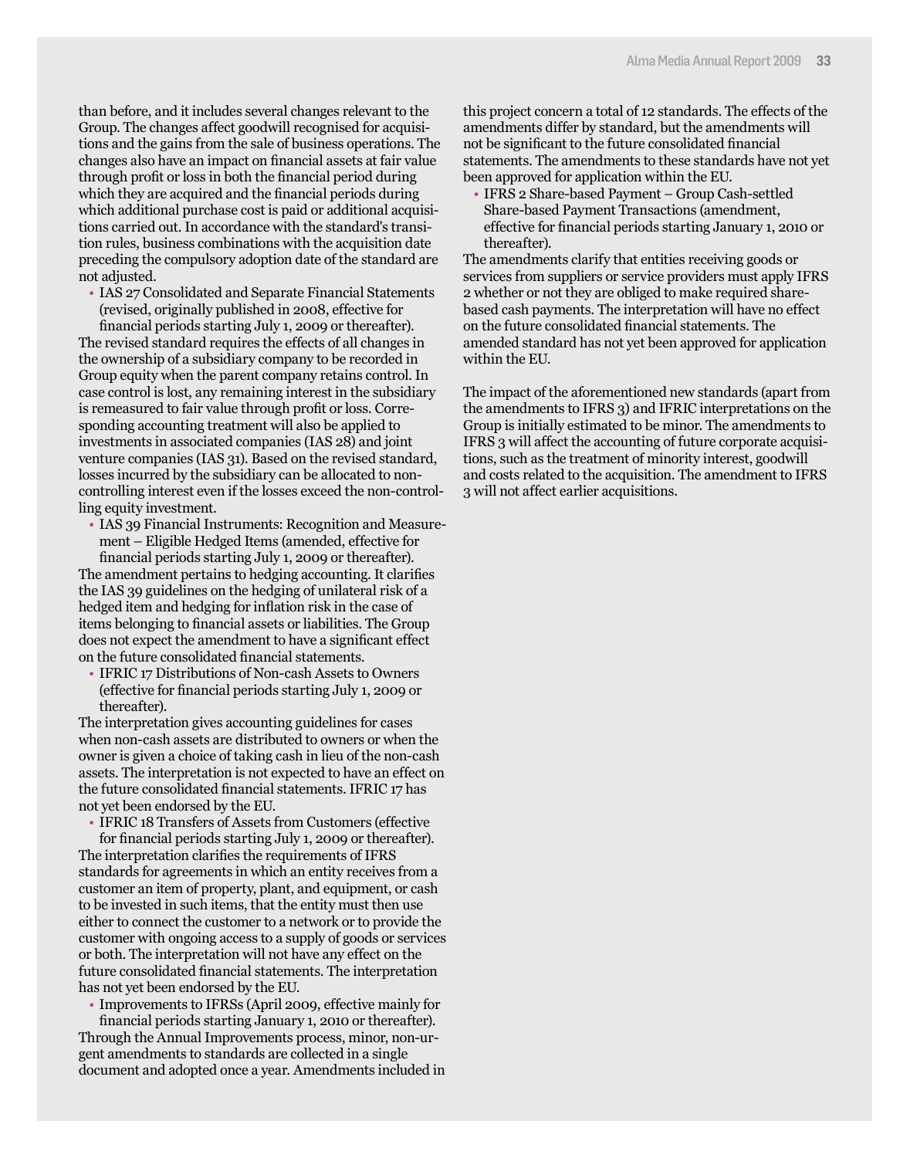than before, and it includes several changes relevant to the Group. The changes affect goodwill recognised for acquisitions and the gains from the sale of business operations. The changes also have an impact on financial assets at fair value through profit or loss in both the financial period during which they are acquired and the financial periods during which additional purchase cost is paid or additional acquisitions carried out. In accordance with the standard's transition rules, business combinations with the acquisition date preceding the compulsory adoption date of the standard are not adjusted.

• IAS 27 Consolidated and Separate Financial Statements (revised, originally published in 2008, effective for financial periods starting July 1, 2009 or thereafter).

The revised standard requires the effects of all changes in the ownership of a subsidiary company to be recorded in Group equity when the parent company retains control. In case control is lost, any remaining interest in the subsidiary is remeasured to fair value through profit or loss. Corresponding accounting treatment will also be applied to investments in associated companies (IAS 28) and joint venture companies (IAS 31). Based on the revised standard, losses incurred by the subsidiary can be allocated to noncontrolling interest even if the losses exceed the non-controlling equity investment.

• IAS 39 Financial Instruments: Recognition and Measurement – Eligible Hedged Items (amended, effective for financial periods starting July 1, 2009 or thereafter).

The amendment pertains to hedging accounting. It clarifies the IAS 39 guidelines on the hedging of unilateral risk of a hedged item and hedging for inflation risk in the case of items belonging to financial assets or liabilities. The Group does not expect the amendment to have a significant effect on the future consolidated financial statements.

• IFRIC 17 Distributions of Non-cash Assets to Owners (effective for financial periods starting July 1, 2009 or thereafter).

The interpretation gives accounting guidelines for cases when non-cash assets are distributed to owners or when the owner is given a choice of taking cash in lieu of the non-cash assets. The interpretation is not expected to have an effect on the future consolidated financial statements. IFRIC 17 has not yet been endorsed by the EU.

• IFRIC 18 Transfers of Assets from Customers (effective

for financial periods starting July 1, 2009 or thereafter). The interpretation clarifies the requirements of IFRS standards for agreements in which an entity receives from a customer an item of property, plant, and equipment, or cash to be invested in such items, that the entity must then use either to connect the customer to a network or to provide the customer with ongoing access to a supply of goods or services or both. The interpretation will not have any effect on the future consolidated financial statements. The interpretation has not yet been endorsed by the EU.

• Improvements to IFRSs (April 2009, effective mainly for

financial periods starting January 1, 2010 or thereafter). Through the Annual Improvements process, minor, non-urgent amendments to standards are collected in a single document and adopted once a year. Amendments included in this project concern a total of 12 standards. The effects of the amendments differ by standard, but the amendments will not be significant to the future consolidated financial statements. The amendments to these standards have not yet been approved for application within the EU.

• IFRS 2 Share-based Payment – Group Cash-settled Share-based Payment Transactions (amendment, effective for financial periods starting January 1, 2010 or thereafter).

The amendments clarify that entities receiving goods or services from suppliers or service providers must apply IFRS 2 whether or not they are obliged to make required sharebased cash payments. The interpretation will have no effect on the future consolidated financial statements. The amended standard has not yet been approved for application within the EU.

The impact of the aforementioned new standards (apart from the amendments to IFRS 3) and IFRIC interpretations on the Group is initially estimated to be minor. The amendments to IFRS 3 will affect the accounting of future corporate acquisitions, such as the treatment of minority interest, goodwill and costs related to the acquisition. The amendment to IFRS 3 will not affect earlier acquisitions.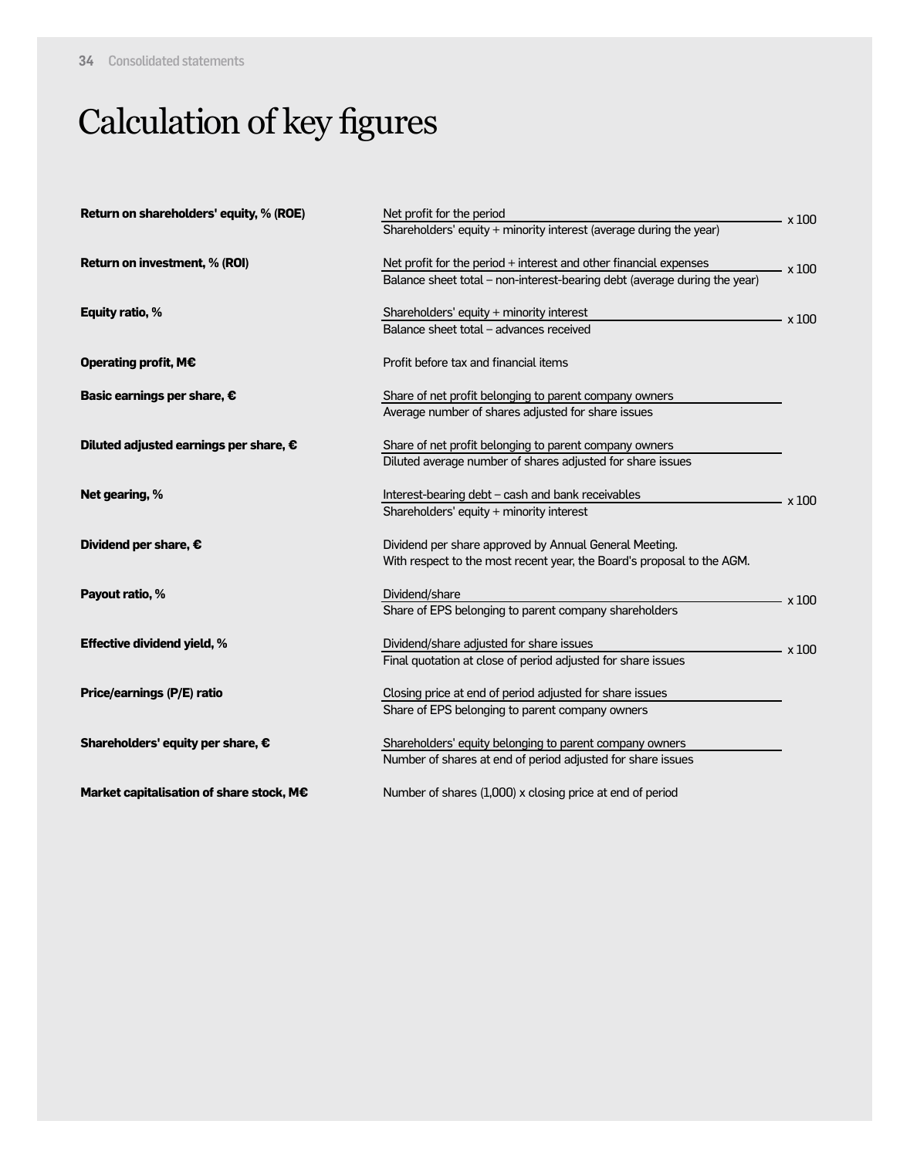# Calculation of key figures

| Return on shareholders' equity, % (ROE)  | Net profit for the period                                                 |              |  |  |  |
|------------------------------------------|---------------------------------------------------------------------------|--------------|--|--|--|
|                                          | Shareholders' equity + minority interest (average during the year)        | x 100        |  |  |  |
| Return on investment, % (ROI)            | Net profit for the period + interest and other financial expenses         | $\times$ 100 |  |  |  |
|                                          | Balance sheet total - non-interest-bearing debt (average during the year) |              |  |  |  |
| Equity ratio, %                          | Shareholders' equity + minority interest                                  | x 100        |  |  |  |
|                                          | Balance sheet total - advances received                                   |              |  |  |  |
| Operating profit, M€                     | Profit before tax and financial items                                     |              |  |  |  |
| Basic earnings per share, €              | Share of net profit belonging to parent company owners                    |              |  |  |  |
|                                          | Average number of shares adjusted for share issues                        |              |  |  |  |
| Diluted adjusted earnings per share, €   | Share of net profit belonging to parent company owners                    |              |  |  |  |
|                                          | Diluted average number of shares adjusted for share issues                |              |  |  |  |
| Net gearing, %                           | Interest-bearing debt - cash and bank receivables                         | x 100        |  |  |  |
|                                          | Shareholders' equity + minority interest                                  |              |  |  |  |
| Dividend per share, €                    | Dividend per share approved by Annual General Meeting.                    |              |  |  |  |
|                                          | With respect to the most recent year, the Board's proposal to the AGM.    |              |  |  |  |
| Payout ratio, %                          | Dividend/share                                                            | $\times 100$ |  |  |  |
|                                          | Share of EPS belonging to parent company shareholders                     |              |  |  |  |
| <b>Effective dividend yield, %</b>       | Dividend/share adjusted for share issues                                  | $\times 100$ |  |  |  |
|                                          | Final quotation at close of period adjusted for share issues              |              |  |  |  |
| Price/earnings (P/E) ratio               | Closing price at end of period adjusted for share issues                  |              |  |  |  |
|                                          | Share of EPS belonging to parent company owners                           |              |  |  |  |
| Shareholders' equity per share, €        | Shareholders' equity belonging to parent company owners                   |              |  |  |  |
|                                          | Number of shares at end of period adjusted for share issues               |              |  |  |  |
| Market capitalisation of share stock, M€ | Number of shares (1,000) x closing price at end of period                 |              |  |  |  |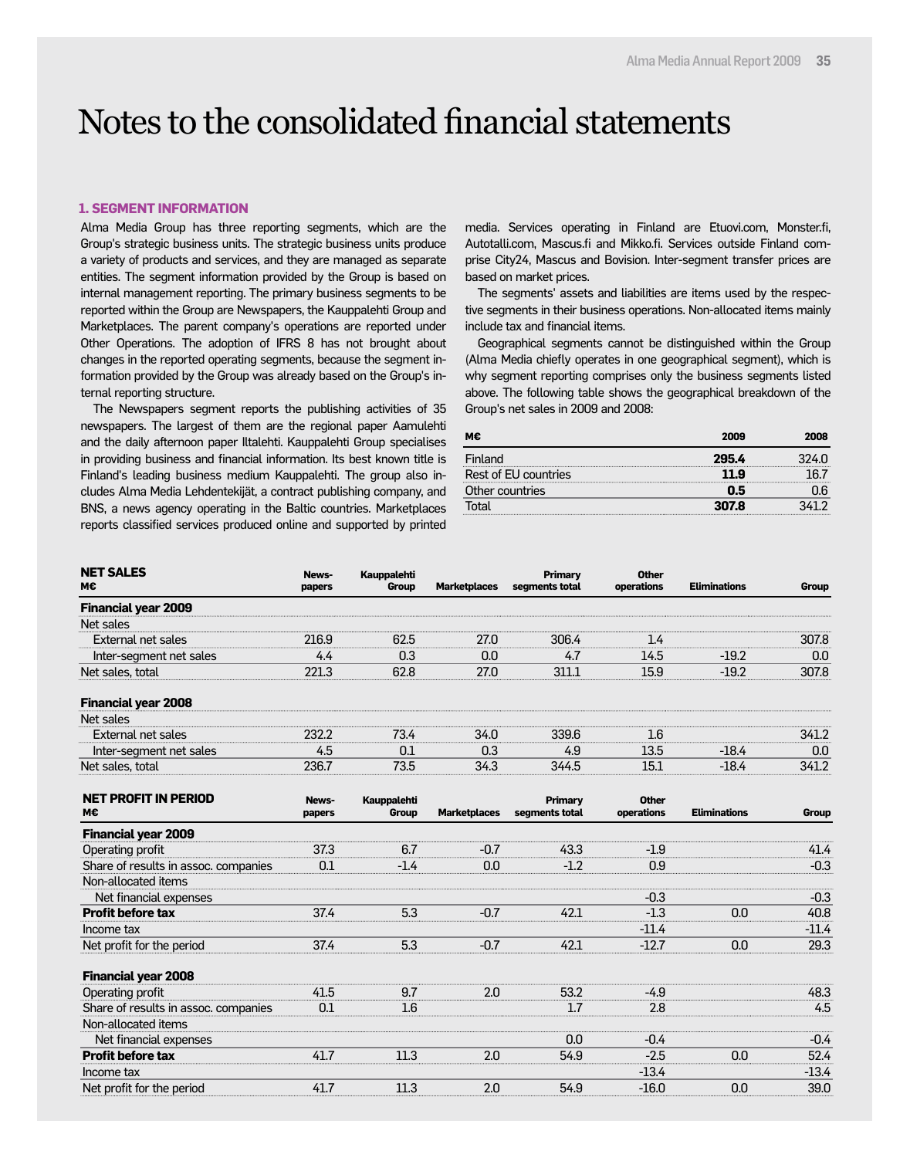### Notes to the consolidated financial statements

#### **1. SEGMENT INFORMATION**

Alma Media Group has three reporting segments, which are the Group's strategic business units. The strategic business units produce a variety of products and services, and they are managed as separate entities. The segment information provided by the Group is based on internal management reporting. The primary business segments to be reported within the Group are Newspapers, the Kauppalehti Group and Marketplaces. The parent company's operations are reported under Other Operations. The adoption of IFRS 8 has not brought about changes in the reported operating segments, because the segment information provided by the Group was already based on the Group's internal reporting structure.

The Newspapers segment reports the publishing activities of 35 newspapers. The largest of them are the regional paper Aamulehti and the daily afternoon paper Iltalehti. Kauppalehti Group specialises in providing business and financial information. Its best known title is Finland's leading business medium Kauppalehti. The group also includes Alma Media Lehdentekijät, a contract publishing company, and BNS, a news agency operating in the Baltic countries. Marketplaces reports classified services produced online and supported by printed

media. Services operating in Finland are Etuovi.com, Monster.fi, Autotalli.com, Mascus.fi and Mikko.fi. Services outside Finland comprise City24, Mascus and Bovision. Inter-segment transfer prices are based on market prices.

The segments' assets and liabilities are items used by the respective segments in their business operations. Non-allocated items mainly include tax and financial items.

Geographical segments cannot be distinguished within the Group (Alma Media chiefly operates in one geographical segment), which is why segment reporting comprises only the business segments listed above. The following table shows the geographical breakdown of the Group's net sales in 2009 and 2008:

| 2009  | 2008  |
|-------|-------|
| 295.4 | 324 N |
| 11.9  |       |
| 0.5   |       |
| 307.8 |       |
|       |       |

| <b>NET SALES</b><br>м€     | News-<br>papers | Kauppalehti<br>Group | <b>Marketplaces</b> | Primary<br>segments total | Other<br>operations | <b>Eliminations</b> | Group |
|----------------------------|-----------------|----------------------|---------------------|---------------------------|---------------------|---------------------|-------|
| <b>Financial year 2009</b> |                 |                      |                     |                           |                     |                     |       |
| Net sales                  |                 |                      |                     |                           |                     |                     |       |
| External net sales         | 216.9           | 62.5                 | 27.O                | 306.4                     | 1.4                 |                     | 307.8 |
| Inter-segment net sales    | 4.4             | 0.3                  | 0.0                 | 4.7                       | 14.5                | $-19.2$             | 0.0   |
| Net sales, total           | 221.3           | 62.8                 | 27.0                | 311.1                     | 15.9                | $-19.2$             | 307.8 |
| <b>Financial year 2008</b> |                 |                      |                     |                           |                     |                     |       |
| Net sales                  |                 |                      |                     |                           |                     |                     |       |
| External net sales         | 232.2           | 73.4                 | 34.0                | 339.6                     | 1.6                 |                     | 341.2 |
| Inter-segment net sales    | 4.5             | 0.1                  | 0.3                 | 4.9                       | 13.5                | $-18.4$             | 0.0   |
| Net sales, total           | 236.7           | 73.5                 | 34.3                | 344.5                     | 15.1                | $-18.4$             | 341.2 |

| <b>NET PROFIT IN PERIOD</b><br>м€    | News-  | <b>Kauppalehti</b> | <b>Marketplaces</b> | Primary<br>segments total | <b>Other</b><br>operations | <b>Eliminations</b> |         |
|--------------------------------------|--------|--------------------|---------------------|---------------------------|----------------------------|---------------------|---------|
|                                      | papers | Group              |                     |                           |                            |                     | Group   |
| <b>Financial year 2009</b>           |        |                    |                     |                           |                            |                     |         |
| Operating profit                     | 37.3   | 6.7                | $-0.7$              | 43.3                      | $-1.9$                     |                     | 41.4    |
| Share of results in assoc. companies | 0.1    | $-1.4$             | 0.0                 | $-1.2$                    | 0.9                        |                     | $-0.3$  |
| Non-allocated items                  |        |                    |                     |                           |                            |                     |         |
| Net financial expenses               |        |                    |                     |                           | $-0.3$                     |                     | $-0.3$  |
| <b>Profit before tax</b>             | 37.4   | 5.3                | $-0.7$              | 42.1                      | $-1.3$                     | 0.0                 | 40.8    |
| Income tax                           |        |                    |                     |                           | $-11.4$                    |                     | $-11.4$ |
| Net profit for the period            | 37.4   | 5.3                | $-0.7$              | 42.1                      | $-12.7$                    | 0.0                 | 29.3    |
| <b>Financial year 2008</b>           |        |                    |                     |                           |                            |                     |         |
| Operating profit                     | 41.5   | 9.7                | 2.0                 | 53.2                      | $-4.9$                     |                     | 48.3    |
| Share of results in assoc. companies | 0.1    | 1.6                |                     | 1.7                       | 2.8                        |                     | 4.5     |
| Non-allocated items                  |        |                    |                     |                           |                            |                     |         |
| Net financial expenses               |        |                    |                     | 0.0                       | $-0.4$                     |                     | $-0.4$  |
| <b>Profit before tax</b>             | 41.7   | 11.3               | 2.0                 | 54.9                      | $-2.5$                     | 0.0                 | 52.4    |
| Income tax                           |        |                    |                     |                           | $-13.4$                    |                     | $-13.4$ |
| Net profit for the period            | 41.7   | 11.3               | 2.0                 | 54.9                      | $-16.0$                    | 0.0                 | 39.0    |
|                                      |        |                    |                     |                           |                            |                     |         |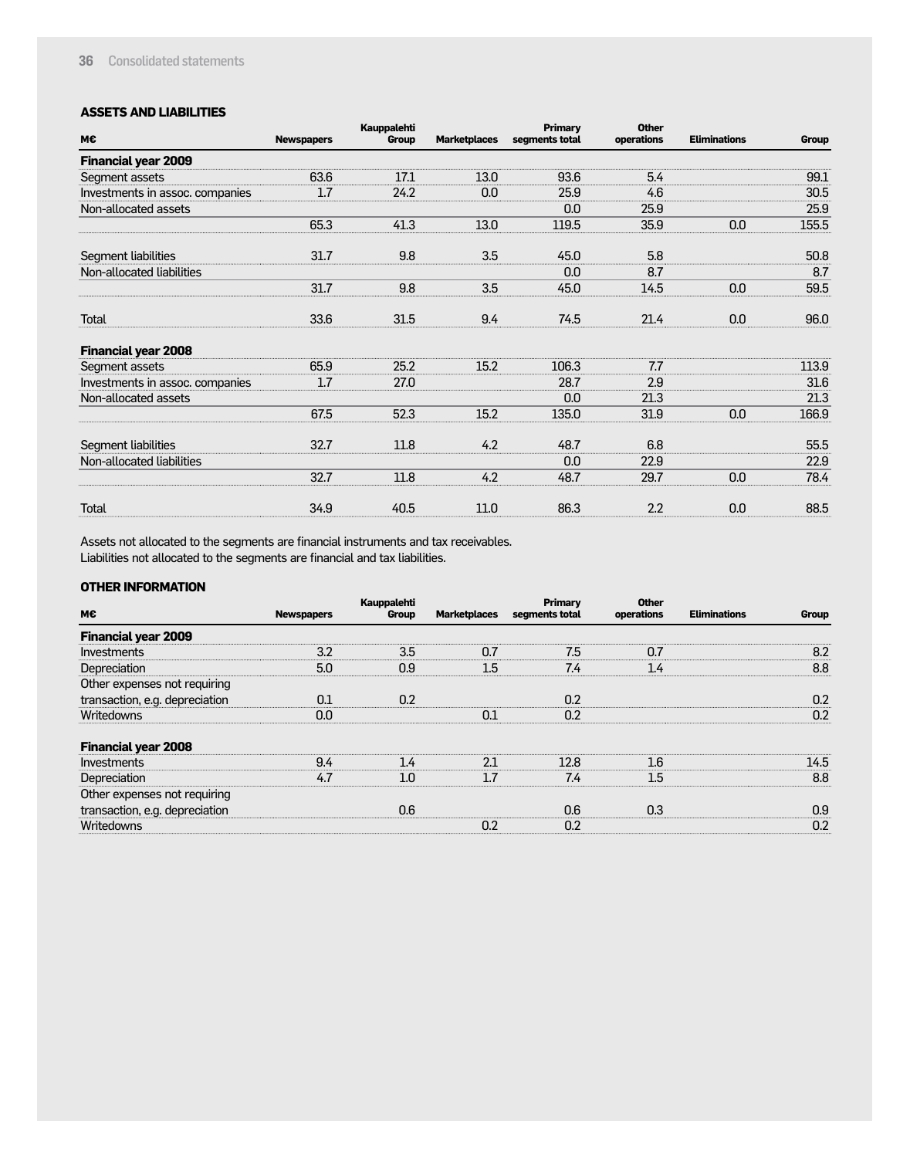#### **ASSETS AND LIABILITIES**

| M€                              | <b>Newspapers</b> | <b>Kauppalehti</b><br>Group | <b>Marketplaces</b> | Primary<br>segments total | <b>Other</b><br>operations | <b>Eliminations</b> | Group |
|---------------------------------|-------------------|-----------------------------|---------------------|---------------------------|----------------------------|---------------------|-------|
| <b>Financial year 2009</b>      |                   |                             |                     |                           |                            |                     |       |
| Segment assets                  | 63.6              | 17.1                        | 13.0                | 93.6                      | 5.4                        |                     | 99.1  |
| Investments in assoc. companies | 1.7               | 24.2                        | 0.0                 | 25.9                      | 4.6                        |                     | 30.5  |
| Non-allocated assets            |                   |                             |                     | 0.0                       | 25.9                       |                     | 25.9  |
|                                 | 65.3              | 41.3                        | 13.0                | 119.5                     | 35.9                       | 0.0                 | 155.5 |
| Segment liabilities             | 31.7              | 9.8                         | 3.5                 | 45.0                      | 5.8                        |                     | 50.8  |
| Non-allocated liabilities       |                   |                             |                     | 0.0                       | 8.7                        |                     | 8.7   |
|                                 | 31.7              | 9.8                         | 3.5                 | 45.0                      | 14.5                       | 0.0                 | 59.5  |
| <b>Total</b>                    | 33.6              | 31.5                        | 9.4                 | 74.5                      | 21.4                       | 0.0                 | 96.0  |
| <b>Financial year 2008</b>      |                   |                             |                     |                           |                            |                     |       |
| Segment assets                  | 65.9              | 25.2                        | 15.2                | 106.3                     | 7.7                        |                     | 113.9 |
| Investments in assoc. companies | 1.7               | 27.0                        |                     | 28.7                      | 2.9                        |                     | 31.6  |
| Non-allocated assets            |                   |                             |                     | 0.0                       | 21.3                       |                     | 21.3  |
|                                 | 67.5              | 52.3                        | 15.2                | 135.0                     | 31.9                       | 0.0                 | 166.9 |
| Segment liabilities             | 32.7              | 11.8                        | 4.2                 | 48.7                      | 6.8                        |                     | 55.5  |
| Non-allocated liabilities       |                   |                             |                     | 0.0                       | 22.9                       |                     | 22.9  |
|                                 | 32.7              | 11.8                        | 4.2                 | 48.7                      | 29.7                       | 0.0                 | 78.4  |
| <b>Total</b>                    | 34.9              | 40.5                        | 11.0                | 86.3                      | 2.2                        | 0.0                 | 88.5  |

Assets not allocated to the segments are financial instruments and tax receivables. Liabilities not allocated to the segments are financial and tax liabilities.

#### **OTHER INFORMATION**

| M€                             | <b>Newspapers</b> | Kauppalehti<br>Group | Marketplaces | Primary<br>segments total | <b>Other</b><br>operations | <b>Eliminations</b> | Group |
|--------------------------------|-------------------|----------------------|--------------|---------------------------|----------------------------|---------------------|-------|
| <b>Financial year 2009</b>     |                   |                      |              |                           |                            |                     |       |
| Investments                    | 3.2               | 3.5                  | 0.7          | 7.5                       | 0.7                        |                     | 8.2   |
| Depreciation                   | 5.0               | 0.9                  | 1.5          | 7.4                       | 1.4                        |                     | 8.8   |
| Other expenses not requiring   |                   |                      |              |                           |                            |                     |       |
| transaction, e.g. depreciation | 0.1               | 0.2                  |              | 0.2                       |                            |                     | 0.2   |
| Writedowns                     | 0.0               |                      | 0.1          | 0.2                       |                            |                     | 0.2   |
| <b>Financial year 2008</b>     |                   |                      |              |                           |                            |                     |       |
| Investments                    | 9.4               | 14                   | 21           | 12.8                      | l 6                        |                     | 14.5  |
| Depreciation                   | 47                | 1 N                  |              | 7.4                       | 1.5                        |                     | 8.8   |
| Other expenses not requiring   |                   |                      |              |                           |                            |                     |       |
| transaction, e.g. depreciation |                   | 0.6                  |              | 0.6                       | 0.3                        |                     | 0.9   |
| Writedowns                     |                   |                      | 0.2          | 0.2                       |                            |                     | 0.2   |
|                                |                   |                      |              |                           |                            |                     |       |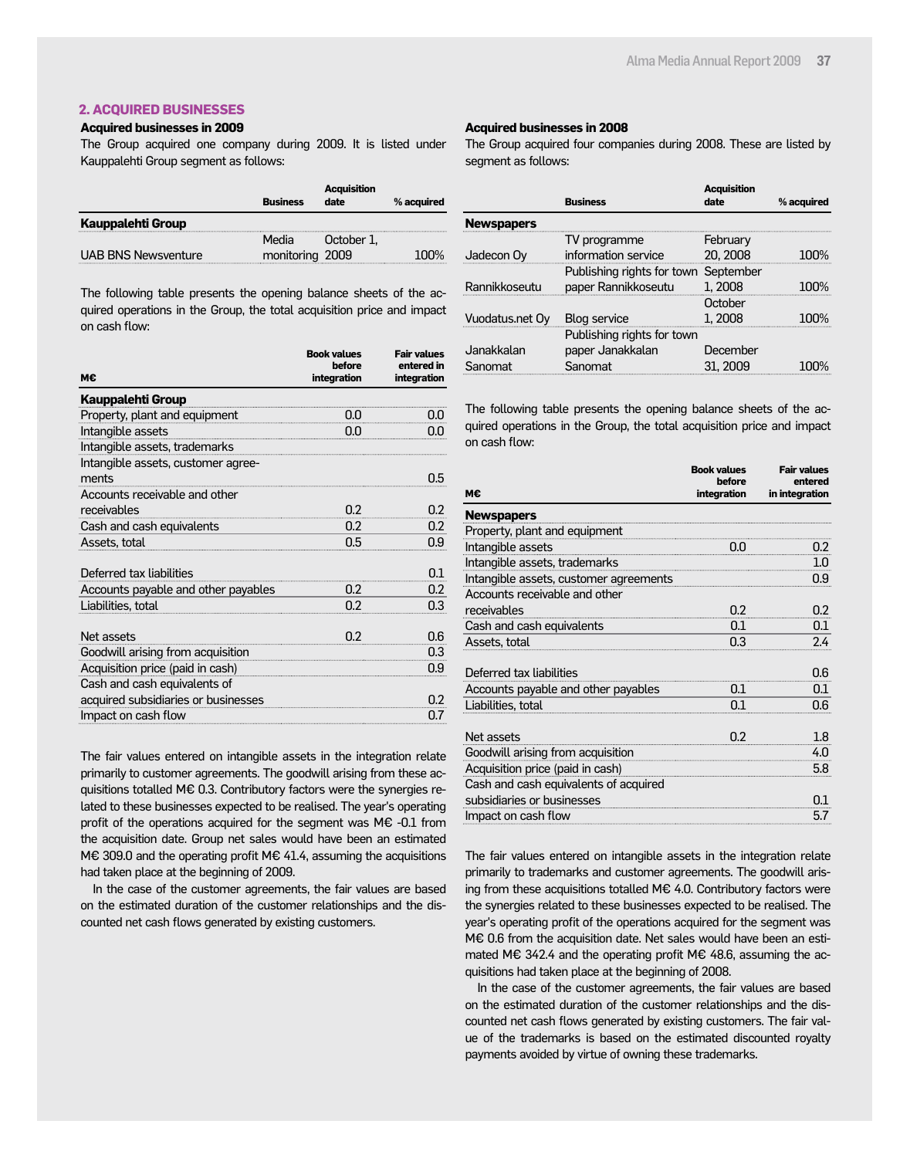#### **2. ACQUIRED BUSINESSES**

#### **Acquired businesses in 2009**

The Group acquired one company during 2009. It is listed under Kauppalehti Group segment as follows:

|                            | <b>Business</b> | <b>Acquisition</b><br>date | % acquired |
|----------------------------|-----------------|----------------------------|------------|
| Kauppalehti Group          |                 |                            |            |
|                            | Media           | October 1.                 |            |
| <b>UAB BNS Newsventure</b> | monitoring 2009 |                            | 1በበ%       |

The following table presents the opening balance sheets of the acquired operations in the Group, the total acquisition price and impact on cash flow:

| м€                                          | <b>Book values</b><br>before<br>integration | <b>Fair values</b><br>entered in<br>integration |
|---------------------------------------------|---------------------------------------------|-------------------------------------------------|
| <b>Kauppalehti Group</b>                    |                                             |                                                 |
| Property, plant and equipment               | 0.0                                         | 0.0                                             |
| Intangible assets                           | 0.0                                         | 0.0                                             |
| Intangible assets, trademarks               |                                             |                                                 |
| Intangible assets, customer agree-<br>ments |                                             | 0.5                                             |
| Accounts receivable and other               |                                             |                                                 |
| receivables                                 | 0.2                                         | 0.2                                             |
| Cash and cash equivalents                   | 0.2                                         | 0.2                                             |
| Assets, total                               | 0.5                                         | 0.9                                             |
| Deferred tax liabilities                    |                                             | 0.1                                             |
| Accounts payable and other payables         | 0.2                                         | 0.2                                             |
| Liabilities, total                          | 0.2                                         | 0.3                                             |
| Net assets<br>$\frac{0.2}{\pi}$             |                                             | 0.6                                             |
| Goodwill arising from acquisition           |                                             | 0.3                                             |
| Acquisition price (paid in cash)            |                                             | 0.9                                             |
| Cash and cash equivalents of                |                                             |                                                 |
| acquired subsidiaries or businesses         |                                             | 0.2                                             |
| Impact on cash flow                         |                                             | 0.7                                             |

The fair values entered on intangible assets in the integration relate primarily to customer agreements. The goodwill arising from these acquisitions totalled M€ 0.3. Contributory factors were the synergies related to these businesses expected to be realised. The year's operating profit of the operations acquired for the segment was M€ -0.1 from the acquisition date. Group net sales would have been an estimated M€ 309.0 and the operating profit M€ 41.4, assuming the acquisitions had taken place at the beginning of 2009.

In the case of the customer agreements, the fair values are based on the estimated duration of the customer relationships and the discounted net cash flows generated by existing customers.

#### **Acquired businesses in 2008**

The Group acquired four companies during 2008. These are listed by segment as follows:

|                   | <b>Business</b>                      | <b>Acquisition</b><br>date | % acquired |
|-------------------|--------------------------------------|----------------------------|------------|
| <b>Newspapers</b> |                                      |                            |            |
|                   | TV programme                         | February                   |            |
| Jadecon Oy        | information service                  | 20, 2008                   | שווחו      |
|                   | Publishing rights for town September |                            |            |
| Rannikkoseutu     | paper Rannikkoseutu                  | 1, 2008                    |            |
|                   |                                      | October                    |            |
| Vuodatus.net Oy   | <b>Blog service</b>                  | 1, 2008                    |            |
|                   | Publishing rights for town           |                            |            |
| Janakkalan        | paper Janakkalan                     | December                   |            |
| Sanomat           | Sanomat                              | 31, 2009                   |            |

The following table presents the opening balance sheets of the acquired operations in the Group, the total acquisition price and impact on cash flow:

| м€                                     | <b>Book values</b><br>before<br>integration | <b>Fair values</b><br>entered<br>in integration |
|----------------------------------------|---------------------------------------------|-------------------------------------------------|
| <b>Newspapers</b>                      |                                             |                                                 |
| Property, plant and equipment          |                                             |                                                 |
| Intangible assets                      | O.O                                         | 0.2                                             |
| Intangible assets, trademarks          |                                             | 1.0                                             |
| Intangible assets, customer agreements |                                             | 0.9                                             |
| Accounts receivable and other          |                                             |                                                 |
| receivables                            | 0.2                                         | 0.2                                             |
| Cash and cash equivalents              | 0.1                                         | 0.1                                             |
| Assets, total                          | 0.3                                         | 2.4                                             |
|                                        |                                             |                                                 |
| Deferred tax liabilities               |                                             | 0.6                                             |
| Accounts payable and other payables    | 0.1                                         | 0.1                                             |
| Liabilities, total                     | 0.1                                         | 0.6                                             |
|                                        |                                             |                                                 |
| Net assets                             | 0.2                                         | 1.8                                             |
| Goodwill arising from acquisition      |                                             | 4.0                                             |
| Acquisition price (paid in cash)       |                                             | 5.8                                             |
| Cash and cash equivalents of acquired  |                                             |                                                 |
| subsidiaries or businesses             |                                             | 0.1                                             |
| Impact on cash flow                    |                                             | 5.7                                             |

The fair values entered on intangible assets in the integration relate primarily to trademarks and customer agreements. The goodwill arising from these acquisitions totalled M€ 4.0. Contributory factors were the synergies related to these businesses expected to be realised. The year's operating profit of the operations acquired for the segment was M€ 0.6 from the acquisition date. Net sales would have been an estimated M€ 342.4 and the operating profit M€ 48.6, assuming the acquisitions had taken place at the beginning of 2008.

In the case of the customer agreements, the fair values are based on the estimated duration of the customer relationships and the discounted net cash flows generated by existing customers. The fair value of the trademarks is based on the estimated discounted royalty payments avoided by virtue of owning these trademarks.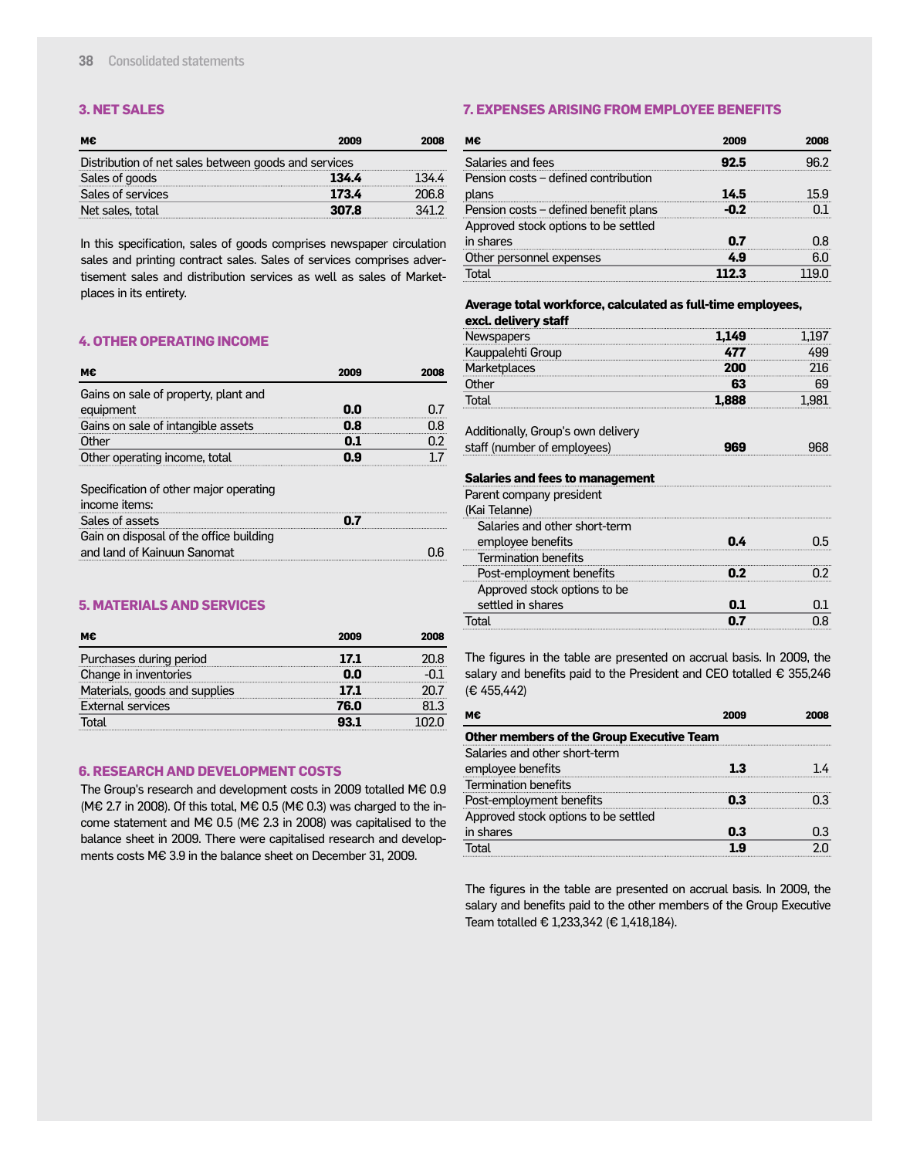#### **3. NET SALES**

| м€                                                   | 2009  | 2008  |
|------------------------------------------------------|-------|-------|
| Distribution of net sales between goods and services |       |       |
| Sales of goods                                       | 134.4 |       |
| Sales of services                                    | 173.4 | 206.8 |
| Net sales, total                                     | 307.8 | 341 2 |

In this specification, sales of goods comprises newspaper circulation sales and printing contract sales. Sales of services comprises advertisement sales and distribution services as well as sales of Marketplaces in its entirety.

#### **4. OTHER OPERATING INCOME**

| ме                                   | 2009 | 2008 |
|--------------------------------------|------|------|
| Gains on sale of property, plant and |      |      |
| equipment                            |      |      |
| Gains on sale of intangible assets   |      |      |
| Other                                |      |      |
| Other operating income, total        |      |      |

Specification of other major operating

| income items:                           |  |
|-----------------------------------------|--|
| Sales of assets                         |  |
| Gain on disposal of the office building |  |
| and land of Kainuun Sanomat             |  |

#### **5. MATERIALS AND SERVICES**

| м€                            | 2009 | 2008   |
|-------------------------------|------|--------|
| Purchases during period       | 17.1 | 20.8   |
| Change in inventories         |      |        |
| Materials, goods and supplies | 17.1 |        |
| <b>External services</b>      | 76.0 | 81 3   |
| Г∩tal                         |      | יו לחו |

#### **6. RESEARCH AND DEVELOPMENT COSTS**

The Group's research and development costs in 2009 totalled M€ 0.9 (M€ 2.7 in 2008). Of this total, M€ 0.5 (M€ 0.3) was charged to the income statement and M€ 0.5 (M€ 2.3 in 2008) was capitalised to the balance sheet in 2009. There were capitalised research and developments costs M€ 3.9 in the balance sheet on December 31, 2009.

#### **7. EXPENSES ARISING FROM EMPLOYEE BENEFITS**

| м€                                    | 2009  |     |
|---------------------------------------|-------|-----|
| Salaries and fees                     |       |     |
| Pension costs – defined contribution  |       |     |
| plans                                 | 14.5  | 159 |
| Pension costs - defined benefit plans | כ ה-  |     |
| Approved stock options to be settled  |       |     |
| in shares                             | 0.7   | 0.8 |
| Other personnel expenses              | 49    | 6.0 |
| Total                                 | 112 3 |     |

#### **Average total workforce, calculated as full-time employees, excl. delivery staff**

| Newspapers                             | 1.149 | 1.197 |
|----------------------------------------|-------|-------|
| Kauppalehti Group                      | 477   | 499   |
| <b>Marketplaces</b>                    | 200   | 216   |
| Other                                  | 63    | 69    |
| Total                                  | 1,888 | 1,981 |
| Additionally, Group's own delivery     |       |       |
| staff (number of employees)            | 969   | 968   |
| <b>Salaries and fees to management</b> |       |       |
| Parent company president               |       |       |
| (Kai Telanne)                          |       |       |
| Salaries and other short-term          |       |       |
| employee benefits                      | በ 4   | 0.5   |
| Termination benefits                   |       |       |
| Post-employment benefits               | 0.2   | 0.2   |
| Approved stock options to be           |       |       |
| settled in shares                      | 0.1   | 0.1   |
| Total                                  | 0.7   | 0.8   |

The figures in the table are presented on accrual basis. In 2009, the salary and benefits paid to the President and CEO totalled € 355,246 (€ 455,442)

| м€                                               |     |     |
|--------------------------------------------------|-----|-----|
| <b>Other members of the Group Executive Team</b> |     |     |
| Salaries and other short-term                    |     |     |
| employee benefits                                | 13  |     |
| <b>Termination benefits</b>                      |     |     |
| Post-employment benefits                         |     |     |
| Approved stock options to be settled             |     |     |
| in shares                                        | 0.3 | 0.3 |
| Total                                            |     |     |

The figures in the table are presented on accrual basis. In 2009, the salary and benefits paid to the other members of the Group Executive Team totalled € 1,233,342 (€ 1,418,184).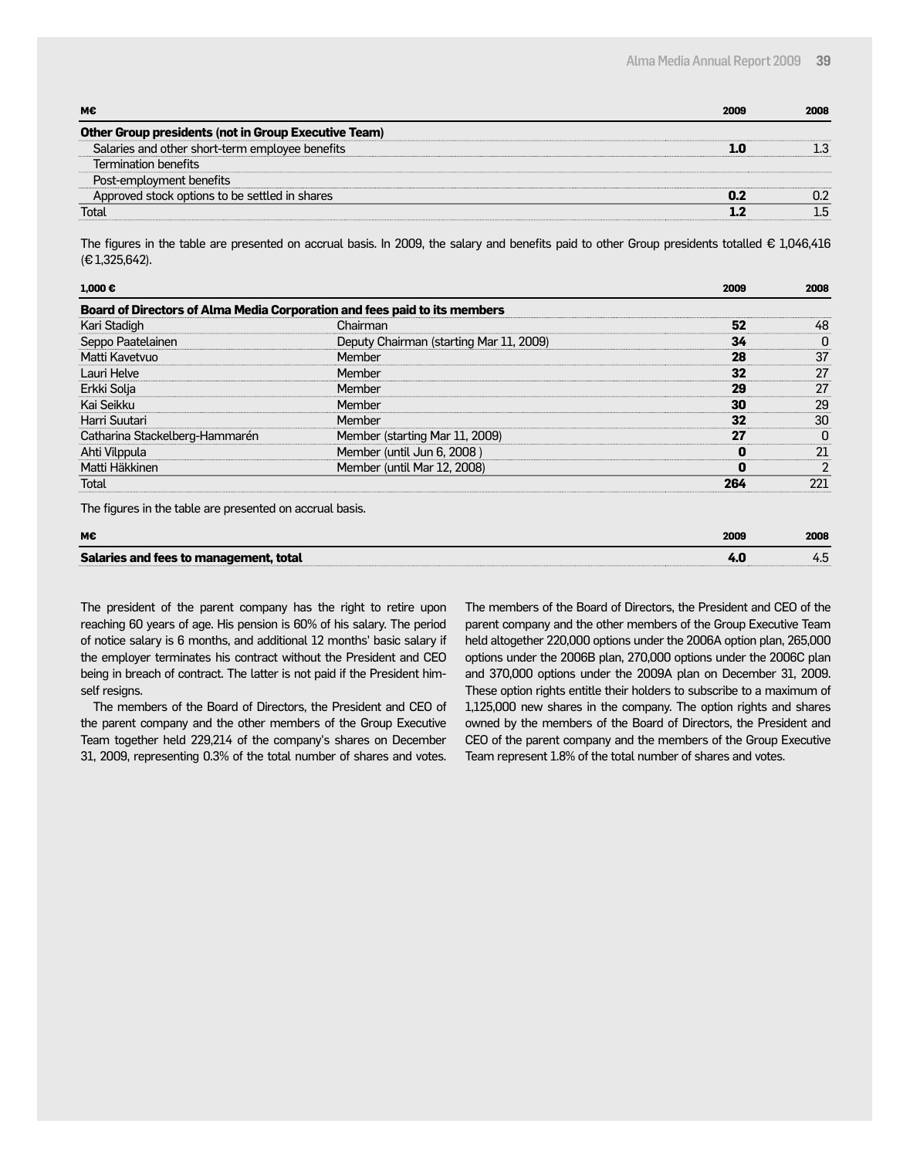| мє                                                          | 2009 | 2008 |
|-------------------------------------------------------------|------|------|
| <b>Other Group presidents (not in Group Executive Team)</b> |      |      |
| Salaries and other short-term employee benefits             |      |      |
| Termination benefits                                        |      |      |
| Post-employment benefits                                    |      |      |
| Approved stock options to be settled in shares              |      |      |
| Total                                                       |      |      |

The figures in the table are presented on accrual basis. In 2009, the salary and benefits paid to other Group presidents totalled  $\epsilon$  1,046,416 (€ 1,325,642).

| $1.000 \in$                                                               |                                         | 2009 | 2008 |
|---------------------------------------------------------------------------|-----------------------------------------|------|------|
| Board of Directors of Alma Media Corporation and fees paid to its members |                                         |      |      |
| Kari Stadigh                                                              | Chairman                                | 52   | 48   |
| Seppo Paatelainen                                                         | Deputy Chairman (starting Mar 11, 2009) | 34   |      |
| Matti Kavetvuo                                                            | Member                                  | 28   | 37   |
| Lauri Helve                                                               | Member                                  | 32   | 27   |
| Erkki Solja                                                               | Member                                  | 29   | 27   |
| Kai Seikku                                                                | Member                                  | 30   | 29   |
| Harri Suutari                                                             | Member                                  | 32   | 30   |
| Catharina Stackelberg-Hammarén                                            | Member (starting Mar 11, 2009)          | 27   |      |
| Ahti Vilppula                                                             | Member (until Jun 6, 2008)              |      | 21   |
| Matti Häkkinen                                                            | Member (until Mar 12, 2008)             |      |      |
| Total                                                                     |                                         | 264  | 221  |
| The figures in the table are presented on accrual basis.                  |                                         |      |      |

| М€                                     | 2009 | 2008 |
|----------------------------------------|------|------|
| Salaries and fees to management, total |      |      |

The president of the parent company has the right to retire upon reaching 60 years of age. His pension is 60% of his salary. The period of notice salary is 6 months, and additional 12 months' basic salary if the employer terminates his contract without the President and CEO being in breach of contract. The latter is not paid if the President himself resigns.

The members of the Board of Directors, the President and CEO of the parent company and the other members of the Group Executive Team together held 229,214 of the company's shares on December 31, 2009, representing 0.3% of the total number of shares and votes.

The members of the Board of Directors, the President and CEO of the parent company and the other members of the Group Executive Team held altogether 220,000 options under the 2006A option plan, 265,000 options under the 2006B plan, 270,000 options under the 2006C plan and 370,000 options under the 2009A plan on December 31, 2009. These option rights entitle their holders to subscribe to a maximum of 1,125,000 new shares in the company. The option rights and shares owned by the members of the Board of Directors, the President and CEO of the parent company and the members of the Group Executive Team represent 1.8% of the total number of shares and votes.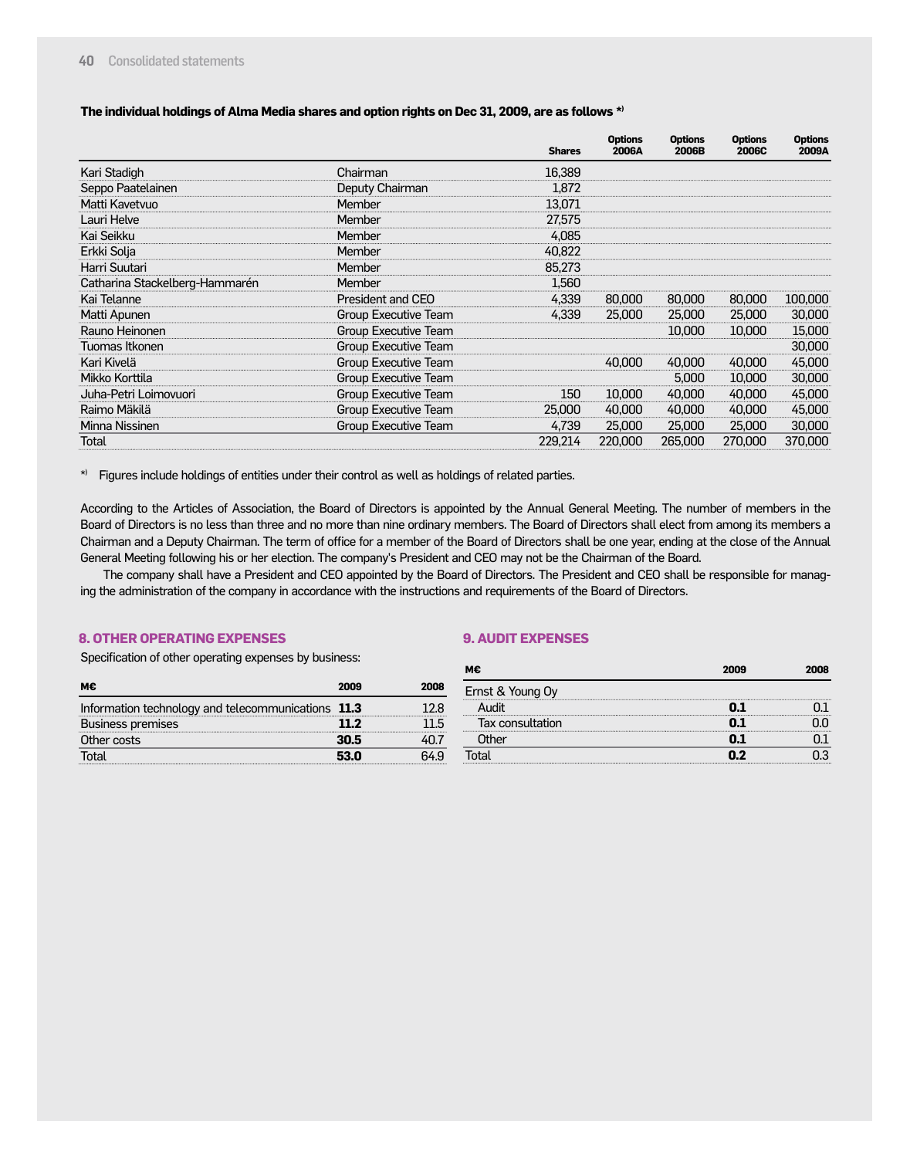#### **The individual holdings of Alma Media shares and option rights on Dec 31, 2009, are as follows \*)**

|                                |                             | <b>Shares</b> | <b>Options</b><br>2006A | <b>Options</b><br>2006B | <b>Options</b><br><b>2006C</b> | <b>Options</b><br>2009A |
|--------------------------------|-----------------------------|---------------|-------------------------|-------------------------|--------------------------------|-------------------------|
| Kari Stadigh                   | Chairman                    | 16.389        |                         |                         |                                |                         |
| Seppo Paatelainen              | Deputy Chairman             | 1,872         |                         |                         |                                |                         |
| Matti Kavetvuo                 | Member                      | 13,071        |                         |                         |                                |                         |
| Lauri Helve                    | Member                      | 27.575        |                         |                         |                                |                         |
| Kai Seikku                     | Member                      | 4.085         |                         |                         |                                |                         |
| Erkki Solja                    | Member                      | 40,822        |                         |                         |                                |                         |
| Harri Suutari                  | Member                      | 85.273        |                         |                         |                                |                         |
| Catharina Stackelberg-Hammarén | Member                      | 1.560         |                         |                         |                                |                         |
| Kai Telanne                    | President and CEO           | 4.339         | 80,000                  | 80,000                  | 80,000                         | 100,000                 |
| Matti Apunen                   | Group Executive Team        | 4.339         | 25,000                  | 25,000                  | 25,000                         | 30,000                  |
| Rauno Heinonen                 | <b>Group Executive Team</b> |               |                         | 10,000                  | 10,000                         | 15,000                  |
| Tuomas Itkonen                 | <b>Group Executive Team</b> |               |                         |                         |                                | 30,000                  |
| Kari Kivelä                    | Group Executive Team        |               | 40,000                  | 40,000                  | 40,000                         | 45,000                  |
| Mikko Korttila                 | Group Executive Team        |               |                         | 5.000                   | 10,000                         | 30,000                  |
| Juha-Petri Loimovuori          | <b>Group Executive Team</b> | 150           | 10,000                  | 40,000                  | 40,000                         | 45,000                  |
| Raimo Mäkilä                   | Group Executive Team        | 25,000        | 40,000                  | 40,000                  | 40,000                         | 45,000                  |
| Minna Nissinen                 | Group Executive Team        | 4,739         | 25,000                  | 25,000                  | 25,000                         | 30,000                  |
| Total                          |                             | 229.214       | 220,000                 | 265,000                 | 270,000                        | 370,000                 |

\*) Figures include holdings of entities under their control as well as holdings of related parties.

According to the Articles of Association, the Board of Directors is appointed by the Annual General Meeting. The number of members in the Board of Directors is no less than three and no more than nine ordinary members. The Board of Directors shall elect from among its members a Chairman and a Deputy Chairman. The term of office for a member of the Board of Directors shall be one year, ending at the close of the Annual General Meeting following his or her election. The company's President and CEO may not be the Chairman of the Board.

The company shall have a President and CEO appointed by the Board of Directors. The President and CEO shall be responsible for managing the administration of the company in accordance with the instructions and requirements of the Board of Directors.

#### **8. OTHER OPERATING EXPENSES**

#### **9. AUDIT EXPENSES**

Specification of other operating expenses by business:

| м€                                                 | 2009 | 2008 |
|----------------------------------------------------|------|------|
| Information technology and telecommunications 11.3 |      | 12 R |
| <b>Business premises</b>                           | 11 2 |      |
| Other costs                                        | 30.5 |      |
| īntal                                              | 53 N |      |

| м€               | 2009 | 2008 |
|------------------|------|------|
| Ernst & Young Oy |      |      |
| Audit            |      |      |
| Tax consultation |      |      |
| Other            | ו ח  |      |
|                  | n 7  |      |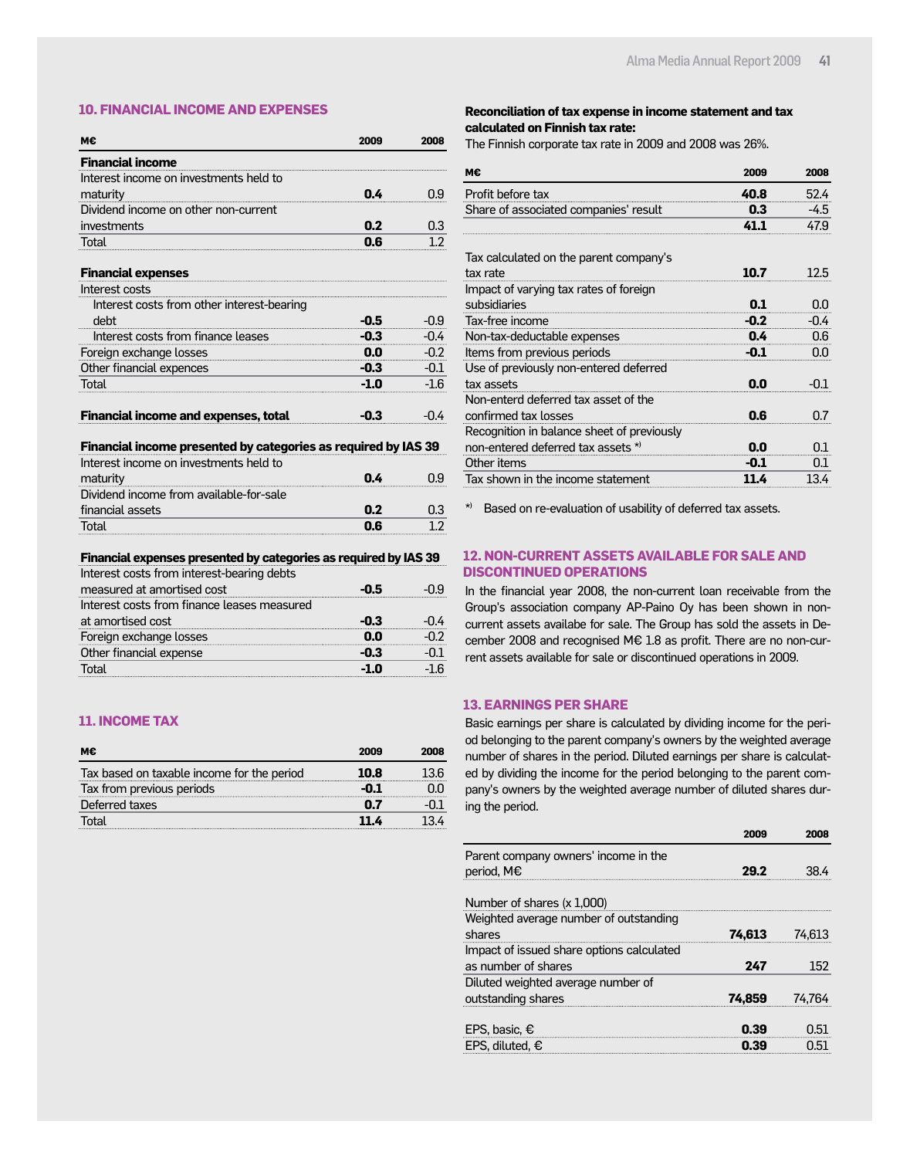#### **10. FINANCIAL INCOME AND EXPENSES**

| M€                                                               | 2009   | 2008   |
|------------------------------------------------------------------|--------|--------|
| <b>Financial income</b>                                          |        |        |
| Interest income on investments held to                           |        |        |
| maturity                                                         | 0.4    | 0.9    |
| Dividend income on other non-current                             |        |        |
| investments                                                      | 0.2    | 0.3    |
| Total                                                            | 0.6    | 1.2    |
| <b>Financial expenses</b>                                        |        |        |
| Interest costs                                                   |        |        |
| Interest costs from other interest-bearing                       |        |        |
| debt                                                             | $-0.5$ | $-0.9$ |
| Interest costs from finance leases                               | $-0.3$ | $-0.4$ |
| Foreign exchange losses                                          | 0.0    | $-0.2$ |
| Other financial expences                                         | -0.3   | $-0.1$ |
| Total                                                            | $-1.0$ | $-1.6$ |
| <b>Financial income and expenses, total</b>                      | $-0.3$ | $-0.4$ |
| Financial income presented by categories as required by IAS 39   |        |        |
| Interest income on investments held to                           |        |        |
| maturity                                                         | 0.4    | 0.9    |
| Dividend income from available-for-sale                          |        |        |
| financial assets                                                 | 0.2    | 0.3    |
| Total                                                            | 0.6    | 1.2    |
| Financial expenses presented by categories as required by IAS 39 |        |        |

| Interest costs from interest-bearing debts  |      |  |
|---------------------------------------------|------|--|
| measured at amortised cost                  | -0.5 |  |
| Interest costs from finance leases measured |      |  |
| at amortised cost                           | -03  |  |
| Foreign exchange losses                     |      |  |
| Other financial expense                     | ת -  |  |
| otal                                        |      |  |

#### **11. INCOME TAX**

| м€                                         | 2009 | 2008 |
|--------------------------------------------|------|------|
| Tax based on taxable income for the period | 10.8 |      |
| Tax from previous periods                  |      |      |
| Deferred taxes                             |      |      |
| Total                                      |      |      |

#### **Reconciliation of tax expense in income statement and tax calculated on Finnish tax rate:**

The Finnish corporate tax rate in 2009 and 2008 was 26%.

| м€                                         | 2009   | 2008   |
|--------------------------------------------|--------|--------|
| Profit before tax                          | 40.8   | 52.4   |
| Share of associated companies' result      | 0.3    | -4.5   |
|                                            | 41.1   | 47.9   |
| Tax calculated on the parent company's     |        |        |
| tax rate                                   | 10.7   | 12.5   |
| Impact of varying tax rates of foreign     |        |        |
| subsidiaries                               | 0.1    | 0.0    |
| Tax-free income                            | $-0.2$ | $-0.4$ |
| Non-tax-deductable expenses                | 0.4    | 0.6    |
| Items from previous periods                | $-0.1$ | 0.0    |
| Use of previously non-entered deferred     |        |        |
| tax assets                                 | 0.0    | -0.1   |
| Non-enterd deferred tax asset of the       |        |        |
| confirmed tax losses                       | 0.6    | በ7     |
| Recognition in balance sheet of previously |        |        |
| non-entered deferred tax assets *)         | 0.0    | 0.1    |
| Other items                                | -0.1   | 0.1    |
| Tax shown in the income statement          | 11.4   | 13.4   |

\*) Based on re-evaluation of usability of deferred tax assets.

#### **12. NON-CURRENT ASSETS AVAILABLE FOR SALE AND DISCONTINUED OPERATIONS**

In the financial year 2008, the non-current loan receivable from the Group's association company AP-Paino Oy has been shown in noncurrent assets availabe for sale. The Group has sold the assets in December 2008 and recognised M€ 1.8 as profit. There are no non-current assets available for sale or discontinued operations in 2009.

#### **13. EARNINGS PER SHARE**

Basic earnings per share is calculated by dividing income for the period belonging to the parent company's owners by the weighted average number of shares in the period. Diluted earnings per share is calculated by dividing the income for the period belonging to the parent company's owners by the weighted average number of diluted shares during the period.

|                                                    | 2009   | 2008           |
|----------------------------------------------------|--------|----------------|
| Parent company owners' income in the<br>period, M€ |        |                |
| Number of shares (x 1,000)                         |        |                |
| Weighted average number of outstanding             |        |                |
| shares                                             | 74,613 | 74.613         |
| Impact of issued share options calculated          |        |                |
| as number of shares                                | 247    | 152            |
| Diluted weighted average number of                 |        |                |
| outstanding shares                                 | 74.859 | 74.764         |
| EPS, basic, $\epsilon$                             | 0.39   | 0.51           |
| EPS. diluted. €                                    | n 20   | $\overline{1}$ |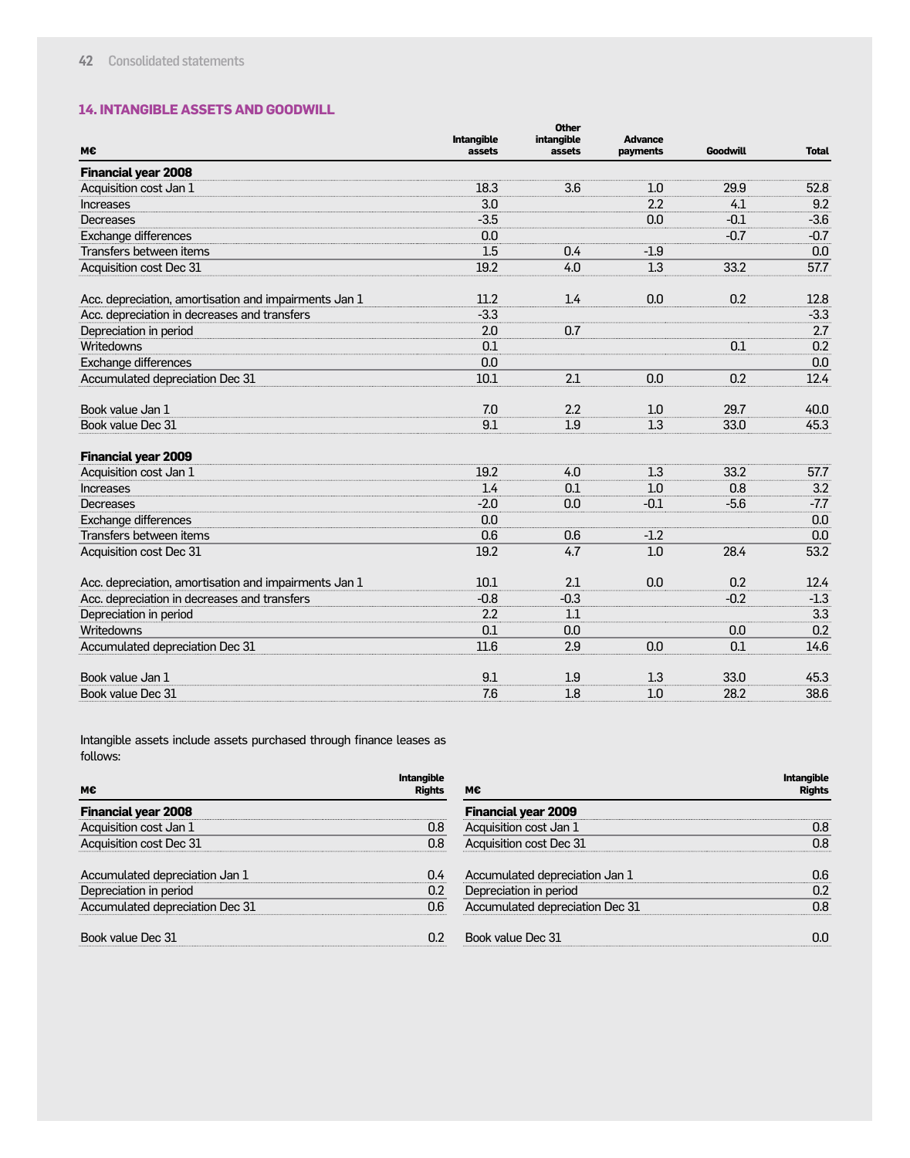#### **14. INTANGIBLE ASSETS AND GOODWILL**

| М€                                                    | Intangible<br>assets | <b>Other</b><br>intangible<br>assets | <b>Advance</b><br>payments | <b>Goodwill</b> | <b>Total</b> |
|-------------------------------------------------------|----------------------|--------------------------------------|----------------------------|-----------------|--------------|
| <b>Financial year 2008</b>                            |                      |                                      |                            |                 |              |
| Acquisition cost Jan 1                                | 18.3                 | 3.6                                  | 1.0                        | 29.9            | 52.8         |
| <b>Increases</b>                                      | 3.0                  |                                      | 2.2                        | 4.1             | 9.2          |
| Decreases                                             | $-3.5$               |                                      | 0.0                        | $-0.1$          | $-3.6$       |
| Exchange differences                                  | 0.0                  |                                      |                            | $-0.7$          | $-0.7$       |
| Transfers between items                               | 1.5                  | 0.4                                  | $-1.9$                     |                 | 0.0          |
| Acquisition cost Dec 31                               | 19.2                 | 4.0                                  | 1.3                        | 33.2            | 57.7         |
| Acc. depreciation, amortisation and impairments Jan 1 | 11.2                 | 1.4                                  | 0.0                        | 0.2             | 12.8         |
| Acc. depreciation in decreases and transfers          | $-3.3$               |                                      |                            |                 | $-3.3$       |
| Depreciation in period                                | 2.0                  | 0.7                                  |                            |                 | 2.7          |
| Writedowns                                            | 0.1                  |                                      |                            | 0.1             | 0.2          |
| Exchange differences                                  | 0.0                  |                                      |                            |                 | 0.0          |
| Accumulated depreciation Dec 31                       | 10.1                 | 2.1                                  | 0.0                        | 0.2             | 12.4         |
| Book value Jan 1                                      | 7.0                  | 2.2                                  | 1.0                        | 29.7            | 40.0         |
| Book value Dec 31                                     | 9.1                  | 1.9                                  | 1.3                        | 33.0            | 45.3         |
| <b>Financial year 2009</b>                            |                      |                                      |                            |                 |              |
| Acquisition cost Jan 1                                | 19.2                 | 4.0                                  | 1.3                        | 33.2            | 57.7         |
| <b>Increases</b>                                      | 1.4                  | 0.1                                  | 1.0                        | 0.8             | 3.2          |
| Decreases                                             | $-2.0$               | 0.0                                  | $-0.1$                     | $-5.6$          | $-7.7$       |
| Exchange differences                                  | 0.0                  |                                      |                            |                 | 0.0          |
| Transfers between items                               | 0.6                  | 0.6                                  | $-1.2$                     |                 | 0.0          |
| Acquisition cost Dec 31                               | 19.2                 | 4.7                                  | 1.0                        | 28.4            | 53.2         |
| Acc. depreciation, amortisation and impairments Jan 1 | 10.1                 | 2.1                                  | 0.0                        | 0.2             | 12.4         |
| Acc. depreciation in decreases and transfers          | $-0.8$               | $-0.3$                               |                            | $-0.2$          | $-1.3$       |
| Depreciation in period                                | 2.2                  | 1.1                                  |                            |                 | 3.3          |
| Writedowns                                            | 0.1                  | 0.0                                  |                            | 0.0             | 0.2          |
| Accumulated depreciation Dec 31                       | 11.6                 | 2.9                                  | 0.0                        | 0.1             | 14.6         |
| Book value Jan 1                                      | 9.1                  | 1.9                                  | 1.3                        | 33.0            | 45.3         |
| Book value Dec 31                                     | 7.6                  | 1.8                                  | 1.0                        | 28.2            | 38.6         |

Intangible assets include assets purchased through finance leases as follows:

| M€                              | <b>Intangible</b><br><b>Rights</b> | м€                              | <b>Intangible</b><br><b>Rights</b> |
|---------------------------------|------------------------------------|---------------------------------|------------------------------------|
| <b>Financial year 2008</b>      |                                    | <b>Financial year 2009</b>      |                                    |
| Acquisition cost Jan 1          | 0.8                                | Acquisition cost Jan 1          | 0.8                                |
| Acquisition cost Dec 31         | 0.8                                | Acquisition cost Dec 31         | 0.8                                |
| Accumulated depreciation Jan 1  | 0.4                                | Accumulated depreciation Jan 1  | 0.6                                |
| Depreciation in period          | 0.2                                | Depreciation in period          | 0.2                                |
| Accumulated depreciation Dec 31 | 0.6                                | Accumulated depreciation Dec 31 | 0.8                                |
| Book value Dec 31               | 0.2                                | Book value Dec 31               | 0.0                                |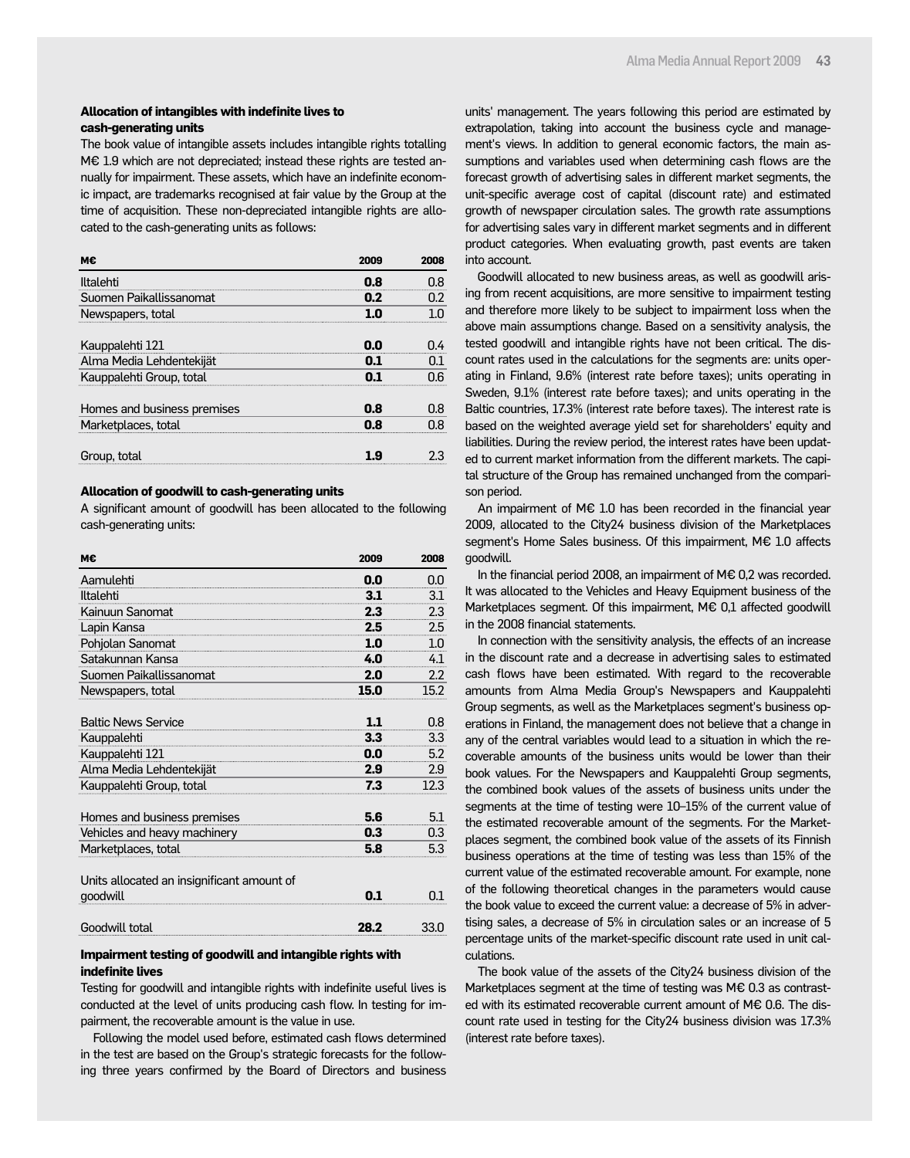#### **Allocation of intangibles with indefinite lives to cash-generating units**

The book value of intangible assets includes intangible rights totalling M€ 1.9 which are not depreciated; instead these rights are tested annually for impairment. These assets, which have an indefinite economic impact, are trademarks recognised at fair value by the Group at the time of acquisition. These non-depreciated intangible rights are allocated to the cash-generating units as follows:

|                             | 2009 | 2008 |
|-----------------------------|------|------|
| Iltalehti                   | 0.8  | በ ጸ  |
| Suomen Paikallissanomat     | 0.2  | በን   |
| Newspapers, total           |      |      |
|                             |      |      |
| Kauppalehti 121             | 0.0  |      |
| Alma Media Lehdentekijät    | 01   | 01   |
| Kauppalehti Group, total    |      |      |
|                             |      |      |
| Homes and business premises | 0.8  | 0.8  |
| Marketplaces, total         | 0.8  |      |
|                             |      |      |
| Group, total                |      |      |
|                             |      |      |

#### **Allocation of goodwill to cash-generating units**

A significant amount of goodwill has been allocated to the following cash-generating units:

| М€                                         | 2009 | 2008 |
|--------------------------------------------|------|------|
| Aamulehti                                  | 0.0  | 0.0  |
| Iltalehti                                  | 3.1  | 3.1  |
| Kainuun Sanomat                            | 2.3  | 2.3  |
| Lapin Kansa                                | 2.5  | 2.5  |
| Pohjolan Sanomat                           | 1.0  | 1.0  |
| Satakunnan Kansa                           | 4.0  | 4.1  |
| Suomen Paikallissanomat                    | 2.0  | 2.2  |
| Newspapers, total                          | 15.0 | 15.2 |
|                                            |      |      |
| <b>Baltic News Service</b>                 | 1.1  | 0.8  |
| Kauppalehti                                | 3.3  | 3.3  |
| Kauppalehti 121                            | 0.0  | 5.2  |
| Alma Media Lehdentekijät                   | 2.9  | 2.9  |
| Kauppalehti Group, total                   | 7.3  | 12.3 |
| Homes and business premises                | 5.6  | 5.1  |
| Vehicles and heavy machinery               | 0.3  | 0.3  |
| Marketplaces, total                        | 5.8  | 5.3  |
| Units allocated an insignificant amount of |      |      |
| goodwill                                   | 01   | 0.1  |

### Goodwill total **28.2** 33.0

#### **Impairment testing of goodwill and intangible rights with indefinite lives**

Testing for goodwill and intangible rights with indefinite useful lives is conducted at the level of units producing cash flow. In testing for impairment, the recoverable amount is the value in use.

Following the model used before, estimated cash flows determined in the test are based on the Group's strategic forecasts for the following three years confirmed by the Board of Directors and business units' management. The years following this period are estimated by extrapolation, taking into account the business cycle and management's views. In addition to general economic factors, the main assumptions and variables used when determining cash flows are the forecast growth of advertising sales in different market segments, the unit-specific average cost of capital (discount rate) and estimated growth of newspaper circulation sales. The growth rate assumptions for advertising sales vary in different market segments and in different product categories. When evaluating growth, past events are taken into account.

Goodwill allocated to new business areas, as well as goodwill arising from recent acquisitions, are more sensitive to impairment testing and therefore more likely to be subject to impairment loss when the above main assumptions change. Based on a sensitivity analysis, the tested goodwill and intangible rights have not been critical. The discount rates used in the calculations for the segments are: units operating in Finland, 9.6% (interest rate before taxes); units operating in Sweden, 9.1% (interest rate before taxes); and units operating in the Baltic countries, 17.3% (interest rate before taxes). The interest rate is based on the weighted average yield set for shareholders' equity and liabilities. During the review period, the interest rates have been updated to current market information from the different markets. The capital structure of the Group has remained unchanged from the comparison period.

An impairment of M€ 1.0 has been recorded in the financial year 2009, allocated to the City24 business division of the Marketplaces segment's Home Sales business. Of this impairment, M€ 1.0 affects goodwill.

In the financial period 2008, an impairment of M€ 0,2 was recorded. It was allocated to the Vehicles and Heavy Equipment business of the Marketplaces segment. Of this impairment, M€ 0,1 affected goodwill in the 2008 financial statements.

In connection with the sensitivity analysis, the effects of an increase in the discount rate and a decrease in advertising sales to estimated cash flows have been estimated. With regard to the recoverable amounts from Alma Media Group's Newspapers and Kauppalehti Group segments, as well as the Marketplaces segment's business operations in Finland, the management does not believe that a change in any of the central variables would lead to a situation in which the recoverable amounts of the business units would be lower than their book values. For the Newspapers and Kauppalehti Group segments, the combined book values of the assets of business units under the segments at the time of testing were 10–15% of the current value of the estimated recoverable amount of the segments. For the Marketplaces segment, the combined book value of the assets of its Finnish business operations at the time of testing was less than 15% of the current value of the estimated recoverable amount. For example, none of the following theoretical changes in the parameters would cause the book value to exceed the current value: a decrease of 5% in advertising sales, a decrease of 5% in circulation sales or an increase of 5 percentage units of the market-specific discount rate used in unit calculations.

The book value of the assets of the City24 business division of the Marketplaces segment at the time of testing was M€ 0.3 as contrasted with its estimated recoverable current amount of M€ 0.6. The discount rate used in testing for the City24 business division was 17.3% (interest rate before taxes).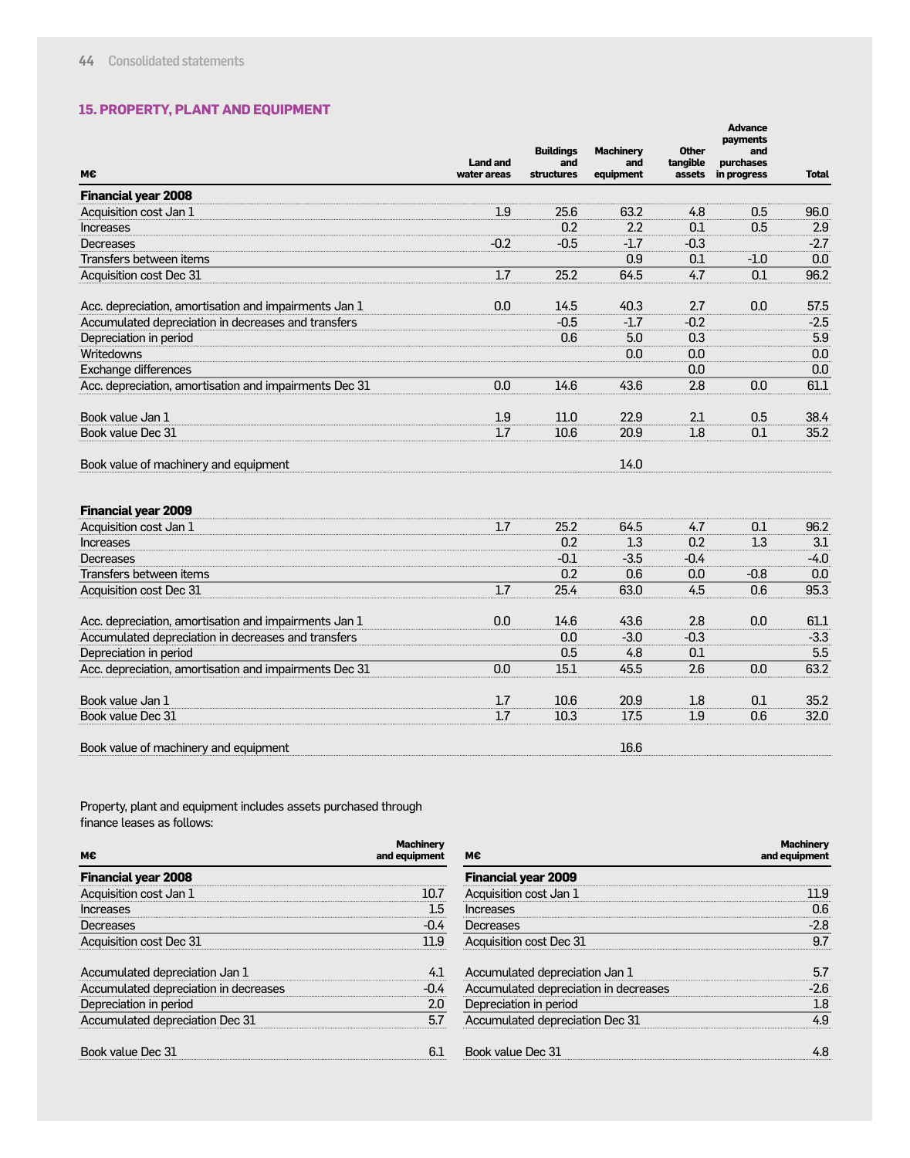#### **15. PROPERTY, PLANT AND EQUIPMENT**

|                                                        |                                |                                              |                                      |                                    | Auvance<br>payments             |              |
|--------------------------------------------------------|--------------------------------|----------------------------------------------|--------------------------------------|------------------------------------|---------------------------------|--------------|
| M€                                                     | <b>Land and</b><br>water areas | <b>Buildings</b><br>and<br><b>structures</b> | <b>Machinery</b><br>and<br>equipment | <b>Other</b><br>tangible<br>assets | and<br>purchases<br>in progress | <b>Total</b> |
| <b>Financial year 2008</b>                             |                                |                                              |                                      |                                    |                                 |              |
| Acquisition cost Jan 1                                 | 1.9                            | 25.6                                         | 63.2                                 | 4.8                                | 0.5                             | 96.0         |
| <b>Increases</b>                                       |                                | 0.2                                          | 2.2                                  | 0.1                                | 0.5                             | 2.9          |
| Decreases                                              | $-0.2$                         | $-0.5$                                       | $-1.7$                               | $-0.3$                             |                                 | $-2.7$       |
| Transfers between items                                |                                |                                              | 0.9                                  | 0.1                                | $-1.0$                          | 0.0          |
| Acquisition cost Dec 31                                | 1.7                            | 25.2                                         | 64.5                                 | 4.7                                | 0.1                             | 96.2         |
| Acc. depreciation, amortisation and impairments Jan 1  | 0.0                            | 14.5                                         | 40.3                                 | 2.7                                | 0.0                             | 57.5         |
| Accumulated depreciation in decreases and transfers    |                                | $-0.5$                                       | $-1.7$                               | $-0.2$                             |                                 | $-2.5$       |
| Depreciation in period                                 |                                | 0.6                                          | 5.0                                  | 0.3                                |                                 | 5.9          |
| Writedowns                                             |                                |                                              | 0.0                                  | 0.0                                |                                 | 0.0          |
| Exchange differences                                   |                                |                                              |                                      | 0.0                                |                                 | 0.0          |
| Acc. depreciation, amortisation and impairments Dec 31 | 0.0                            | 14.6                                         | 43.6                                 | 2.8                                | 0.0                             | 61.1         |
| Book value Jan 1                                       | 1.9                            | 11.0                                         | 22.9                                 | 2.1                                | 0.5                             | 38.4         |
| Book value Dec 31                                      | 1.7                            | 10.6                                         | 20.9                                 | 1.8                                | 0.1                             | 35.2         |
| Book value of machinery and equipment                  |                                |                                              | 14.0                                 |                                    |                                 |              |
| <b>Financial year 2009</b>                             |                                |                                              |                                      |                                    |                                 |              |
| Acquisition cost Jan 1                                 | 1.7                            | 25.2                                         | 64.5                                 | 4.7                                | 0.1                             | 96.2         |
| <b>Increases</b>                                       |                                | 0.2                                          | 1.3                                  | 0.2                                | 1.3                             | 3.1          |
| Decreases                                              |                                | $-0.1$                                       | $-3.5$                               | $-0.4$                             |                                 | $-4.0$       |
| Transfers between items                                |                                | 0.2                                          | 0.6                                  | 0.0                                | $-0.8$                          | 0.0          |
| Acquisition cost Dec 31                                | 1.7                            | 25.4                                         | 63.0                                 | 4.5                                | 0.6                             | 95.3         |
| Acc. depreciation, amortisation and impairments Jan 1  | 0.0                            | 14.6                                         | 43.6                                 | 2.8                                | 0.0                             | 61.1         |
| Accumulated depreciation in decreases and transfers    |                                | 0.0                                          | $-3.0$                               | $-0.3$                             |                                 | $-3.3$       |
| Depreciation in period                                 |                                | 0.5                                          | 4.8                                  | 0.1                                |                                 | 5.5          |
| Acc. depreciation, amortisation and impairments Dec 31 | 0.0                            | 15.1                                         | 45.5                                 | 2.6                                | 0.0                             | 63.2         |
| Book value Jan 1                                       | 1.7                            | 10.6                                         | 20.9                                 | 1.8                                | 0.1                             | 35.2         |
| Book value Dec 31                                      | 1.7                            | 10.3                                         | 17.5                                 | 1.9                                | 0.6                             | 32.0         |
| Book value of machinery and equipment                  |                                |                                              | 16.6                                 |                                    |                                 |              |

**Advance** 

Property, plant and equipment includes assets purchased through finance leases as follows:

| M€                                    | <b>Machinery</b><br>and equipment | М€                                    | <b>Machinery</b><br>and equipment |
|---------------------------------------|-----------------------------------|---------------------------------------|-----------------------------------|
| <b>Financial year 2008</b>            |                                   | <b>Financial year 2009</b>            |                                   |
| Acquisition cost Jan 1                | 10.7                              | Acquisition cost Jan 1                | 11.9                              |
| <b>Increases</b>                      | 1.5                               | Increases                             | 0.6                               |
| Decreases                             | $-0.4$                            | Decreases                             | $-2.8$                            |
| Acquisition cost Dec 31               | 11.9                              | Acquisition cost Dec 31               | 9.7                               |
| Accumulated depreciation Jan 1        | 4.1                               | Accumulated depreciation Jan 1        | 5.7                               |
| Accumulated depreciation in decreases | $-0.4$                            | Accumulated depreciation in decreases | $-2.6$                            |
| Depreciation in period                | 2.0                               | Depreciation in period                | 1.8                               |
| Accumulated depreciation Dec 31       | 5.7                               | Accumulated depreciation Dec 31       | 4.9                               |
| Book value Dec 31                     | 6.1                               | Book value Dec 31                     | 4.8                               |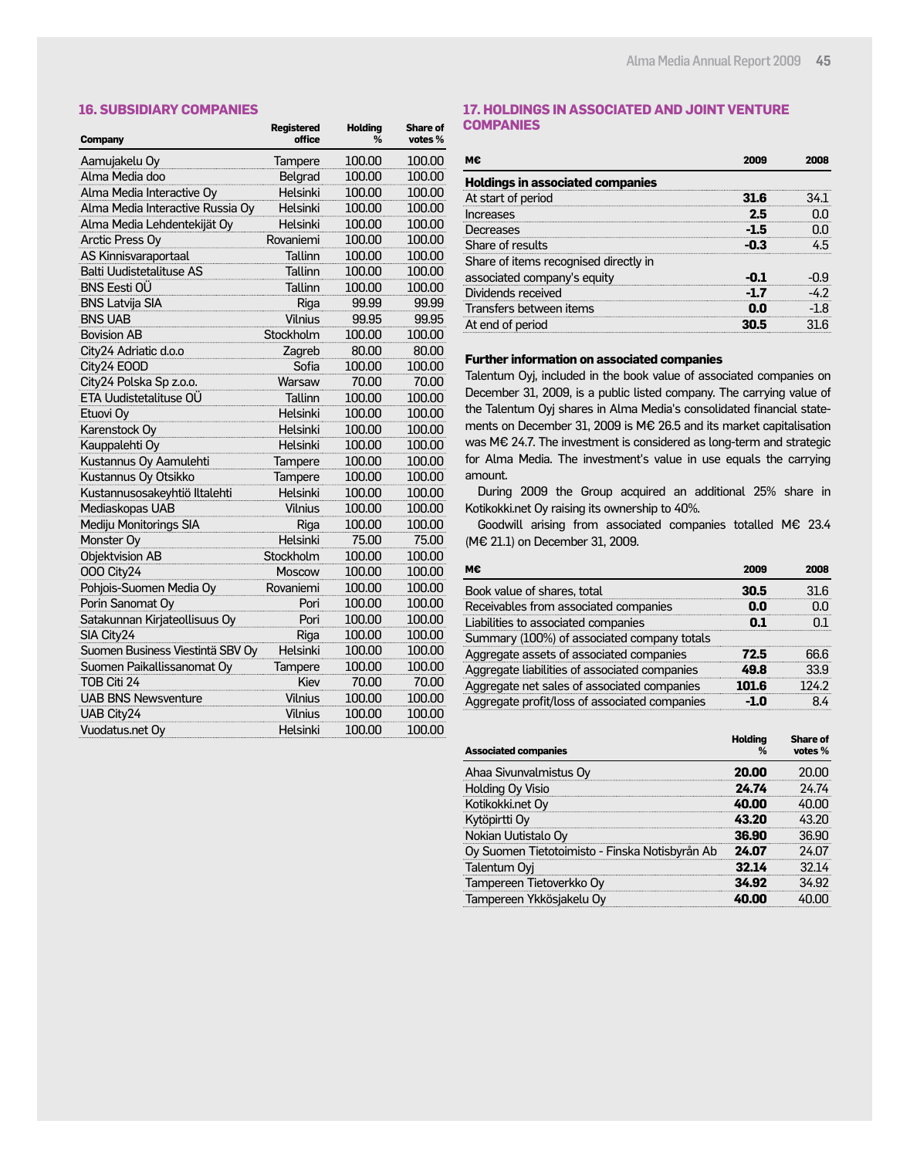#### **16. SUBSIDIARY COMPANIES**

| <b>Company</b>                   | <b>Registered</b><br>office | <b>Holding</b><br>% | <b>Share of</b><br>votes % |
|----------------------------------|-----------------------------|---------------------|----------------------------|
| Aamujakelu Oy                    | Tampere                     | 100.00              | 100.00                     |
| Alma Media doo                   | Belgrad                     | 100.00              | 100.00                     |
| Alma Media Interactive Oy        | Helsinki                    | 100.00              | 100.00                     |
| Alma Media Interactive Russia Oy | Helsinki                    | 100.00              | 100.00                     |
| Alma Media Lehdentekijät Oy      | Helsinki                    | 100.00              | 100.00                     |
| Arctic Press Oy                  | Rovaniemi                   | 100.00              | 100.00                     |
| AS Kinnisvaraportaal             | Tallinn                     | 100.00              | 100.00                     |
| <b>Balti Uudistetalituse AS</b>  | Tallinn                     | 100.00              | 100.00                     |
| <b>BNS Eesti OÜ</b>              | Tallinn                     | 100.00              | 100.00                     |
| <b>BNS Latvija SIA</b>           | Riga                        | 99.99               | 99.99                      |
| <b>BNS UAB</b>                   | <b>Vilnius</b>              | 99.95               | 99.95                      |
| <b>Bovision AB</b>               | Stockholm                   | 100.00              | 100.00                     |
| City24 Adriatic d.o.o            | Zagreb                      | 80.00               | 80.00                      |
| City24 EOOD                      | Sofia                       | 100.00              | 100.00                     |
| City24 Polska Sp z.o.o.          | Warsaw                      | 70.00               | 70.00                      |
| ETA Uudistetalituse OÜ           | <b>Tallinn</b>              | 100.00              | 100.00                     |
| Etuovi Oy                        | Helsinki                    | 100.00              | 100.00                     |
| Karenstock Oy                    | Helsinki                    | 100.00              | 100.00                     |
| Kauppalehti Oy                   | Helsinki                    | 100.00              | 100.00                     |
| Kustannus Oy Aamulehti           | Tampere                     | 100.00              | 100.00                     |
| Kustannus Oy Otsikko             | Tampere                     | 100.00              | 100.00                     |
| Kustannusosakeyhtiö Iltalehti    | Helsinki                    | 100.00              | 100.00                     |
| Mediaskopas UAB                  | <b>Vilnius</b>              | 100.00              | 100.00                     |
| Mediju Monitorings SIA           | Riga                        | 100.00              | 100.00                     |
| Monster Oy                       | Helsinki                    | 75.00               | 75.00                      |
| Objektvision AB                  | Stockholm                   | 100.00              | 100.00                     |
| 000 City24                       | Moscow                      | 100.00              | 100.00                     |
| Pohjois-Suomen Media Oy          | Rovaniemi                   | 100.00              | 100.00                     |
| Porin Sanomat Oy                 | Pori                        | 100.00              | 100.00                     |
| Satakunnan Kirjateollisuus Oy    | Pori                        | 100.00              | 100.00                     |
| SIA City24                       | Riga                        | 100.00              | 100.00                     |
| Suomen Business Viestintä SBV Oy | Helsinki                    | 100.00              | 100.00                     |
| Suomen Paikallissanomat Oy       | Tampere                     | 100.00              | 100.00                     |
| TOB Citi 24                      | Kiev                        | 70.00               | 70.00                      |
| <b>UAB BNS Newsventure</b>       | Vilnius                     | 100.00              | 100.00                     |
| <b>UAB City24</b>                | Vilnius                     | 100.00              | 100.00                     |
| Vuodatus.net Oy                  | Helsinki                    | 100.00              | 100.00                     |

#### **17. HOLDINGS IN ASSOCIATED AND JOINT VENTURE COMPANIES**

| м€                                      | 2009 | 2008 |
|-----------------------------------------|------|------|
| <b>Holdings in associated companies</b> |      |      |
| At start of period                      |      | 34 T |
| Increases                               | 2.5  |      |
| Decreases                               | -1.5 |      |
| Share of results                        |      |      |
| Share of items recognised directly in   |      |      |
| associated company's equity             | ו ח- | -09  |
| Dividends received                      |      |      |
| Transfers between items                 |      | -18  |
| At end of period                        |      |      |

#### **Further information on associated companies**

Talentum Oyj, included in the book value of associated companies on December 31, 2009, is a public listed company. The carrying value of the Talentum Oyj shares in Alma Media's consolidated financial statements on December 31, 2009 is M€ 26.5 and its market capitalisation was M€ 24.7. The investment is considered as long-term and strategic for Alma Media. The investment's value in use equals the carrying amount.

During 2009 the Group acquired an additional 25% share in Kotikokki.net Oy raising its ownership to 40%.

Goodwill arising from associated companies totalled M€ 23.4 (M€ 21.1) on December 31, 2009.

| M€                                            | 2009  | 2008  |
|-----------------------------------------------|-------|-------|
| Book value of shares, total                   | 30.5  | 31.6  |
| Receivables from associated companies         | N.N   | nn    |
| Liabilities to associated companies           | ו ח   |       |
| Summary (100%) of associated company totals   |       |       |
| Aggregate assets of associated companies      | 72.5  | 66.6  |
| Aggregate liabilities of associated companies | 49 R  | 33.9  |
| Aggregate net sales of associated companies   | 101 6 | 124 2 |
| Aggregate profit/loss of associated companies |       |       |

| <b>Associated companies</b>                    | Holdina<br>% | <b>Share of</b><br>votes % |
|------------------------------------------------|--------------|----------------------------|
| Ahaa Sivunvalmistus Oy                         | 20.00        |                            |
| Holding Oy Visio                               | 24.74        | 74.74                      |
| Kotikokki.net Oy                               | 40.00        |                            |
| Kytöpirtti Oy                                  | 43.20        | 43.20                      |
| Nokian Uutistalo Oy                            | 36.90        | 36.90                      |
| Oy Suomen Tietotoimisto - Finska Notisbyrån Ab | 24 N7        | 24.07                      |
| Talentum Oyj                                   | 32.14        | 32 14                      |
| Tampereen Tietoverkko Oy                       | 34.92        | 34.92                      |
| Tampereen Ykkösjakelu Oy                       |              |                            |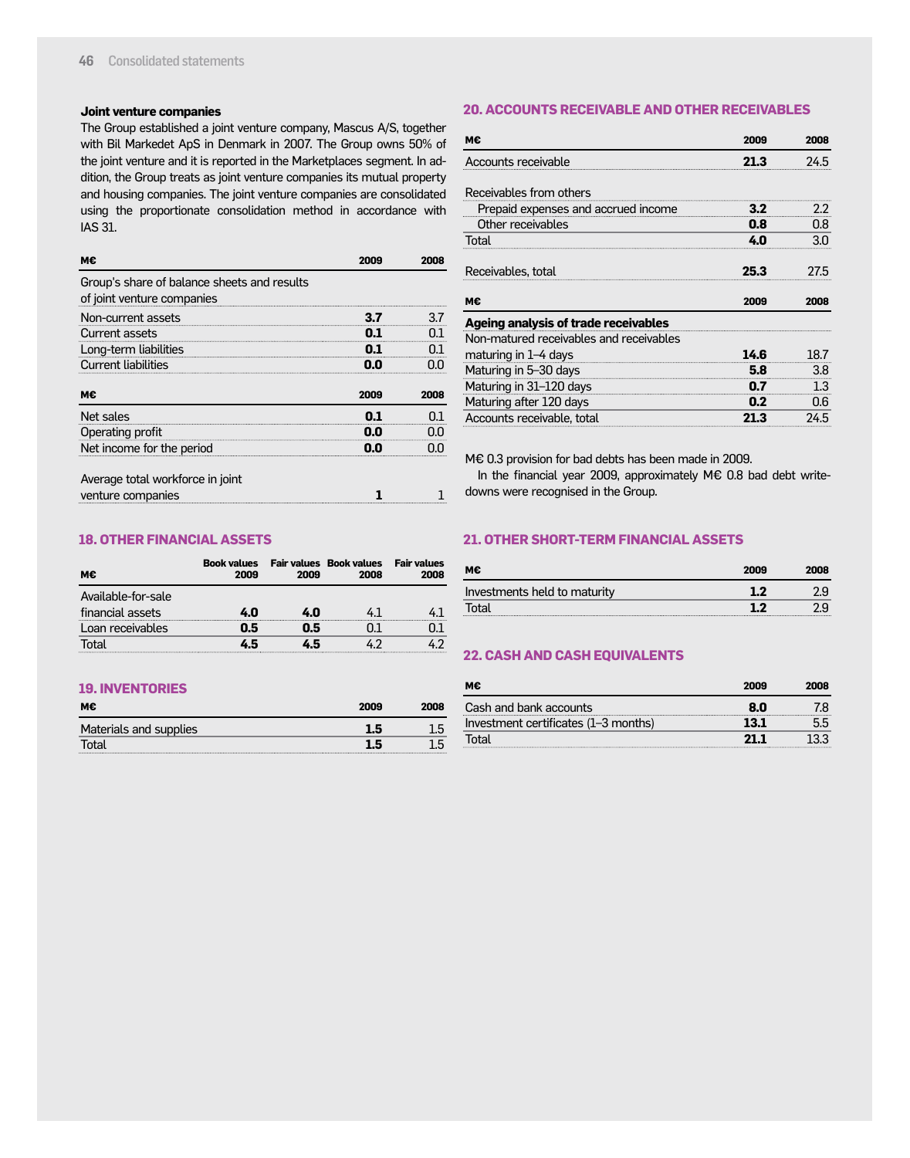#### **Joint venture companies**

The Group established a joint venture company, Mascus A/S, together with Bil Markedet ApS in Denmark in 2007. The Group owns 50% of the joint venture and it is reported in the Marketplaces segment. In addition, the Group treats as joint venture companies its mutual property and housing companies. The joint venture companies are consolidated using the proportionate consolidation method in accordance with IAS 31.

| м€                                                                        | 2009 | 2008 |
|---------------------------------------------------------------------------|------|------|
| Group's share of balance sheets and results<br>of joint venture companies |      |      |
| Non-current assets                                                        | 3.7  | 3.7  |
| Current assets                                                            |      | N 1  |
| Long-term liabilities                                                     |      | 0.1  |
| <b>Current liabilities</b>                                                | n n  |      |
| м€                                                                        | 2009 | 2008 |
| Net sales                                                                 | 0.1  | 0.1  |
| Operating profit                                                          | 0.0  | nn   |
| Net income for the period                                                 | 0.0  |      |
| Average total workforce in joint                                          |      |      |
| venture companies                                                         |      |      |

#### **18. OTHER FINANCIAL ASSETS**

| м€                 | <b>Book values</b><br>2009 | 2009 | <b>Fair values Book values</b><br>2008 | <b>Fair values</b><br>2008 |
|--------------------|----------------------------|------|----------------------------------------|----------------------------|
| Available-for-sale |                            |      |                                        |                            |
| financial assets   | 4.N                        | 4.0  |                                        |                            |
| Loan receivables   | 0.5                        | 0.5  |                                        |                            |
| Total              | 45                         | 45   | 42                                     |                            |

#### **19. INVENTORIES**

| м€                     | 2009 | 2008 |
|------------------------|------|------|
| Materials and supplies | 1.5  | .5   |
| Total                  | 1.5  | 1.5  |

#### **20. ACCOUNTS RECEIVABLE AND OTHER RECEIVABLES**

| м€                                      | 2009         | 2008         |
|-----------------------------------------|--------------|--------------|
| Accounts receivable                     | 21.3         | 24.5         |
| Receivables from others                 |              |              |
| Prepaid expenses and accrued income     | 3.2          | 2.2          |
| Other receivables                       | 0.8          | 0.8          |
| Total                                   | 4.0          | 3.0          |
| Receivables, total<br>м€                | 25.3<br>2009 | 27.5<br>2008 |
| Ageing analysis of trade receivables    |              |              |
| Non-matured receivables and receivables |              |              |
| maturing in 1-4 days                    | 14.6         | 18.7         |
| Maturing in 5-30 days                   | 5.8          | 3.8          |
| Maturing in 31-120 days                 | 0.7          | 1.3          |
| Maturing after 120 days                 | 0.2          | 0.6          |
| Accounts receivable, total              | 21 R         | 24.5         |

M€ 0.3 provision for bad debts has been made in 2009.

In the financial year 2009, approximately M€ 0.8 bad debt writedowns were recognised in the Group.

#### **21. OTHER SHORT-TERM FINANCIAL ASSETS**

| м€                           | 2009 | 2008          |
|------------------------------|------|---------------|
| Investments held to maturity | 1.2  | $2.9^{\circ}$ |
| Total                        | 1.2  | 2.9           |

#### **22. CASH AND CASH EQUIVALENTS**

| м€                                   | 2009 | 2008 |
|--------------------------------------|------|------|
| Cash and bank accounts               | 80   |      |
| Investment certificates (1-3 months) | 13.1 |      |
| Total                                |      |      |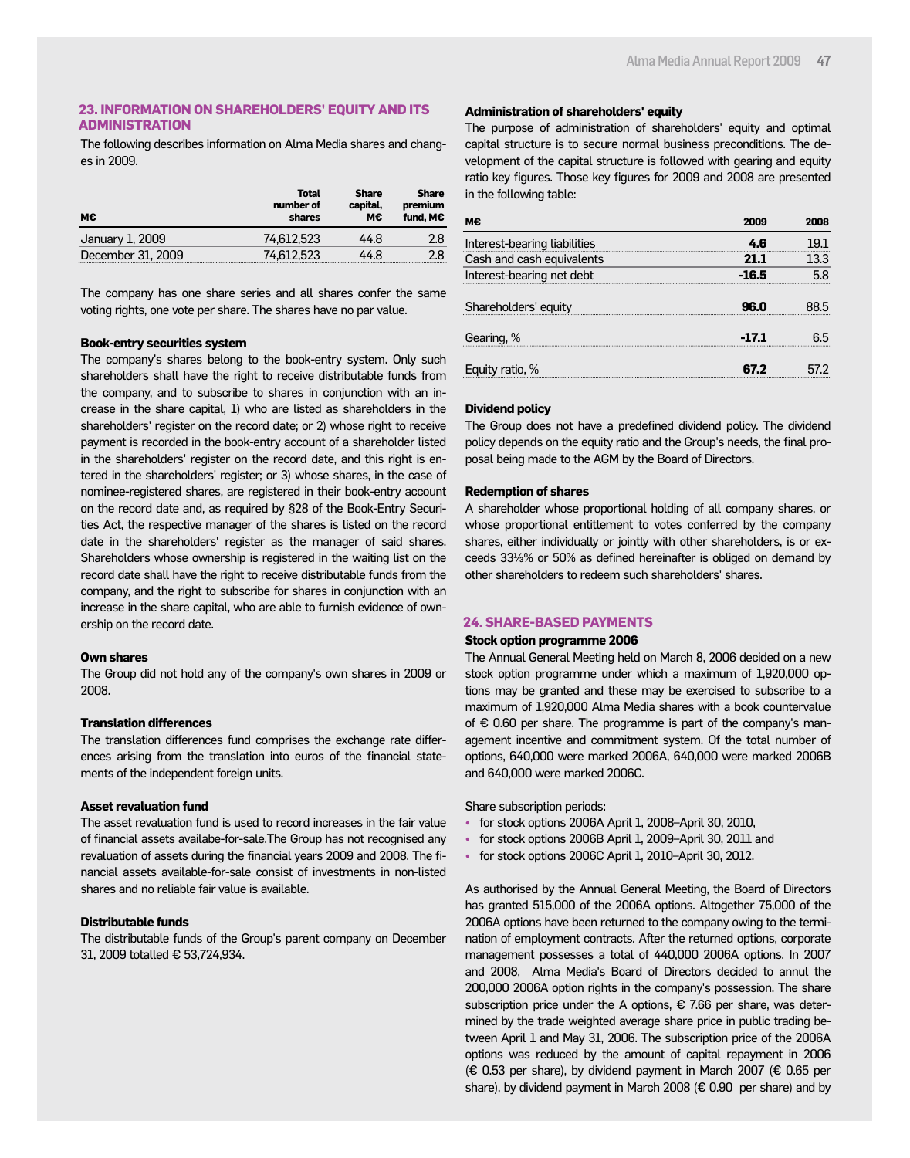#### **23. INFORMATION ON SHAREHOLDERS' EQUITY AND ITS ADMINISTRATION**

The following describes information on Alma Media shares and changes in 2009.

| м€                | Total<br>number of<br>shares | <b>Share</b><br>capital.<br>мє | Share<br>premium<br>fund. M€ |
|-------------------|------------------------------|--------------------------------|------------------------------|
| January 1, 2009   | 74.612.523                   | 44.8                           | 2.8                          |
| December 31, 2009 | 74.612.523                   | 44 R                           | 2.8                          |

The company has one share series and all shares confer the same voting rights, one vote per share. The shares have no par value.

#### **Book-entry securities system**

The company's shares belong to the book-entry system. Only such shareholders shall have the right to receive distributable funds from the company, and to subscribe to shares in conjunction with an increase in the share capital, 1) who are listed as shareholders in the shareholders' register on the record date; or 2) whose right to receive payment is recorded in the book-entry account of a shareholder listed in the shareholders' register on the record date, and this right is entered in the shareholders' register; or 3) whose shares, in the case of nominee-registered shares, are registered in their book-entry account on the record date and, as required by §28 of the Book-Entry Securities Act, the respective manager of the shares is listed on the record date in the shareholders' register as the manager of said shares. Shareholders whose ownership is registered in the waiting list on the record date shall have the right to receive distributable funds from the company, and the right to subscribe for shares in conjunction with an increase in the share capital, who are able to furnish evidence of ownership on the record date.

#### **Own shares**

The Group did not hold any of the company's own shares in 2009 or 2008.

#### **Translation differences**

The translation differences fund comprises the exchange rate differences arising from the translation into euros of the financial statements of the independent foreign units.

#### **Asset revaluation fund**

The asset revaluation fund is used to record increases in the fair value of financial assets availabe-for-sale.The Group has not recognised any revaluation of assets during the financial years 2009 and 2008. The financial assets available-for-sale consist of investments in non-listed shares and no reliable fair value is available.

#### **Distributable funds**

The distributable funds of the Group's parent company on December 31, 2009 totalled € 53,724,934.

#### **Administration of shareholders' equity**

The purpose of administration of shareholders' equity and optimal capital structure is to secure normal business preconditions. The development of the capital structure is followed with gearing and equity ratio key figures. Those key figures for 2009 and 2008 are presented in the following table:

| м€                           |         | 2008 |
|------------------------------|---------|------|
| Interest-bearing liabilities | 4 R     | 19.1 |
| Cash and cash equivalents    | 21.1    | 13.3 |
| Interest-bearing net debt    | $-16.5$ | 5.8  |
| Shareholders' equity         | 96.O    |      |
| Gearing, %                   | -17.1   | h h  |
| Equity ratio, %              | 67 Z    |      |

#### **Dividend policy**

The Group does not have a predefined dividend policy. The dividend policy depends on the equity ratio and the Group's needs, the final proposal being made to the AGM by the Board of Directors.

#### **Redemption of shares**

A shareholder whose proportional holding of all company shares, or whose proportional entitlement to votes conferred by the company shares, either individually or jointly with other shareholders, is or exceeds 33⅓% or 50% as defined hereinafter is obliged on demand by other shareholders to redeem such shareholders' shares.

#### **24. SHARE-BASED PAYMENTS**

#### **Stock option programme 2006**

The Annual General Meeting held on March 8, 2006 decided on a new stock option programme under which a maximum of 1,920,000 options may be granted and these may be exercised to subscribe to a maximum of 1,920,000 Alma Media shares with a book countervalue of € 0.60 per share. The programme is part of the company's management incentive and commitment system. Of the total number of options, 640,000 were marked 2006A, 640,000 were marked 2006B and 640,000 were marked 2006C.

Share subscription periods:

- for stock options 2006A April 1, 2008–April 30, 2010,
- for stock options 2006B April 1, 2009–April 30, 2011 and
- for stock options 2006C April 1, 2010–April 30, 2012.

As authorised by the Annual General Meeting, the Board of Directors has granted 515,000 of the 2006A options. Altogether 75,000 of the 2006A options have been returned to the company owing to the termination of employment contracts. After the returned options, corporate management possesses a total of 440,000 2006A options. In 2007 and 2008, Alma Media's Board of Directors decided to annul the 200,000 2006A option rights in the company's possession. The share subscription price under the A options,  $\epsilon$  7.66 per share, was determined by the trade weighted average share price in public trading between April 1 and May 31, 2006. The subscription price of the 2006A options was reduced by the amount of capital repayment in 2006 (€ 0.53 per share), by dividend payment in March 2007 (€ 0.65 per share), by dividend payment in March 2008 ( $\epsilon$  0.90 per share) and by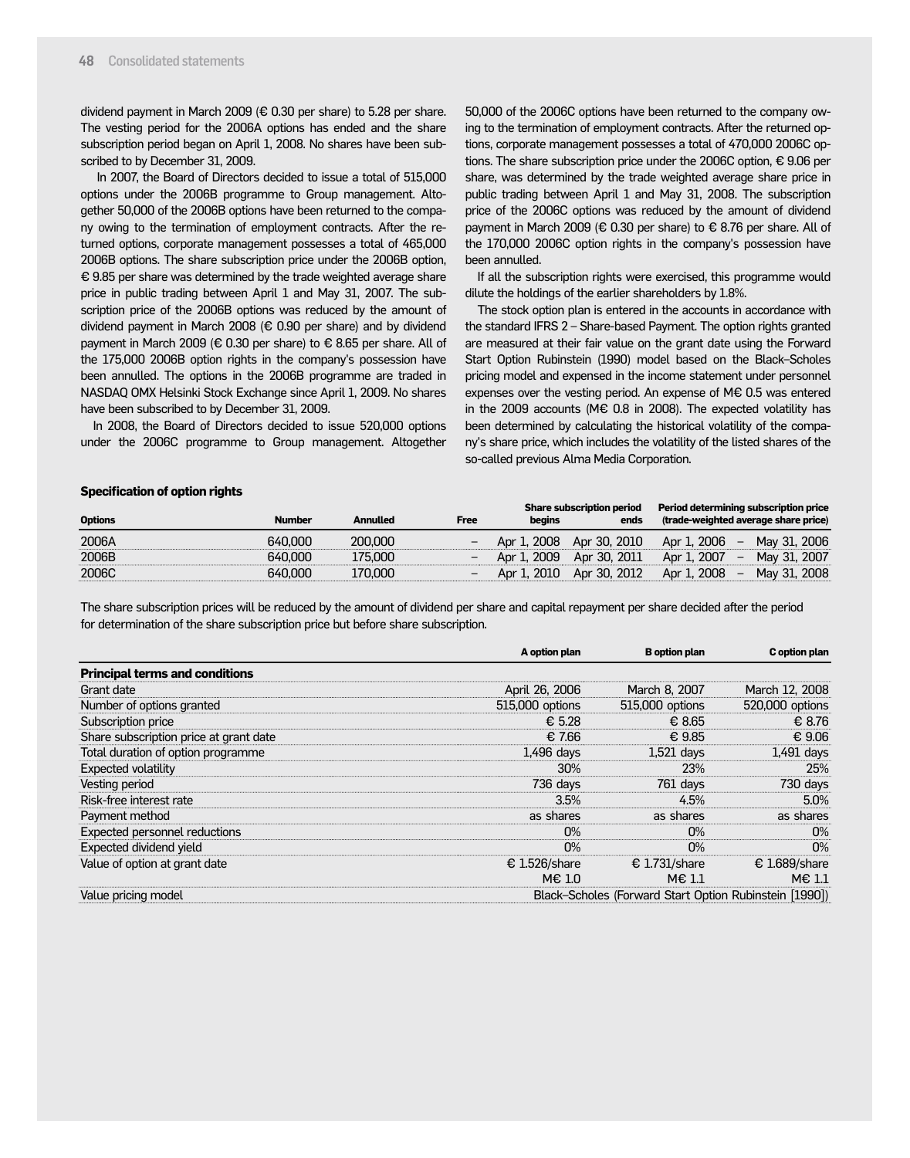dividend payment in March 2009 (€ 0.30 per share) to 5.28 per share. The vesting period for the 2006A options has ended and the share subscription period began on April 1, 2008. No shares have been subscribed to by December 31, 2009.

 In 2007, the Board of Directors decided to issue a total of 515,000 options under the 2006B programme to Group management. Altogether 50,000 of the 2006B options have been returned to the company owing to the termination of employment contracts. After the returned options, corporate management possesses a total of 465,000 2006B options. The share subscription price under the 2006B option, € 9.85 per share was determined by the trade weighted average share price in public trading between April 1 and May 31, 2007. The subscription price of the 2006B options was reduced by the amount of dividend payment in March 2008 (€ 0.90 per share) and by dividend payment in March 2009 (€ 0.30 per share) to € 8.65 per share. All of the 175,000 2006B option rights in the company's possession have been annulled. The options in the 2006B programme are traded in NASDAQ OMX Helsinki Stock Exchange since April 1, 2009. No shares have been subscribed to by December 31, 2009.

In 2008, the Board of Directors decided to issue 520,000 options under the 2006C programme to Group management. Altogether

50,000 of the 2006C options have been returned to the company owing to the termination of employment contracts. After the returned options, corporate management possesses a total of 470,000 2006C options. The share subscription price under the 2006C option, € 9.06 per share, was determined by the trade weighted average share price in public trading between April 1 and May 31, 2008. The subscription price of the 2006C options was reduced by the amount of dividend payment in March 2009 (€ 0.30 per share) to € 8.76 per share. All of the 170,000 2006C option rights in the company's possession have been annulled.

If all the subscription rights were exercised, this programme would dilute the holdings of the earlier shareholders by 1.8%.

The stock option plan is entered in the accounts in accordance with the standard IFRS 2 – Share-based Payment. The option rights granted are measured at their fair value on the grant date using the Forward Start Option Rubinstein (1990) model based on the Black–Scholes pricing model and expensed in the income statement under personnel expenses over the vesting period. An expense of M€ 0.5 was entered in the 2009 accounts (M€ 0.8 in 2008). The expected volatility has been determined by calculating the historical volatility of the company's share price, which includes the volatility of the listed shares of the so-called previous Alma Media Corporation.

#### **Specification of option rights**

| <b>Options</b> | <b>Number</b> | Annulled | <b>Free</b> | begins      | <b>Share subscription period</b><br>ends | Period determining subscription price<br>(trade-weighted average share price) |              |
|----------------|---------------|----------|-------------|-------------|------------------------------------------|-------------------------------------------------------------------------------|--------------|
| 2006A          | 640.000       | 200,000  |             |             | Apr 1, 2008 Apr 30, 2010                 | Apr 1, 2006 $-$                                                               | Mav 31, 2006 |
| 2006B          | 640.000       | 175.000  |             | Apr 1, 2009 | Apr 30, 2011                             | Apr 1, 2007<br>$\overline{\phantom{0}}$                                       | Mav 31, 2007 |
| 2006C          | 640.000       | 170.000  |             | Apr 1, 2010 | Apr 30, 2012                             | Apr 1, 2008<br>$\overline{\phantom{0}}$                                       | Mav 31, 2008 |

The share subscription prices will be reduced by the amount of dividend per share and capital repayment per share decided after the period for determination of the share subscription price but before share subscription.

|                                        | A option plan   | <b>B</b> option plan                                   | C option plan   |
|----------------------------------------|-----------------|--------------------------------------------------------|-----------------|
| <b>Principal terms and conditions</b>  |                 |                                                        |                 |
| Grant date                             | April 26, 2006  | March 8, 2007                                          | March 12, 2008  |
| Number of options granted              | 515,000 options | 515,000 options                                        | 520,000 options |
| Subscription price                     | € 5.28          | € 8.65                                                 | € 8.76          |
| Share subscription price at grant date | € 7.66          | €9.85                                                  | € 9.06          |
| Total duration of option programme     | $1,496$ days    | $1,521$ days                                           | $1,491$ days    |
| <b>Expected volatility</b>             | 30%             | 23%                                                    | 25%             |
| Vesting period                         | 736 days        | 761 davs                                               | 730 days        |
| Risk-free interest rate                | 3.5%            | 4.5%                                                   | 5.0%            |
| Payment method                         | as shares       | as shares                                              | as shares       |
| Expected personnel reductions          | 0%              | $0\%$                                                  | 0%              |
| Expected dividend yield                | $0\%$           | $0\%$                                                  | $0\%$           |
| Value of option at grant date          | € 1.526/share   | € 1.731/share                                          | € 1.689/share   |
|                                        | $M \in 1.0$     | $M \in 1.1$                                            | $M \in 1.1$     |
| Value pricing model                    |                 | Black-Scholes (Forward Start Option Rubinstein [1990]) |                 |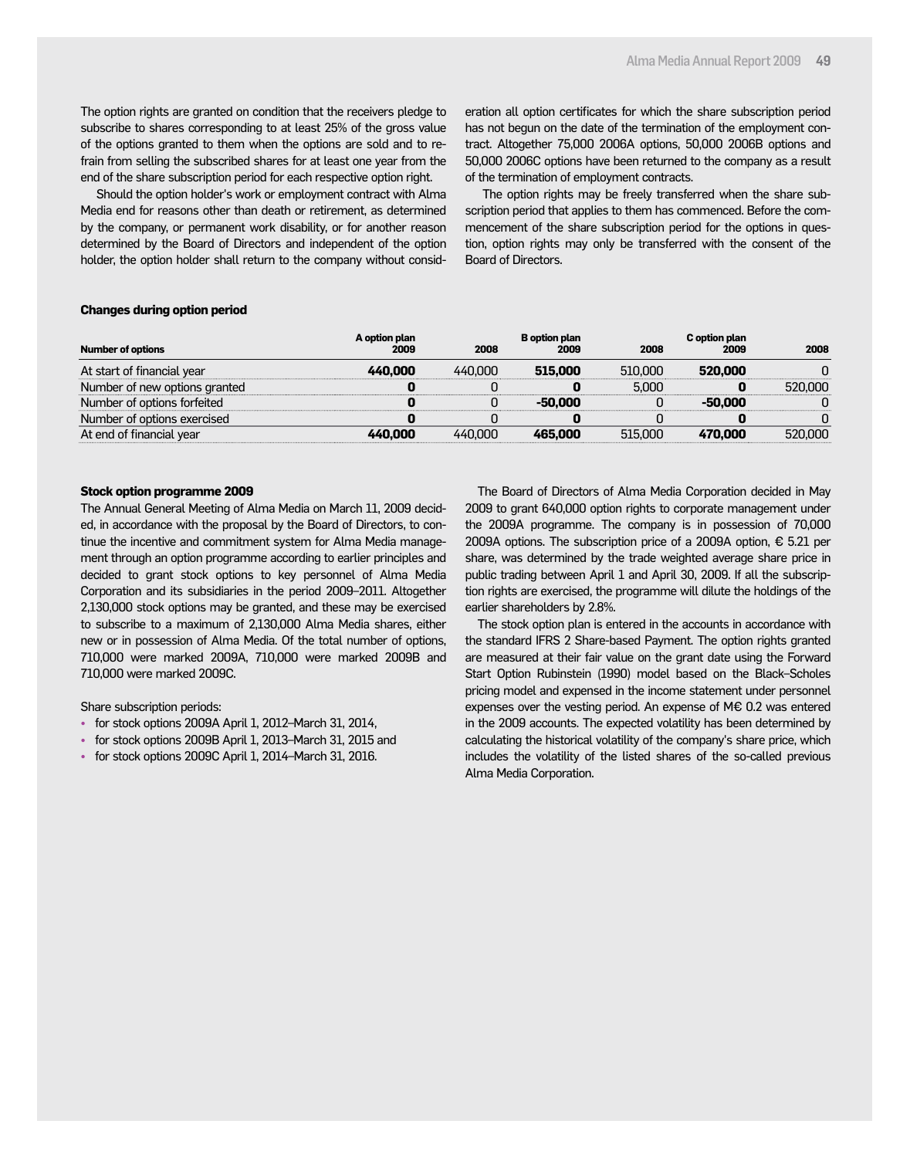The option rights are granted on condition that the receivers pledge to subscribe to shares corresponding to at least 25% of the gross value of the options granted to them when the options are sold and to refrain from selling the subscribed shares for at least one year from the end of the share subscription period for each respective option right.

 Should the option holder's work or employment contract with Alma Media end for reasons other than death or retirement, as determined by the company, or permanent work disability, or for another reason determined by the Board of Directors and independent of the option holder, the option holder shall return to the company without consideration all option certificates for which the share subscription period has not begun on the date of the termination of the employment contract. Altogether 75,000 2006A options, 50,000 2006B options and 50,000 2006C options have been returned to the company as a result of the termination of employment contracts.

 The option rights may be freely transferred when the share subscription period that applies to them has commenced. Before the commencement of the share subscription period for the options in question, option rights may only be transferred with the consent of the Board of Directors.

#### **Changes during option period**

|                               | A option plan |         | <b>B</b> option plan |         | C option plan |         |
|-------------------------------|---------------|---------|----------------------|---------|---------------|---------|
| <b>Number of options</b>      | 2009          | 2008    | 2009                 | 2008    | 2009          | 2008    |
| At start of financial year    | 440.000       | 440.000 | 515,000              | 510.000 | 520,000       |         |
| Number of new options granted |               |         |                      | 5.000   |               | 520,000 |
| Number of options forfeited   |               |         | -50.000              |         | -50.000       |         |
| Number of options exercised   |               |         |                      |         |               |         |
| At end of financial vear      | 440.000       | 440.000 | 465.000              | 515,000 | 470,000       | 520,000 |

#### **Stock option programme 2009**

The Annual General Meeting of Alma Media on March 11, 2009 decided, in accordance with the proposal by the Board of Directors, to continue the incentive and commitment system for Alma Media management through an option programme according to earlier principles and decided to grant stock options to key personnel of Alma Media Corporation and its subsidiaries in the period 2009–2011. Altogether 2,130,000 stock options may be granted, and these may be exercised to subscribe to a maximum of 2,130,000 Alma Media shares, either new or in possession of Alma Media. Of the total number of options, 710,000 were marked 2009A, 710,000 were marked 2009B and 710,000 were marked 2009C.

Share subscription periods:

- for stock options 2009A April 1, 2012–March 31, 2014,
- for stock options 2009B April 1, 2013–March 31, 2015 and
- for stock options 2009C April 1, 2014–March 31, 2016.

The Board of Directors of Alma Media Corporation decided in May 2009 to grant 640,000 option rights to corporate management under the 2009A programme. The company is in possession of 70,000 2009A options. The subscription price of a 2009A option, € 5.21 per share, was determined by the trade weighted average share price in public trading between April 1 and April 30, 2009. If all the subscription rights are exercised, the programme will dilute the holdings of the earlier shareholders by 2.8%.

The stock option plan is entered in the accounts in accordance with the standard IFRS 2 Share-based Payment. The option rights granted are measured at their fair value on the grant date using the Forward Start Option Rubinstein (1990) model based on the Black–Scholes pricing model and expensed in the income statement under personnel expenses over the vesting period. An expense of M€ 0.2 was entered in the 2009 accounts. The expected volatility has been determined by calculating the historical volatility of the company's share price, which includes the volatility of the listed shares of the so-called previous Alma Media Corporation.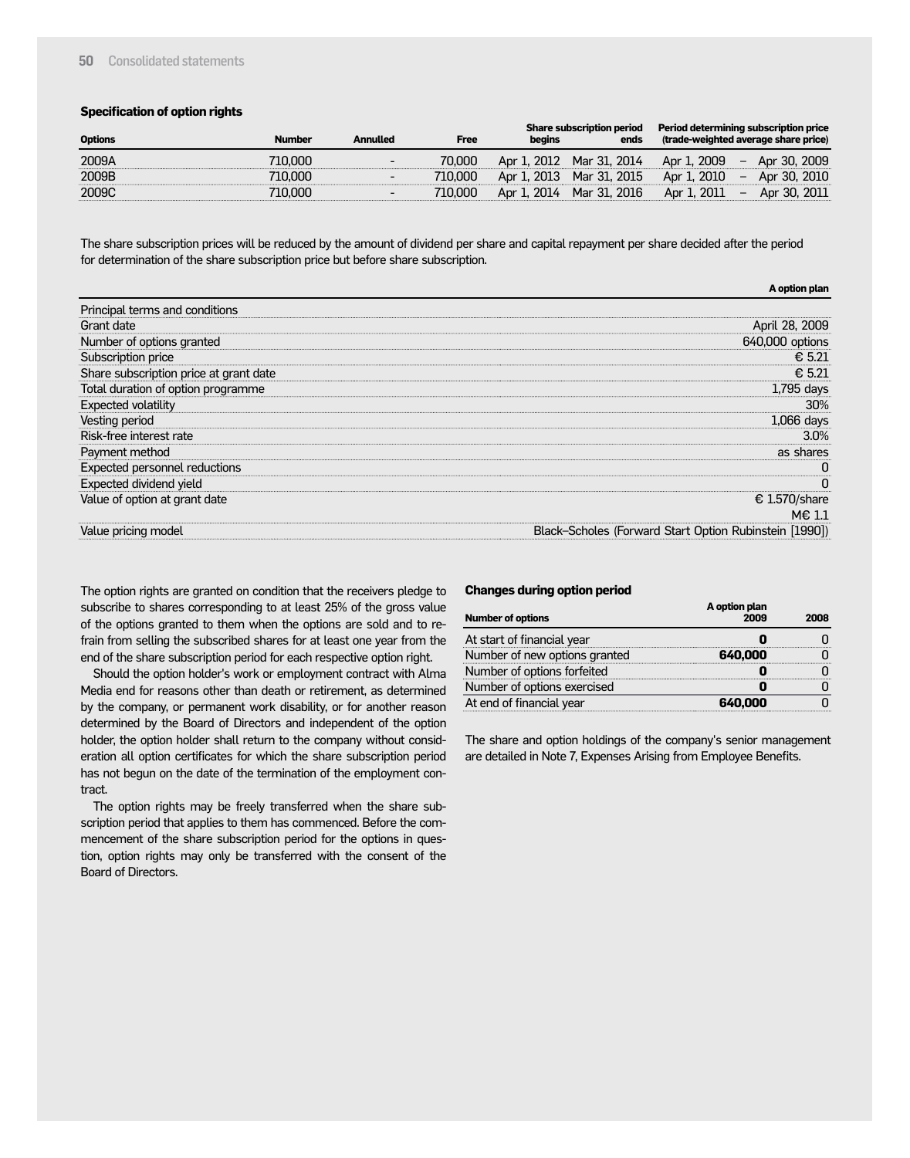#### **50** Consolidated statements

#### **Specification of option rights**

| <b>Options</b> | <b>Number</b> | Annulled | <b>Free</b> | begins | <b>Share subscription period</b><br>ends |             | Period determining subscription price<br>(trade-weighted average share price) |
|----------------|---------------|----------|-------------|--------|------------------------------------------|-------------|-------------------------------------------------------------------------------|
| 2009A          | 710.000       | -        | 70.000      |        | Apr 1, 2012 Mar 31, 2014                 | Apr 1, 2009 | $-$ Apr 30, 2009                                                              |
| 2009B          | 710.000       | -        | 710.000     |        | Apr 1, 2013 Mar 31, 2015                 | Apr 1, 2010 | Apr 30, 2010<br>$\sim$                                                        |
| 2009C          | 710.000       |          | 710.000     |        | Apr 1, 2014 Mar 31, 2016                 | Apr 1, 2011 | $-$ Apr 30, 2011                                                              |
|                |               |          |             |        |                                          |             |                                                                               |

The share subscription prices will be reduced by the amount of dividend per share and capital repayment per share decided after the period for determination of the share subscription price but before share subscription.

|                                        | A option plan                                          |
|----------------------------------------|--------------------------------------------------------|
| Principal terms and conditions         |                                                        |
| Grant date                             | April 28, 2009                                         |
| Number of options granted              | 640,000 options                                        |
| Subscription price                     | € 5.21                                                 |
| Share subscription price at grant date | € 5.21                                                 |
| Total duration of option programme     | 1,795 days                                             |
| <b>Expected volatility</b>             | 30%                                                    |
| Vesting period                         | 1,066 days                                             |
| Risk-free interest rate                | $3.0\%$                                                |
| Payment method                         | as shares                                              |
| Expected personnel reductions          |                                                        |
| Expected dividend yield                | n                                                      |
| Value of option at grant date          | € 1.570/share                                          |
|                                        | $M \in 1.1$                                            |
| Value pricing model                    | Black-Scholes (Forward Start Option Rubinstein [1990]) |

The option rights are granted on condition that the receivers pledge to subscribe to shares corresponding to at least 25% of the gross value of the options granted to them when the options are sold and to refrain from selling the subscribed shares for at least one year from the end of the share subscription period for each respective option right.

Should the option holder's work or employment contract with Alma Media end for reasons other than death or retirement, as determined by the company, or permanent work disability, or for another reason determined by the Board of Directors and independent of the option holder, the option holder shall return to the company without consideration all option certificates for which the share subscription period has not begun on the date of the termination of the employment contract.

The option rights may be freely transferred when the share subscription period that applies to them has commenced. Before the commencement of the share subscription period for the options in question, option rights may only be transferred with the consent of the Board of Directors.

#### **Changes during option period**

| <b>Number of options</b>      | A option plan<br>2009 | 2008 |
|-------------------------------|-----------------------|------|
| At start of financial year    |                       |      |
| Number of new options granted | 640.000               |      |
| Number of options forfeited   |                       |      |
| Number of options exercised   |                       |      |
| At end of financial year      | 640.000               |      |

The share and option holdings of the company's senior management are detailed in Note 7, Expenses Arising from Employee Benefits.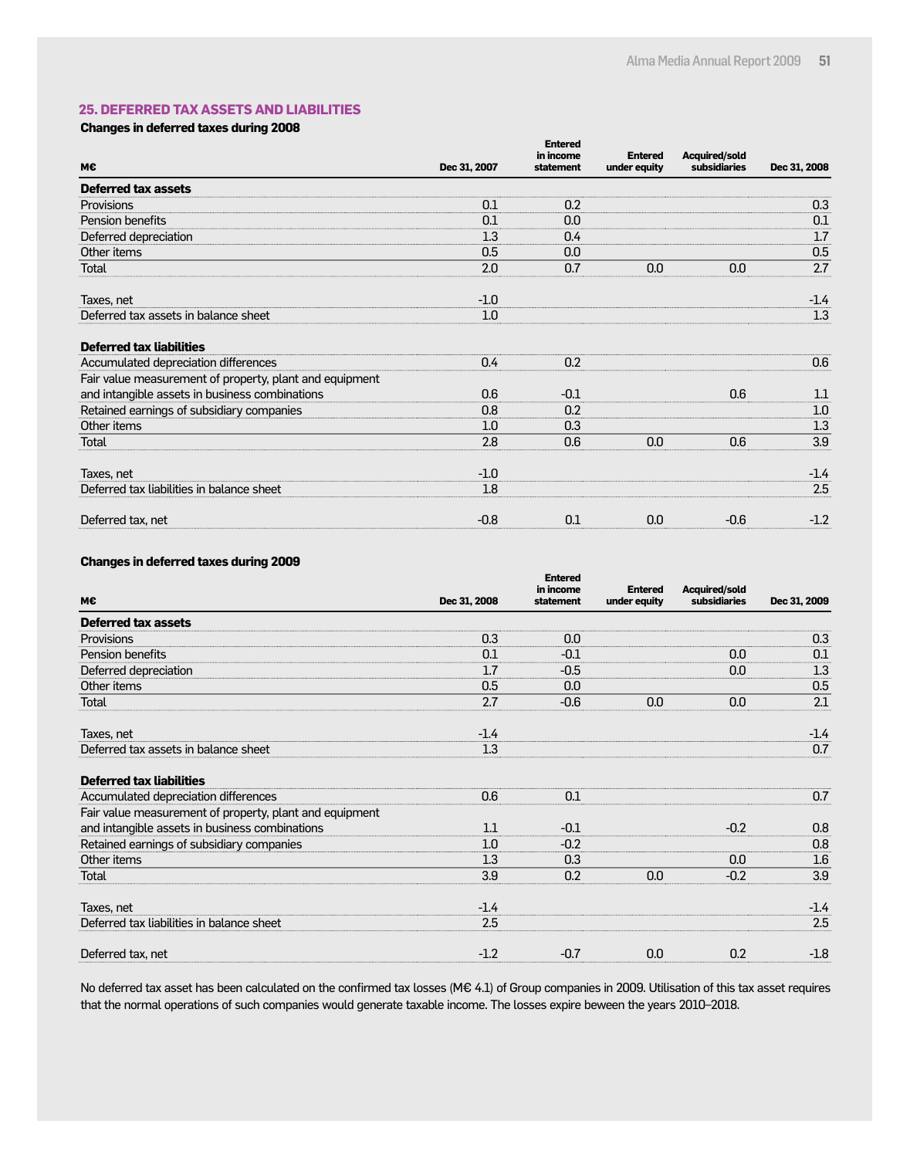#### **25. DEFERRED TAX ASSETS AND LIABILITIES**

#### **Changes in deferred taxes during 2008**

|                                                         |              | <b>Entered</b><br>in income | <b>Entered</b> | <b>Acquired/sold</b> |              |
|---------------------------------------------------------|--------------|-----------------------------|----------------|----------------------|--------------|
| M€                                                      | Dec 31, 2007 | statement                   | under equity   | subsidiaries         | Dec 31, 2008 |
| <b>Deferred tax assets</b>                              |              |                             |                |                      |              |
| Provisions                                              | 0.1          | 0.2                         |                |                      | 0.3          |
| Pension benefits                                        | 0.1          | 0.0                         |                |                      | 0.1          |
| Deferred depreciation                                   | 1.3          | 0.4                         |                |                      | 1.7          |
| Other items                                             | 0.5          | 0.0                         |                |                      | 0.5          |
| Total                                                   | 2.0          | 0.7                         | 0.0            | 0.0                  | 2.7          |
| Taxes, net                                              | $-1.0$       |                             |                |                      | $-1.4$       |
| Deferred tax assets in balance sheet                    | 1.0          |                             |                |                      | 1.3          |
| <b>Deferred tax liabilities</b>                         |              |                             |                |                      |              |
| Accumulated depreciation differences                    | 0.4          | 0.2                         |                |                      | 0.6          |
| Fair value measurement of property, plant and equipment |              |                             |                |                      |              |
| and intangible assets in business combinations          | 0.6          | $-0.1$                      |                | 0.6                  | 1.1          |
| Retained earnings of subsidiary companies               | 0.8          | 0.2                         |                |                      | 1.0          |
| Other items                                             | 1.0          | 0.3                         |                |                      | 1.3          |
| Total                                                   | 2.8          | 0.6                         | 0.0            | 0.6                  | 3.9          |
| Taxes, net                                              | $-1.0$       |                             |                |                      | -1.4         |
| Deferred tax liabilities in balance sheet               | 1.8          |                             |                |                      | 2.5          |
| Deferred tax, net                                       | $-0.8$       | 0.1                         | 0.0            | $-0.6$               | $-1.2$       |

#### **Changes in deferred taxes during 2009**

| M€                                                      | Dec 31, 2008 | <b>Entered</b><br>in income<br>statement | <b>Entered</b><br>under equity | <b>Acquired/sold</b><br>subsidiaries | Dec 31, 2009 |
|---------------------------------------------------------|--------------|------------------------------------------|--------------------------------|--------------------------------------|--------------|
| <b>Deferred tax assets</b>                              |              |                                          |                                |                                      |              |
| Provisions                                              | 0.3          | 0.0                                      |                                |                                      | 0.3          |
| Pension benefits                                        | 0.1          | $-0.1$                                   |                                | 0.0                                  | 0.1          |
| Deferred depreciation                                   | 1.7          | $-0.5$                                   |                                | 0.0                                  | 1.3          |
| Other items                                             | 0.5          | 0.0                                      |                                |                                      | 0.5          |
| <b>Total</b>                                            | 2.7          | $-0.6$                                   | 0.0                            | 0.0                                  | 2.1          |
| Taxes, net                                              | $-1.4$       |                                          |                                |                                      | $-1.4$       |
| Deferred tax assets in balance sheet                    | 1.3          |                                          |                                |                                      | 0.7          |
| <b>Deferred tax liabilities</b>                         |              |                                          |                                |                                      |              |
| Accumulated depreciation differences                    | 0.6          | 0.1                                      |                                |                                      | 0.7          |
| Fair value measurement of property, plant and equipment |              |                                          |                                |                                      |              |
| and intangible assets in business combinations          | 1.1          | $-0.1$                                   |                                | $-0.2$                               | 0.8          |
| Retained earnings of subsidiary companies               | 1.0          | $-0.2$                                   |                                |                                      | 0.8          |
| Other items                                             | 1.3          | 0.3                                      |                                | 0.0                                  | $1.6\,$      |
| Total                                                   | 3.9          | 0.2                                      | 0.0                            | $-0.2$                               | 3.9          |
| Taxes, net                                              | $-1.4$       |                                          |                                |                                      | $-1.4$       |
| Deferred tax liabilities in balance sheet               | 2.5          |                                          |                                |                                      | 2.5          |
| Deferred tax, net                                       | $-1.2$       | $-0.7$                                   | 0.0                            | 0.2                                  | $-1.8$       |

No deferred tax asset has been calculated on the confirmed tax losses (M€ 4.1) of Group companies in 2009. Utilisation of this tax asset requires that the normal operations of such companies would generate taxable income. The losses expire beween the years 2010–2018.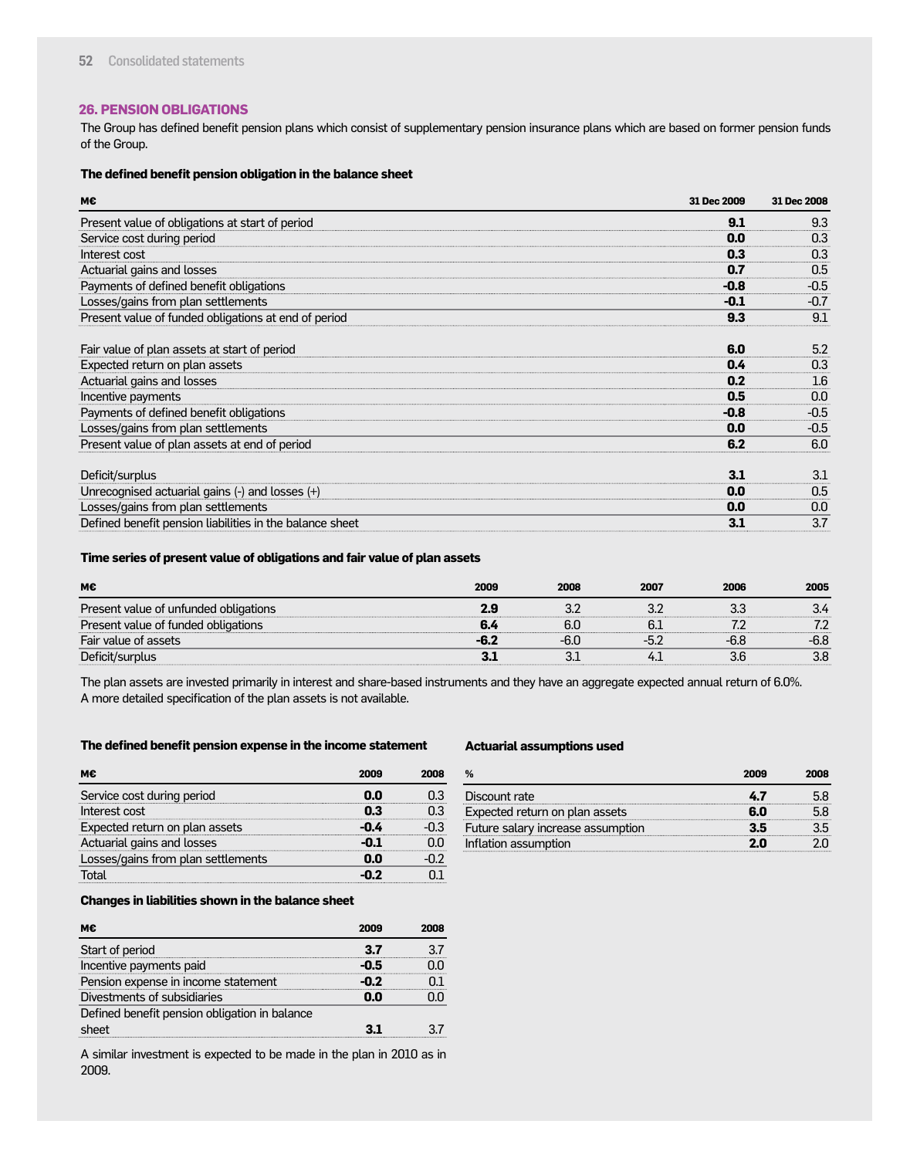#### **26. PENSION OBLIGATIONS**

The Group has defined benefit pension plans which consist of supplementary pension insurance plans which are based on former pension funds of the Group.

#### **The defined benefit pension obligation in the balance sheet**

| м€                                                                                                                                                                            | 31 Dec 2009                        | 31 Dec 2008                                     |
|-------------------------------------------------------------------------------------------------------------------------------------------------------------------------------|------------------------------------|-------------------------------------------------|
| Present value of obligations at start of period                                                                                                                               | 9.1                                | 9.3                                             |
| Service cost during period                                                                                                                                                    | 0.0                                | 0.3                                             |
| Interest cost                                                                                                                                                                 | 0.3                                | 0.3                                             |
| Actuarial gains and losses                                                                                                                                                    | 0.7                                | 0.5                                             |
| Payments of defined benefit obligations                                                                                                                                       | $-0.8$                             | $-0.5$                                          |
| Losses/gains from plan settlements                                                                                                                                            | $-0.1$                             | $-0.7$                                          |
| Present value of funded obligations at end of period                                                                                                                          | 9.3                                | 9.1                                             |
| Fair value of plan assets at start of period<br>Expected return on plan assets<br>Actuarial gains and losses<br>Incentive payments<br>Payments of defined benefit obligations | 6.0<br>0.4<br>0.2<br>0.5<br>$-0.8$ | 5.2<br>0.3<br>$1.6\phantom{0}$<br>0.0<br>$-0.5$ |
| Losses/gains from plan settlements                                                                                                                                            | 0.0                                | $-0.5$                                          |
| Present value of plan assets at end of period                                                                                                                                 | 6.2                                | 6.0                                             |
| Deficit/surplus<br>Unrecognised actuarial gains (-) and losses (+)<br>Losses/gains from plan settlements                                                                      | 3.1<br>0.0<br>0.0                  | 3.1<br>0.5<br>0.0                               |
| Defined benefit pension liabilities in the balance sheet                                                                                                                      | 3.1                                | 3.7                                             |

#### **Time series of present value of obligations and fair value of plan assets**

| М€                                    | 2009 | 2008 | 2007 | 2006 | 2005 |
|---------------------------------------|------|------|------|------|------|
| Present value of unfunded obligations |      |      |      |      |      |
| Present value of funded obligations   |      | 6.C  |      |      |      |
| Fair value of assets                  | -6.  |      |      |      |      |
| Deficit/surplus                       |      |      |      |      | 3.8  |

The plan assets are invested primarily in interest and share-based instruments and they have an aggregate expected annual return of 6.0%. A more detailed specification of the plan assets is not available.

#### **The defined benefit pension expense in the income statement**

|                                    | onna |  |
|------------------------------------|------|--|
| Service cost during period         |      |  |
| Interest cost                      |      |  |
| Expected return on plan assets     |      |  |
| Actuarial gains and losses         |      |  |
| Losses/gains from plan settlements |      |  |
|                                    |      |  |

#### **Actuarial assumptions used**

|                                   | 2009 | 2008 |
|-----------------------------------|------|------|
| Discount rate                     |      |      |
| Expected return on plan assets    | 6.0  |      |
| Future salary increase assumption |      |      |
| Inflation assumption              |      |      |

#### **Changes in liabilities shown in the balance sheet**

| мє                                            | 2009 | วกกค |
|-----------------------------------------------|------|------|
| Start of period                               | 37   |      |
| Incentive payments paid                       |      |      |
| Pension expense in income statement           |      |      |
| Divestments of subsidiaries                   | ΛN   |      |
| Defined benefit pension obligation in balance |      |      |
| sheet                                         |      |      |

A similar investment is expected to be made in the plan in 2010 as in 2009.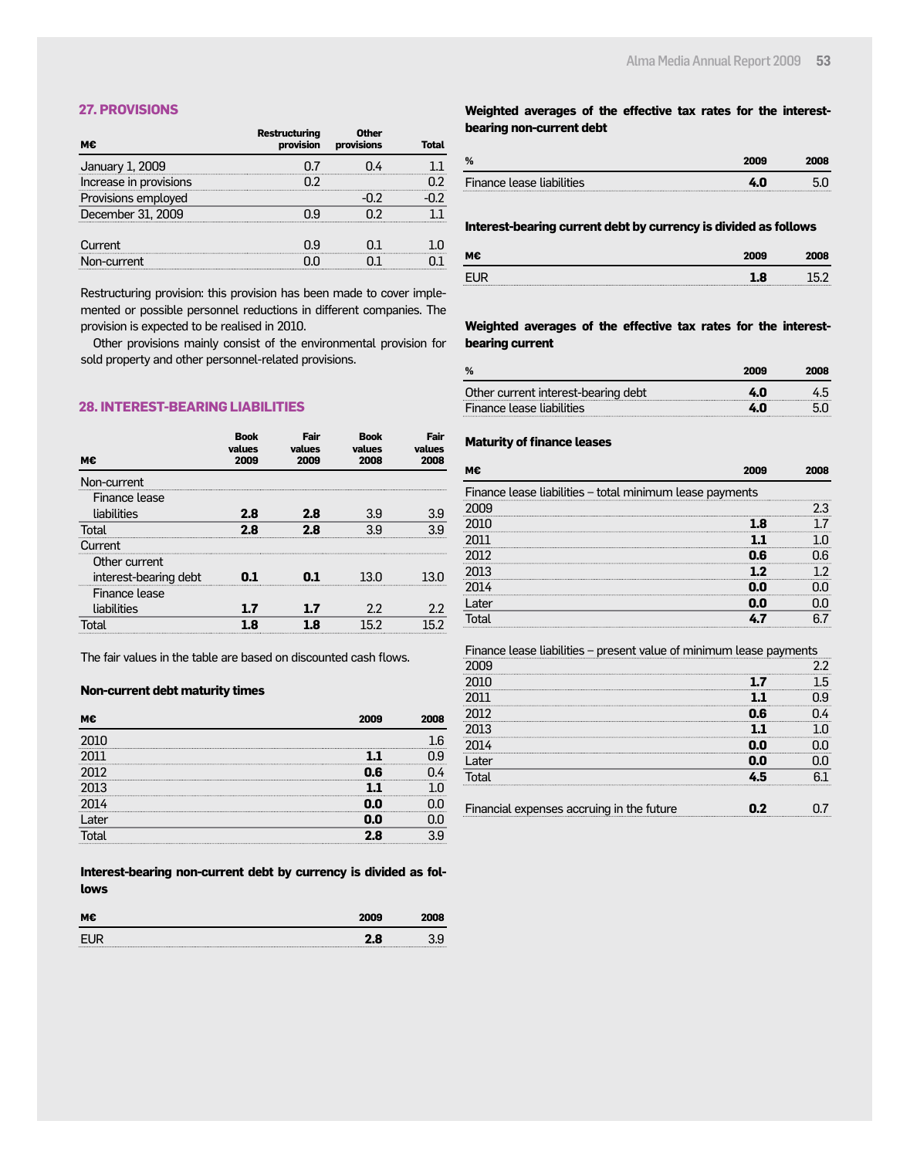#### **27. PROVISIONS**

| м€                     | <b>Restructuring</b><br>provision | Other<br>provisions | Total |
|------------------------|-----------------------------------|---------------------|-------|
| January 1, 2009        |                                   |                     |       |
| Increase in provisions | ר ר                               |                     |       |
| Provisions employed    |                                   |                     |       |
| December 31, 2009      | ηg                                |                     |       |
| Current                | ηq                                |                     |       |
| on-current             |                                   |                     |       |

Restructuring provision: this provision has been made to cover implemented or possible personnel reductions in different companies. The provision is expected to be realised in 2010.

Other provisions mainly consist of the environmental provision for sold property and other personnel-related provisions.

#### **28. INTEREST-BEARING LIABILITIES**

| м€                    | <b>Book</b><br>values<br>2009 | Fair<br>values<br>2009 | <b>Book</b><br>values<br>2008 | Fair<br>values<br>2008 |
|-----------------------|-------------------------------|------------------------|-------------------------------|------------------------|
| Non-current           |                               |                        |                               |                        |
| Finance lease         |                               |                        |                               |                        |
| liabilities           | 2.8                           | 2.8                    | 3.9                           | 3.9                    |
| Total                 | 2.8                           | 2.8                    | 39                            |                        |
| Current               |                               |                        |                               |                        |
| Other current         |                               |                        |                               |                        |
| interest-bearing debt |                               |                        | 13 N                          |                        |
| Finance lease         |                               |                        |                               |                        |
| liabilities           |                               |                        | 2.2                           | 2.2                    |
| Total                 | я                             |                        | 152                           | らつ                     |

The fair values in the table are based on discounted cash flows.

#### **Non-current debt maturity times**

| _ater |  |
|-------|--|
|       |  |

**Interest-bearing non-current debt by currency is divided as follows**

| м€ | 2009 |  |
|----|------|--|
|    | -0   |  |

#### **Weighted averages of the effective tax rates for the interestbearing non-current debt**

| %                         |  |
|---------------------------|--|
| Finance lease liabilities |  |

#### **Interest-bearing current debt by currency is divided as follows**

| м€    | 2009 |  |
|-------|------|--|
| EL IE | 8    |  |

#### **Weighted averages of the effective tax rates for the interestbearing current**

| %                                   | 2009 | 2008 |
|-------------------------------------|------|------|
| Other current interest-bearing debt | 4.0  |      |
| Finance lease liabilities           | 4.N  |      |

#### **Maturity of finance leases**

| М€                                                       |     |  |
|----------------------------------------------------------|-----|--|
| Finance lease liabilities - total minimum lease payments |     |  |
|                                                          |     |  |
|                                                          |     |  |
|                                                          |     |  |
|                                                          | G   |  |
| 2013                                                     |     |  |
|                                                          |     |  |
| l ater                                                   | 0.N |  |
|                                                          |     |  |

#### Finance lease liabilities – present value of minimum lease payments 2009 2.2 2010 **1.7** 1.5 2011 **1.1** 0.9 2012 **0.6** 0.4 2013 **1.1** 1.0 2014 **0.0** 0.0 Later **0.0** 0.0 Total **4.5** 6.1 Financial expenses accruing in the future **0.2** 0.7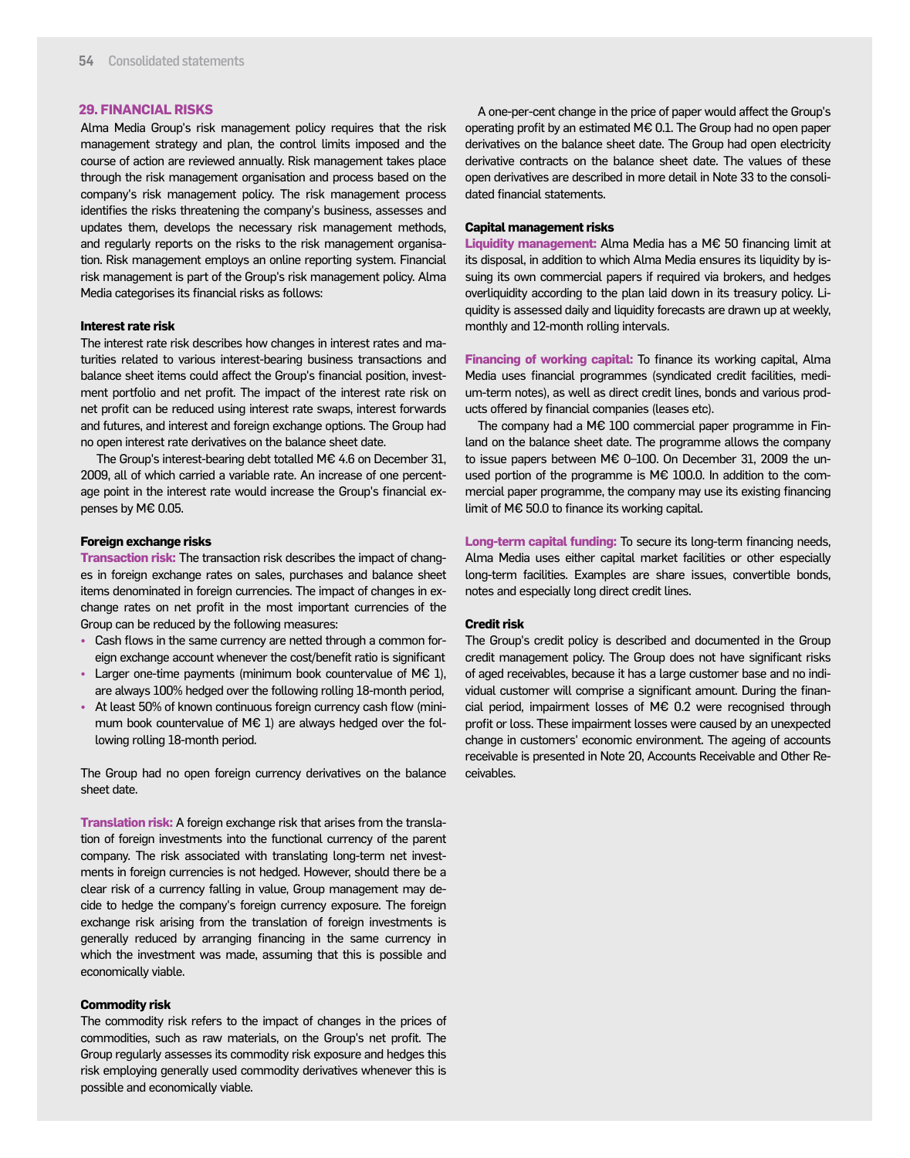#### **29. FINANCIAL RISKS**

Alma Media Group's risk management policy requires that the risk management strategy and plan, the control limits imposed and the course of action are reviewed annually. Risk management takes place through the risk management organisation and process based on the company's risk management policy. The risk management process identifies the risks threatening the company's business, assesses and updates them, develops the necessary risk management methods, and regularly reports on the risks to the risk management organisation. Risk management employs an online reporting system. Financial risk management is part of the Group's risk management policy. Alma Media categorises its financial risks as follows:

#### **Interest rate risk**

The interest rate risk describes how changes in interest rates and maturities related to various interest-bearing business transactions and balance sheet items could affect the Group's financial position, investment portfolio and net profit. The impact of the interest rate risk on net profit can be reduced using interest rate swaps, interest forwards and futures, and interest and foreign exchange options. The Group had no open interest rate derivatives on the balance sheet date.

 The Group's interest-bearing debt totalled M€ 4.6 on December 31, 2009, all of which carried a variable rate. An increase of one percentage point in the interest rate would increase the Group's financial expenses by M€ 0.05.

#### **Foreign exchange risks**

**Transaction risk:** The transaction risk describes the impact of changes in foreign exchange rates on sales, purchases and balance sheet items denominated in foreign currencies. The impact of changes in exchange rates on net profit in the most important currencies of the Group can be reduced by the following measures:

- Cash flows in the same currency are netted through a common foreign exchange account whenever the cost/benefit ratio is significant
- Larger one-time payments (minimum book countervalue of M€ 1), are always 100% hedged over the following rolling 18-month period,
- At least 50% of known continuous foreign currency cash flow (minimum book countervalue of M€ 1) are always hedged over the following rolling 18-month period.

The Group had no open foreign currency derivatives on the balance sheet date.

**Translation risk:** A foreign exchange risk that arises from the translation of foreign investments into the functional currency of the parent company. The risk associated with translating long-term net investments in foreign currencies is not hedged. However, should there be a clear risk of a currency falling in value, Group management may decide to hedge the company's foreign currency exposure. The foreign exchange risk arising from the translation of foreign investments is generally reduced by arranging financing in the same currency in which the investment was made, assuming that this is possible and economically viable.

#### **Commodity risk**

The commodity risk refers to the impact of changes in the prices of commodities, such as raw materials, on the Group's net profit. The Group regularly assesses its commodity risk exposure and hedges this risk employing generally used commodity derivatives whenever this is possible and economically viable.

A one-per-cent change in the price of paper would affect the Group's operating profit by an estimated M€ 0.1. The Group had no open paper derivatives on the balance sheet date. The Group had open electricity derivative contracts on the balance sheet date. The values of these open derivatives are described in more detail in Note 33 to the consolidated financial statements.

#### **Capital management risks**

**Liquidity management:** Alma Media has a M€ 50 financing limit at its disposal, in addition to which Alma Media ensures its liquidity by issuing its own commercial papers if required via brokers, and hedges overliquidity according to the plan laid down in its treasury policy. Liquidity is assessed daily and liquidity forecasts are drawn up at weekly, monthly and 12-month rolling intervals.

**Financing of working capital:** To finance its working capital, Alma Media uses financial programmes (syndicated credit facilities, medium-term notes), as well as direct credit lines, bonds and various products offered by financial companies (leases etc).

The company had a M€ 100 commercial paper programme in Finland on the balance sheet date. The programme allows the company to issue papers between M€ 0–100. On December 31, 2009 the unused portion of the programme is M€ 100.0. In addition to the commercial paper programme, the company may use its existing financing limit of M€ 50.0 to finance its working capital.

**Long-term capital funding:** To secure its long-term financing needs, Alma Media uses either capital market facilities or other especially long-term facilities. Examples are share issues, convertible bonds, notes and especially long direct credit lines.

#### **Credit risk**

The Group's credit policy is described and documented in the Group credit management policy. The Group does not have significant risks of aged receivables, because it has a large customer base and no individual customer will comprise a significant amount. During the financial period, impairment losses of M€ 0.2 were recognised through profit or loss. These impairment losses were caused by an unexpected change in customers' economic environment. The ageing of accounts receivable is presented in Note 20, Accounts Receivable and Other Receivables.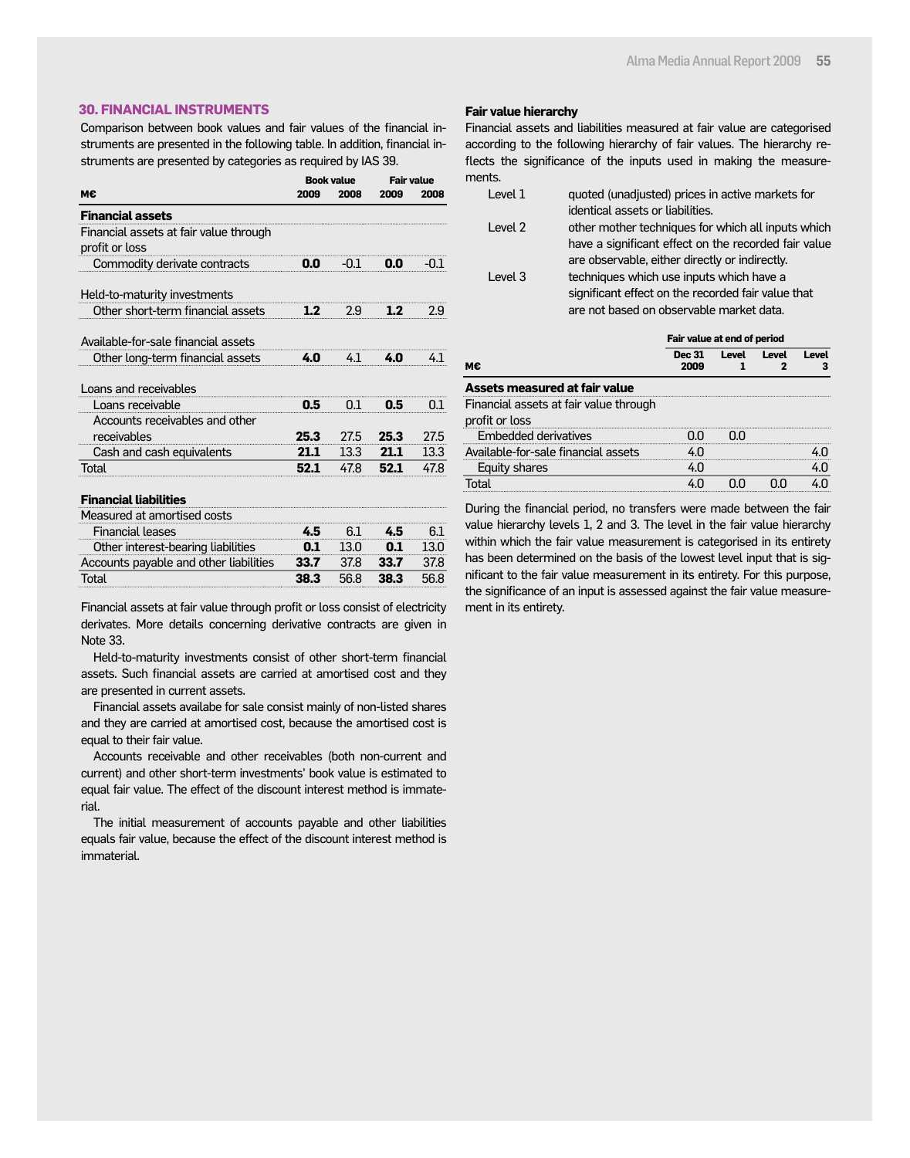#### **30. FINANCIAL INSTRUMENTS**

Comparison between book values and fair values of the financial instruments are presented in the following table. In addition, financial instruments are presented by categories as required by IAS 39.

|                                                          | <b>Book value</b> |              | <b>Fair value</b> |        |
|----------------------------------------------------------|-------------------|--------------|-------------------|--------|
| м€                                                       | 2009              | 2008         | 2009              | 2008   |
| <b>Financial assets</b>                                  |                   |              |                   |        |
| Financial assets at fair value through<br>profit or loss |                   |              |                   |        |
| Commodity derivate contracts 0.0 -0.1                    |                   |              | 0.0               | $-0.1$ |
| Held-to-maturity investments                             |                   |              |                   |        |
| Other short-term financial assets                        |                   | $1.2 \t 2.9$ | 1.2               | 2.9    |
| Available-for-sale financial assets                      |                   |              |                   |        |
| Other long-term financial assets 4.0 4.1 4.0             |                   |              |                   | $-4.1$ |
| Loans and receivables                                    |                   |              |                   |        |
| Loans receivable                                         | 0.5               | 0.1          | 0.5               | 0.1    |
| Accounts receivables and other                           |                   |              |                   |        |
| receivables                                              | 25.3              | 27.5         | 25.3              | 27.5   |
| Cash and cash equivalents                                | 21.1              | 13.3         | 21.1              | 13.3   |
| Total                                                    | 52.1              | 47.8         | 52.1              | 47.8   |
| <b>Financial liabilities</b>                             |                   |              |                   |        |
| Measured at amortised costs                              |                   |              |                   |        |
|                                                          |                   |              |                   |        |

| Financial leases                       |      |       |      |  |
|----------------------------------------|------|-------|------|--|
| Other interest-bearing liabilities     | N 1  | -130- |      |  |
| Accounts payable and other liabilities | 33.7 | 37.R  | 33.7 |  |
| Total                                  | 38 3 | 56 8  | 38 3 |  |
|                                        |      |       |      |  |

Financial assets at fair value through profit or loss consist of electricity derivates. More details concerning derivative contracts are given in Note 33.

Held-to-maturity investments consist of other short-term financial assets. Such financial assets are carried at amortised cost and they are presented in current assets.

Financial assets availabe for sale consist mainly of non-listed shares and they are carried at amortised cost, because the amortised cost is equal to their fair value.

Accounts receivable and other receivables (both non-current and current) and other short-term investments' book value is estimated to equal fair value. The effect of the discount interest method is immaterial.

The initial measurement of accounts payable and other liabilities equals fair value, because the effect of the discount interest method is immaterial.

#### **Fair value hierarchy**

Financial assets and liabilities measured at fair value are categorised according to the following hierarchy of fair values. The hierarchy reflects the significance of the inputs used in making the measurements.

| Level 1 | quoted (unadjusted) prices in active markets for     |
|---------|------------------------------------------------------|
|         | identical assets or liabilities.                     |
| Level 2 | other mother techniques for which all inputs which   |
|         | have a significant effect on the recorded fair value |
|         | are observable, either directly or indirectly.       |
| Level 3 | techniques which use inputs which have a             |
|         | significant effect on the recorded fair value that   |
|         | are not based on observable market data.             |

|    | Fair value at end of period |       |       |              |
|----|-----------------------------|-------|-------|--------------|
| м€ | <b>Dec 31</b><br>2009       | Level | Level | <b>Level</b> |
|    |                             |       |       |              |

#### **Assets measured at fair value**

Financial assets at fair value through

profit or loss

| DIUILUI LUSS                        |  |  |
|-------------------------------------|--|--|
| Embedded derivatives                |  |  |
| Available-for-sale financial assets |  |  |
| Equity shares                       |  |  |
|                                     |  |  |

During the financial period, no transfers were made between the fair value hierarchy levels 1, 2 and 3. The level in the fair value hierarchy within which the fair value measurement is categorised in its entirety has been determined on the basis of the lowest level input that is significant to the fair value measurement in its entirety. For this purpose, the significance of an input is assessed against the fair value measurement in its entirety.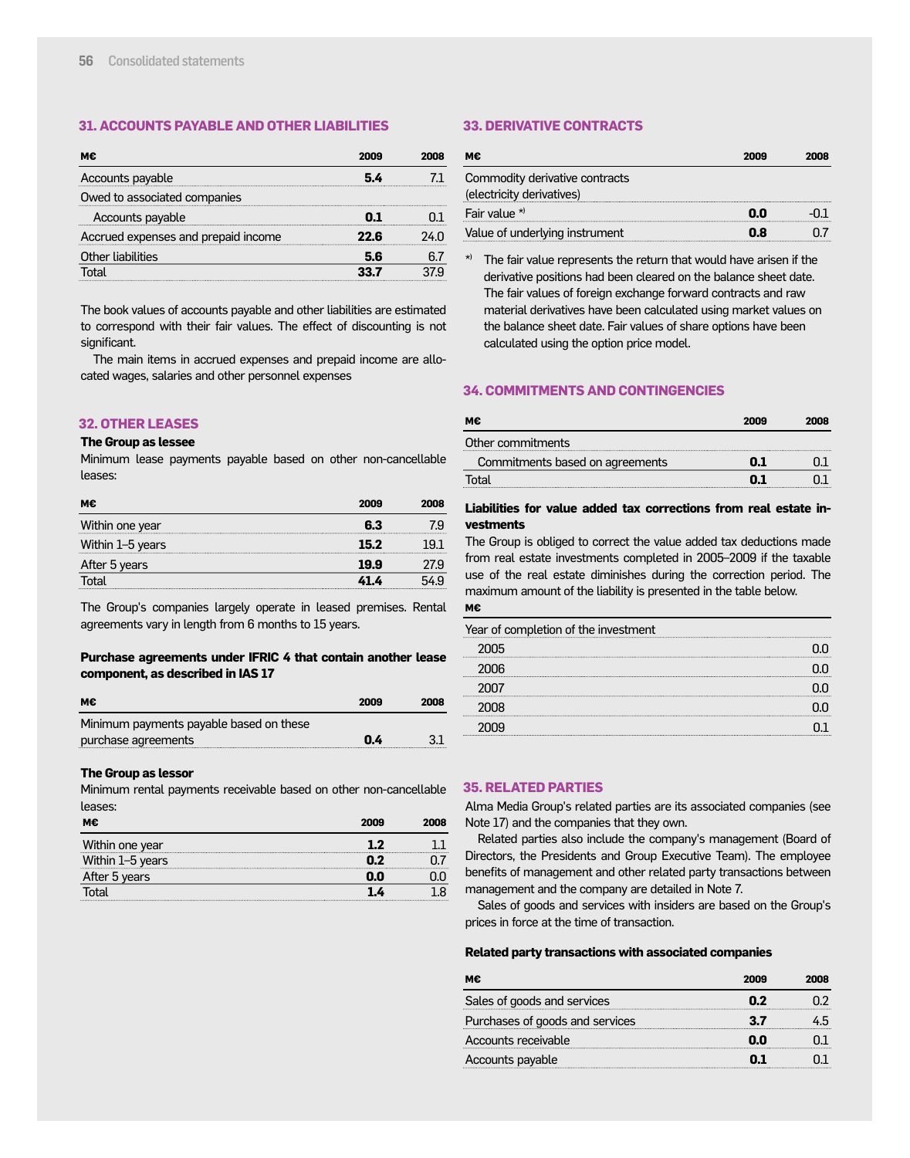#### **31. ACCOUNTS PAYABLE AND OTHER LIABILITIES**

| Accounts payable                    |    |  |
|-------------------------------------|----|--|
| Owed to associated companies        |    |  |
| Accounts payable                    |    |  |
| Accrued expenses and prepaid income |    |  |
| Other liabilities                   | 56 |  |
|                                     |    |  |

The book values of accounts payable and other liabilities are estimated to correspond with their fair values. The effect of discounting is not significant.

The main items in accrued expenses and prepaid income are allocated wages, salaries and other personnel expenses

#### **32. OTHER LEASES**

#### **The Group as lessee**

Minimum lease payments payable based on other non-cancellable leases:

| м€               | 2009 | 2008 |
|------------------|------|------|
| Within one year  | 63   | 7.Ч  |
| Within 1–5 years | 15.2 |      |
| After 5 years    | 19.9 | 27.9 |
| Total            | 41 A |      |

The Group's companies largely operate in leased premises. Rental agreements vary in length from 6 months to 15 years.

#### **Purchase agreements under IFRIC 4 that contain another lease component, as described in IAS 17**

| м€                                      | 2009 | 2008 |
|-----------------------------------------|------|------|
| Minimum payments payable based on these |      |      |
| purchase agreements                     | 0.4  | 3.1  |

#### **The Group as lessor**

Minimum rental payments receivable based on other non-cancellable leases:

| м€               | 2009 | 2NNS |
|------------------|------|------|
| Within one year  |      |      |
| Within 1-5 years |      |      |
| After 5 years    | 0.0  |      |
| ntal             |      |      |

#### **33. DERIVATIVE CONTRACTS**

| м€                                                          | 2009 | 2008 |
|-------------------------------------------------------------|------|------|
| Commodity derivative contracts<br>(electricity derivatives) |      |      |
| Fair value $*$                                              | n.n  |      |
| Value of underlying instrument                              | 0.8  |      |

The fair value represents the return that would have arisen if the derivative positions had been cleared on the balance sheet date. The fair values of foreign exchange forward contracts and raw material derivatives have been calculated using market values on the balance sheet date. Fair values of share options have been calculated using the option price model.

#### **34. COMMITMENTS AND CONTINGENCIES**

| м€                              | 2009 | 2008 |
|---------------------------------|------|------|
| Other commitments               |      |      |
| Commitments based on agreements | N 1  |      |
| ⊺ั∩†al                          |      |      |

#### **Liabilities for value added tax corrections from real estate investments**

The Group is obliged to correct the value added tax deductions made from real estate investments completed in 2005–2009 if the taxable use of the real estate diminishes during the correction period. The maximum amount of the liability is presented in the table below.

#### **M€**

| Year of completion of the investment |  |
|--------------------------------------|--|
| 2005                                 |  |
| ንበበ6                                 |  |
|                                      |  |
|                                      |  |
|                                      |  |

#### **35. RELATED PARTIES**

Alma Media Group's related parties are its associated companies (see Note 17) and the companies that they own.

Related parties also include the company's management (Board of Directors, the Presidents and Group Executive Team). The employee benefits of management and other related party transactions between management and the company are detailed in Note 7.

Sales of goods and services with insiders are based on the Group's prices in force at the time of transaction.

#### **Related party transactions with associated companies**

| М€                              | 2009 | onna |
|---------------------------------|------|------|
| Sales of goods and services     | n 7  |      |
| Purchases of goods and services |      |      |
| Accounts receivable             | nn   |      |
| Accounts payable                |      |      |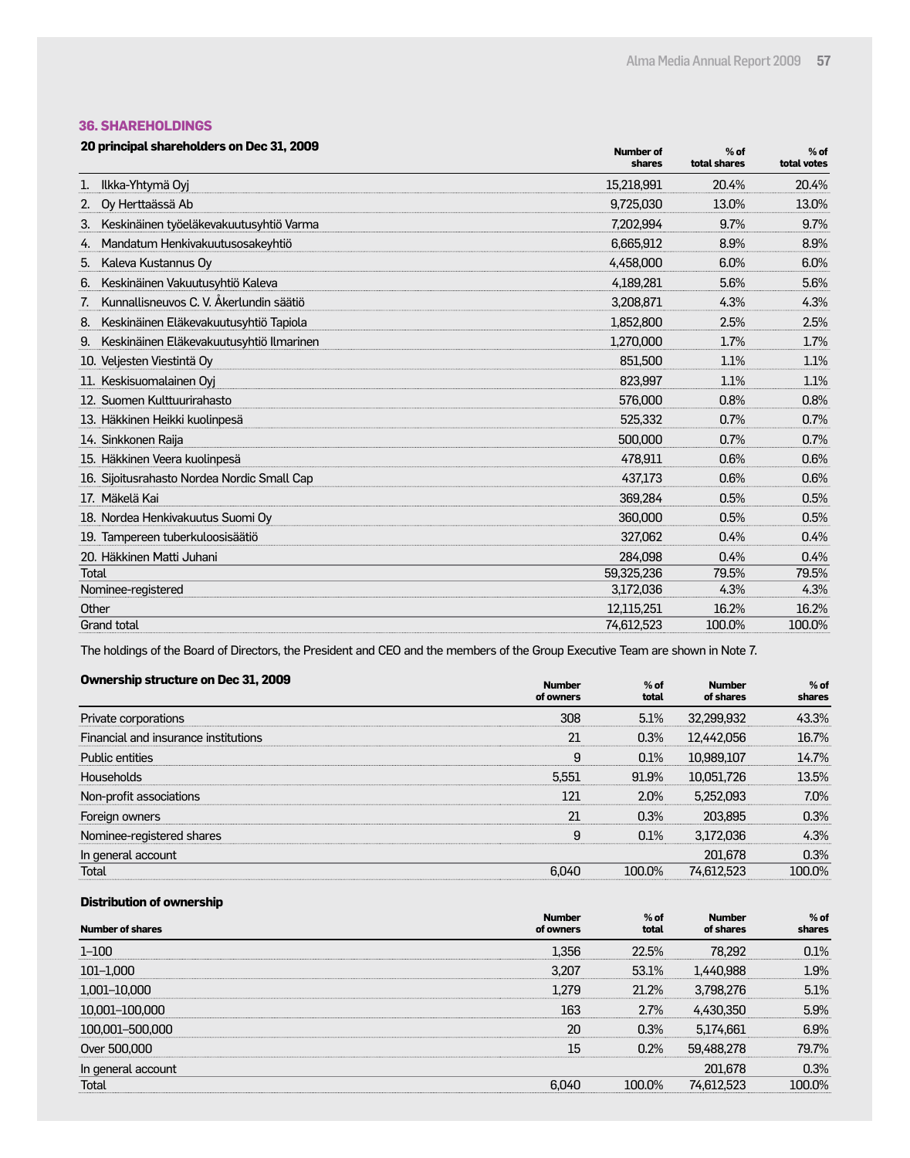#### **36. SHAREHOLDINGS**

| 20 principal shareholders on Dec 31, 2009 | <b>Number of</b> |
|-------------------------------------------|------------------|
|-------------------------------------------|------------------|

| 20 principal shareholders on Dec 31, 2009      | <b>Number of</b><br>shares | $%$ of<br>total shares | $%$ of<br>total votes |
|------------------------------------------------|----------------------------|------------------------|-----------------------|
| Ilkka-Yhtymä Oyj<br>1.                         | 15,218,991                 | 20.4%                  | 20.4%                 |
| Oy Herttaässä Ab<br>2.                         | 9.725.030                  | 13.0%                  | 13.0%                 |
| Keskinäinen työeläkevakuutusyhtiö Varma<br>3.  | 7,202,994                  | 9.7%                   | 9.7%                  |
| Mandatum Henkivakuutusosakeyhtiö<br>4.         | 6,665,912                  | 8.9%                   | 8.9%                  |
| Kaleva Kustannus Oy<br>5.                      | 4.458.000                  | 6.0%                   | 6.0%                  |
| Keskinäinen Vakuutusyhtiö Kaleva<br>6.         | 4.189.281                  | 5.6%                   | 5.6%                  |
| Kunnallisneuvos C. V. Åkerlundin säätiö        | 3,208,871                  | 4.3%                   | 4.3%                  |
| Keskinäinen Eläkevakuutusyhtiö Tapiola<br>8.   | 1.852.800                  | 2.5%                   | 2.5%                  |
| Keskinäinen Eläkevakuutusyhtiö Ilmarinen<br>9. | 1,270,000                  | 1.7%                   | 1.7%                  |
| 10. Veljesten Viestintä Oy                     | 851,500                    | 1.1%                   | 1.1%                  |
| 11. Keskisuomalainen Oyi                       | 823.997                    | 1.1%                   | 1.1%                  |
| 12. Suomen Kulttuurirahasto                    | 576,000                    | 0.8%                   | 0.8%                  |
| 13. Häkkinen Heikki kuolinpesä                 | 525.332                    | 0.7%                   | 0.7%                  |
| 14. Sinkkonen Raija                            | 500,000                    | 0.7%                   | 0.7%                  |
| 15. Häkkinen Veera kuolinpesä                  | 478,911                    | 0.6%                   | 0.6%                  |
| 16. Sijoitusrahasto Nordea Nordic Small Cap    | 437.173                    | 0.6%                   | 0.6%                  |
| 17. Mäkelä Kai                                 | 369.284                    | 0.5%                   | 0.5%                  |
| 18. Nordea Henkivakuutus Suomi Oy              | 360,000                    | 0.5%                   | 0.5%                  |
| 19. Tampereen tuberkuloosisäätiö               | 327.062                    | 0.4%                   | 0.4%                  |
| 20. Häkkinen Matti Juhani                      | 284.098                    | 0.4%                   | 0.4%                  |
| Total                                          | 59,325,236                 | 79.5%                  | 79.5%                 |
| Nominee-registered                             | 3,172,036                  | 4.3%                   | 4.3%                  |
| Other                                          | 12,115,251                 | 16.2%                  | 16.2%                 |
| <b>Grand total</b>                             | 74,612,523                 | 100.0%                 | 100.0%                |

The holdings of the Board of Directors, the President and CEO and the members of the Group Executive Team are shown in Note 7.

| <b>Ownership structure on Dec 31, 2009</b> | <b>Number</b><br>of owners | $%$ of<br>total | <b>Number</b><br>of shares | $%$ of<br>shares |
|--------------------------------------------|----------------------------|-----------------|----------------------------|------------------|
| Private corporations                       | 308                        | 5.1%            | 32,299,932                 | 43.3%            |
| Financial and insurance institutions       | 21                         | 0.3%            | 12,442,056                 | 16.7%            |
| <b>Public entities</b>                     | 9                          | 0.1%            | 10,989,107                 | 14.7%            |
| Households                                 | 5.551                      | 91.9%           | 10,051,726                 | 13.5%            |
| Non-profit associations                    | 121                        | 2.0%            | 5.252.093                  | 7.0%             |
| Foreign owners                             | 21                         | 0.3%            | 203.895                    | 0.3%             |
| Nominee-registered shares                  | g                          | 0.1%            | 3.172.036                  | 4.3%             |
| In general account                         |                            |                 | 201.678                    | 0.3%             |
| Total                                      | 6.040                      | 100.0%          | 74,612,523                 | 100.0%           |

#### **Distribution of ownership**

| <b>Number of shares</b> | <b>Number</b><br>of owners | $%$ of<br>total | <b>Number</b><br>of shares | $%$ of<br>shares |
|-------------------------|----------------------------|-----------------|----------------------------|------------------|
| $1 - 100$               | 1.356                      | 22.5%           | 78.292                     | 0.1%             |
| $101 - 1,000$           | 3.207                      | 53.1%           | 1.440.988                  | 1.9%             |
| 1,001–10,000            | 1.279                      | 21.2%           | 3,798,276                  | 5.1%             |
| 10,001-100,000          | 163                        | 2.7%            | 4.430.350                  | 5.9%             |
| 100,001-500,000         | 20                         | 0.3%            | 5,174,661                  | 6.9%             |
| Over 500,000            | 15                         | 0.2%            | 59.488.278                 | 79.7%            |
| In general account      |                            |                 | 201,678                    | 0.3%             |
| Total                   | 6.040                      | 100.0%          | 74.612.523                 | 100.0%           |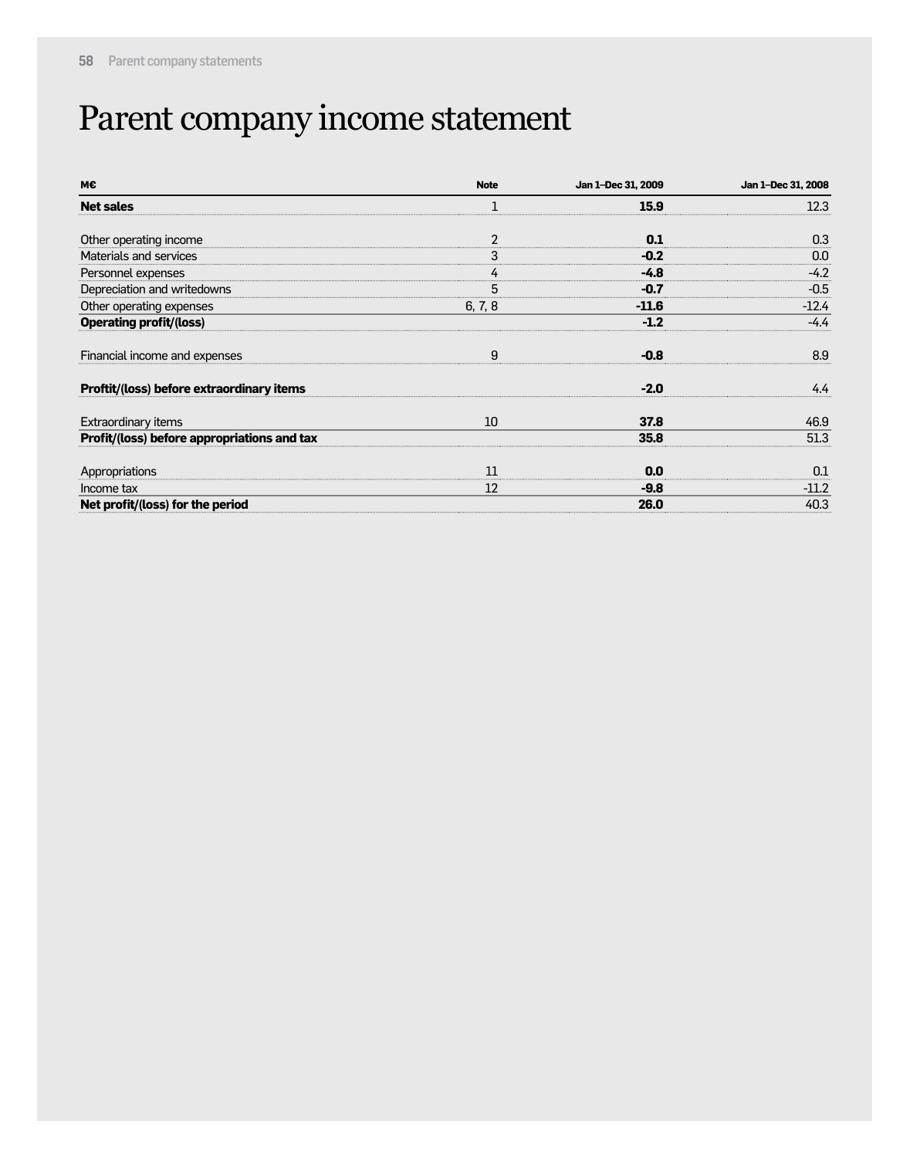## Parent company income statement

| M€                                          | <b>Note</b>    | Jan 1-Dec 31, 2009 | Jan 1-Dec 31, 2008 |
|---------------------------------------------|----------------|--------------------|--------------------|
| <b>Net sales</b>                            |                | 15.9               | 12.3               |
| Other operating income                      | $\overline{2}$ | 0.1                | 0.3                |
| Materials and services                      | 3              | $-0.2$             | 0.0                |
| Personnel expenses                          | 4              | $-4.8$             | $-4.2$             |
| Depreciation and writedowns                 | 5              | $-0.7$             | $-0.5$             |
| Other operating expenses                    | 6, 7, 8        | $-11.6$            | $-12.4$            |
| <b>Operating profit/(loss)</b>              |                | $-1.2$             | $-4.4$             |
| Financial income and expenses               | 9              | $-0.8$             | 8.9                |
| Proftit/(loss) before extraordinary items   |                | $-2.0$             | 4.4                |
| Extraordinary items                         | 10             | 37.8               | 46.9               |
| Profit/(loss) before appropriations and tax |                | 35.8               | 51.3               |
| Appropriations                              | 11             | 0.0                | 0.1                |
| Income tax                                  | 12             | $-9.8$             | $-11.2$            |
| Net profit/(loss) for the period            |                | 26.0               | 40.3               |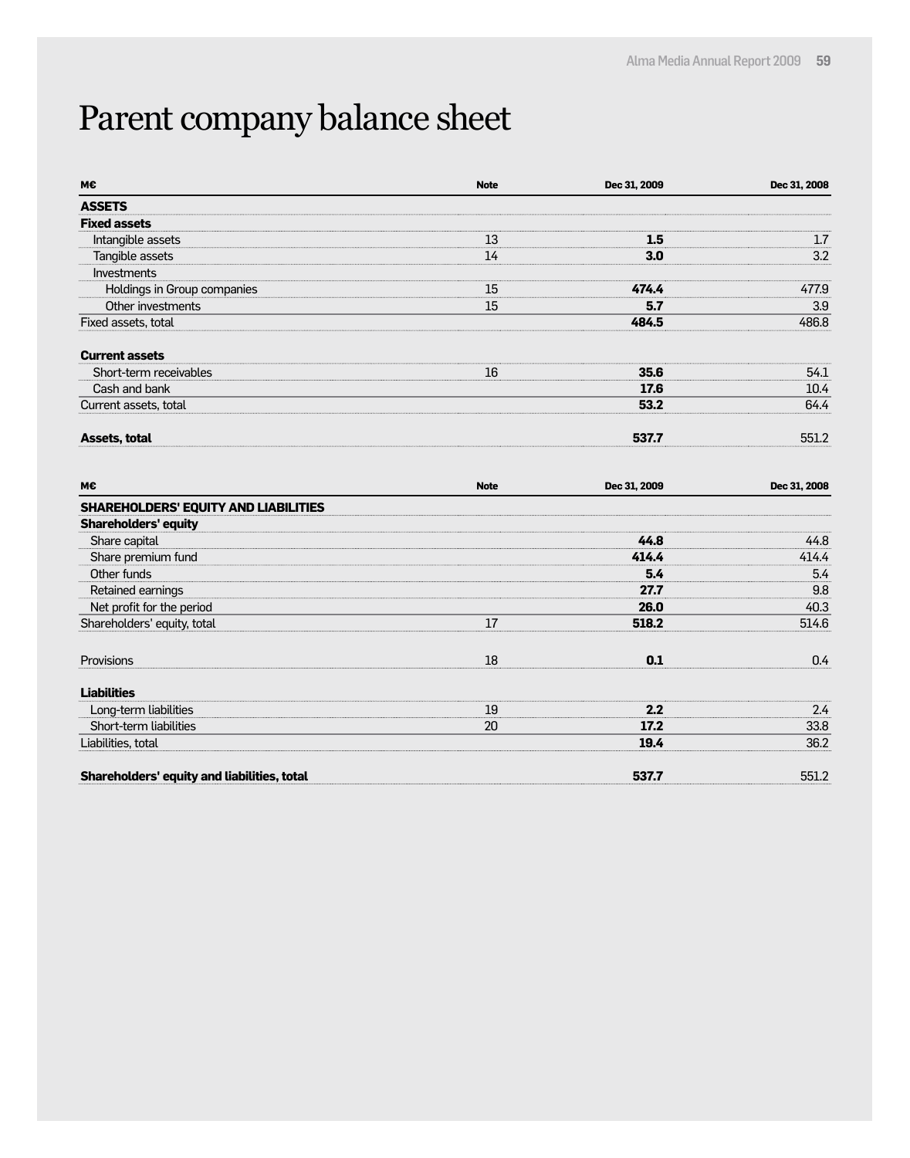## Parent company balance sheet

| М€                                          | <b>Note</b> | Dec 31, 2009 | Dec 31, 2008 |
|---------------------------------------------|-------------|--------------|--------------|
| <b>ASSETS</b>                               |             |              |              |
| <b>Fixed assets</b>                         |             |              |              |
| Intangible assets                           | 13          | 1.5          | 1.7          |
| Tangible assets                             | 14          | 3.0          | 3.2          |
| Investments                                 |             |              |              |
| Holdings in Group companies                 | 15          | 474.4        | 477.9        |
| Other investments                           | 15          | 5.7          | 3.9          |
| Fixed assets, total                         |             | 484.5        | 486.8        |
| <b>Current assets</b>                       |             |              |              |
| Short-term receivables                      | 16          | 35.6         | 54.1         |
| Cash and bank                               |             | 17.6         | 10.4         |
| Current assets, total                       |             | 53.2         | 64.4         |
| Assets, total                               |             | 537.7        | 551.2        |
| М€                                          | <b>Note</b> | Dec 31, 2009 | Dec 31, 2008 |
| <b>SHAREHOLDERS' EQUITY AND LIABILITIES</b> |             |              |              |
| <b>Shareholders' equity</b>                 |             |              |              |
| Share capital                               |             | 44.8         | 44.8         |
| Share premium fund                          |             | 414.4        | 414.4        |
| Other funds                                 |             | 5.4          | 5.4          |
| Retained earnings                           |             | 27.7         | 9.8          |
| Net profit for the period                   |             | 26.0         | 40.3         |
| Shareholders' equity, total                 | 17          | 518.2        | 514.6        |
| Provisions                                  | 18          | 0.1          | 0.4          |
| <b>Liabilities</b>                          |             |              |              |
| Long-term liabilities                       | 19          | 2.2          | 2.4          |
| Short-term liabilities                      | 20          | 17.2         | 33.8         |
| Liabilities, total                          |             | 19.4         | 36.2         |
| Shareholders' equity and liabilities, total |             | 537.7        | 551.2        |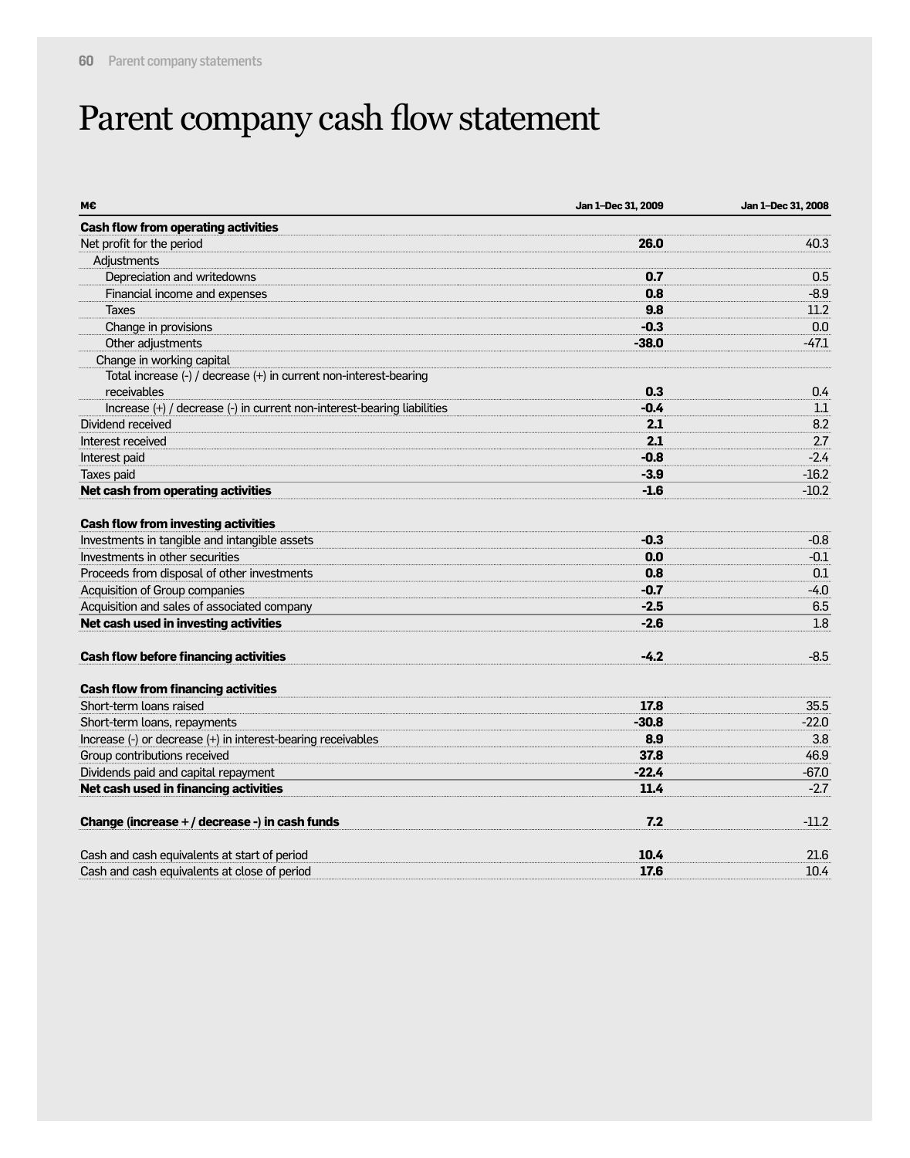## Parent company cash flow statement

| M€                                                                      | Jan 1-Dec 31, 2009 | Jan 1-Dec 31, 2008 |
|-------------------------------------------------------------------------|--------------------|--------------------|
| <b>Cash flow from operating activities</b>                              |                    |                    |
| Net profit for the period                                               | 26.0               | 40.3               |
| Adjustments                                                             |                    |                    |
| Depreciation and writedowns                                             | 0.7                | 0.5                |
| Financial income and expenses                                           | 0.8                | $-8.9$             |
| <b>Taxes</b>                                                            | 9.8                | 11.2               |
| Change in provisions                                                    | $-0.3$             | 0.0                |
| Other adjustments                                                       | $-38.0$            | $-47.1$            |
| Change in working capital                                               |                    |                    |
| Total increase (-) / decrease (+) in current non-interest-bearing       |                    |                    |
| receivables                                                             | 0.3                | 0.4                |
| Increase (+) / decrease (-) in current non-interest-bearing liabilities | $-0.4$             | 1.1                |
| Dividend received                                                       | 2.1                | 8.2                |
| Interest received                                                       | 2.1                | 2.7                |
| Interest paid                                                           | $-0.8$             | $-2.4$             |
| Taxes paid                                                              | $-3.9$             | $-16.2$            |
| Net cash from operating activities                                      | $-1.6$             | $-10.2$            |
| <b>Cash flow from investing activities</b>                              |                    |                    |
| Investments in tangible and intangible assets                           | $-0.3$             | $-0.8$             |
| Investments in other securities                                         | 0.0                | $-0.1$             |
| Proceeds from disposal of other investments                             | 0.8                | 0.1                |
| Acquisition of Group companies                                          | $-0.7$             | $-4.0$             |
| Acquisition and sales of associated company                             | $-2.5$             | 6.5                |
| Net cash used in investing activities                                   | $-2.6$             | 1.8                |
| <b>Cash flow before financing activities</b>                            | $-4.2$             | $-8.5$             |
| <b>Cash flow from financing activities</b>                              |                    |                    |
| Short-term loans raised                                                 | 17.8               | 35.5               |
| Short-term loans, repayments                                            | $-30.8$            | $-22.0$            |
| Increase (-) or decrease (+) in interest-bearing receivables            | 8.9                | 3.8                |
| Group contributions received                                            | 37.8               | 46.9               |
| Dividends paid and capital repayment                                    | $-22.4$            | $-67.0$            |
| Net cash used in financing activities                                   | 11.4               | $-2.7$             |
| Change (increase + / decrease -) in cash funds                          | 7.2                | $-11.2$            |
| Cash and cash equivalents at start of period                            | 10.4               | 21.6               |
| Cash and cash equivalents at close of period                            | 17.6               | 10.4               |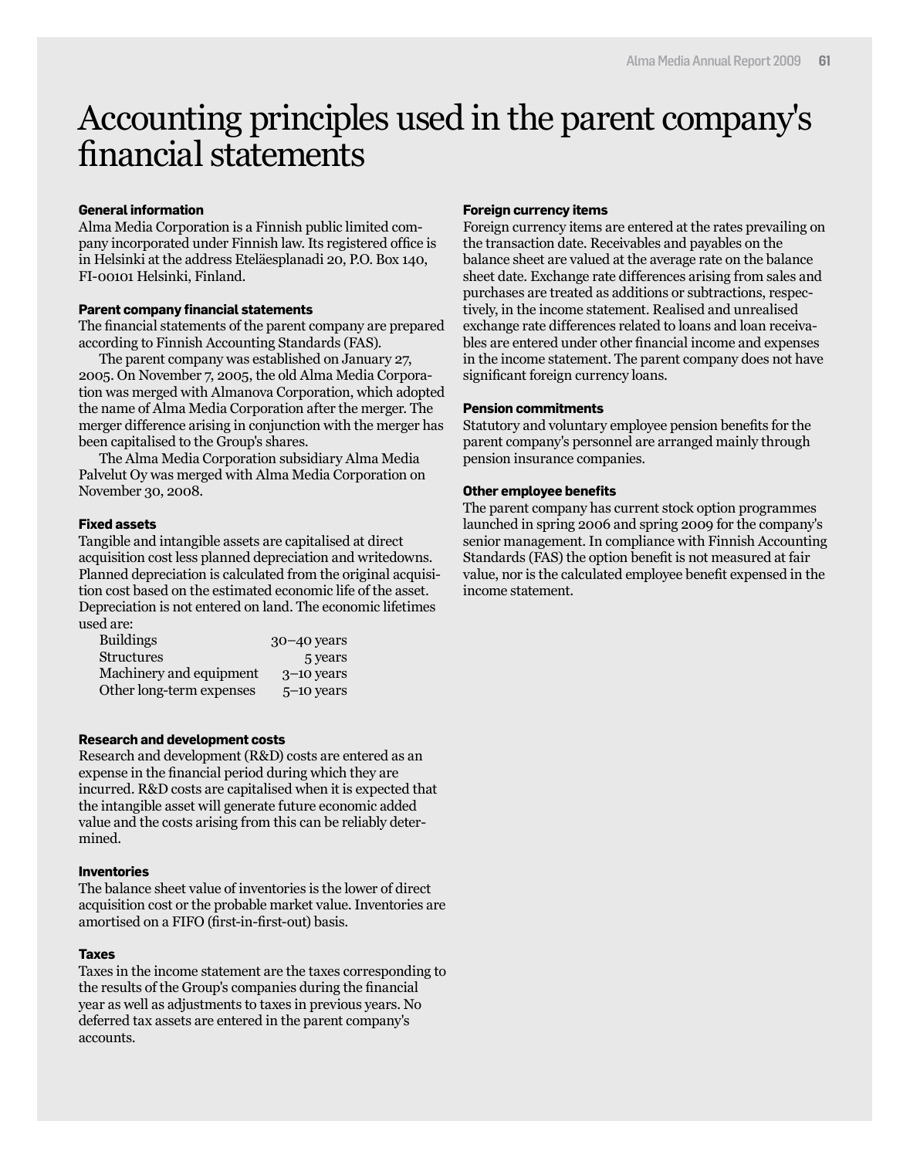### Accounting principles used in the parent company's financial statements

#### **General information**

Alma Media Corporation is a Finnish public limited company incorporated under Finnish law. Its registered office is in Helsinki at the address Eteläesplanadi 20, P.O. Box 140, FI-00101 Helsinki, Finland.

#### **Parent company financial statements**

The financial statements of the parent company are prepared according to Finnish Accounting Standards (FAS).

The parent company was established on January 27, 2005. On November 7, 2005, the old Alma Media Corporation was merged with Almanova Corporation, which adopted the name of Alma Media Corporation after the merger. The merger difference arising in conjunction with the merger has been capitalised to the Group's shares.

The Alma Media Corporation subsidiary Alma Media Palvelut Oy was merged with Alma Media Corporation on November 30, 2008.

#### **Fixed assets**

Tangible and intangible assets are capitalised at direct acquisition cost less planned depreciation and writedowns. Planned depreciation is calculated from the original acquisition cost based on the estimated economic life of the asset. Depreciation is not entered on land. The economic lifetimes used are:

| <b>Buildings</b>         | $30 - 40$ years |
|--------------------------|-----------------|
| <b>Structures</b>        | 5 years         |
| Machinery and equipment  | $3-10$ years    |
| Other long-term expenses | $5-10$ years    |

#### **Research and development costs**

Research and development (R&D) costs are entered as an expense in the financial period during which they are incurred. R&D costs are capitalised when it is expected that the intangible asset will generate future economic added value and the costs arising from this can be reliably determined.

#### **Inventories**

The balance sheet value of inventories is the lower of direct acquisition cost or the probable market value. Inventories are amortised on a FIFO (first-in-first-out) basis.

#### **Taxes**

Taxes in the income statement are the taxes corresponding to the results of the Group's companies during the financial year as well as adjustments to taxes in previous years. No deferred tax assets are entered in the parent company's accounts.

#### **Foreign currency items**

Foreign currency items are entered at the rates prevailing on the transaction date. Receivables and payables on the balance sheet are valued at the average rate on the balance sheet date. Exchange rate differences arising from sales and purchases are treated as additions or subtractions, respectively, in the income statement. Realised and unrealised exchange rate differences related to loans and loan receivables are entered under other financial income and expenses in the income statement. The parent company does not have significant foreign currency loans.

#### **Pension commitments**

Statutory and voluntary employee pension benefits for the parent company's personnel are arranged mainly through pension insurance companies.

#### **Other employee benefits**

The parent company has current stock option programmes launched in spring 2006 and spring 2009 for the company's senior management. In compliance with Finnish Accounting Standards (FAS) the option benefit is not measured at fair value, nor is the calculated employee benefit expensed in the income statement.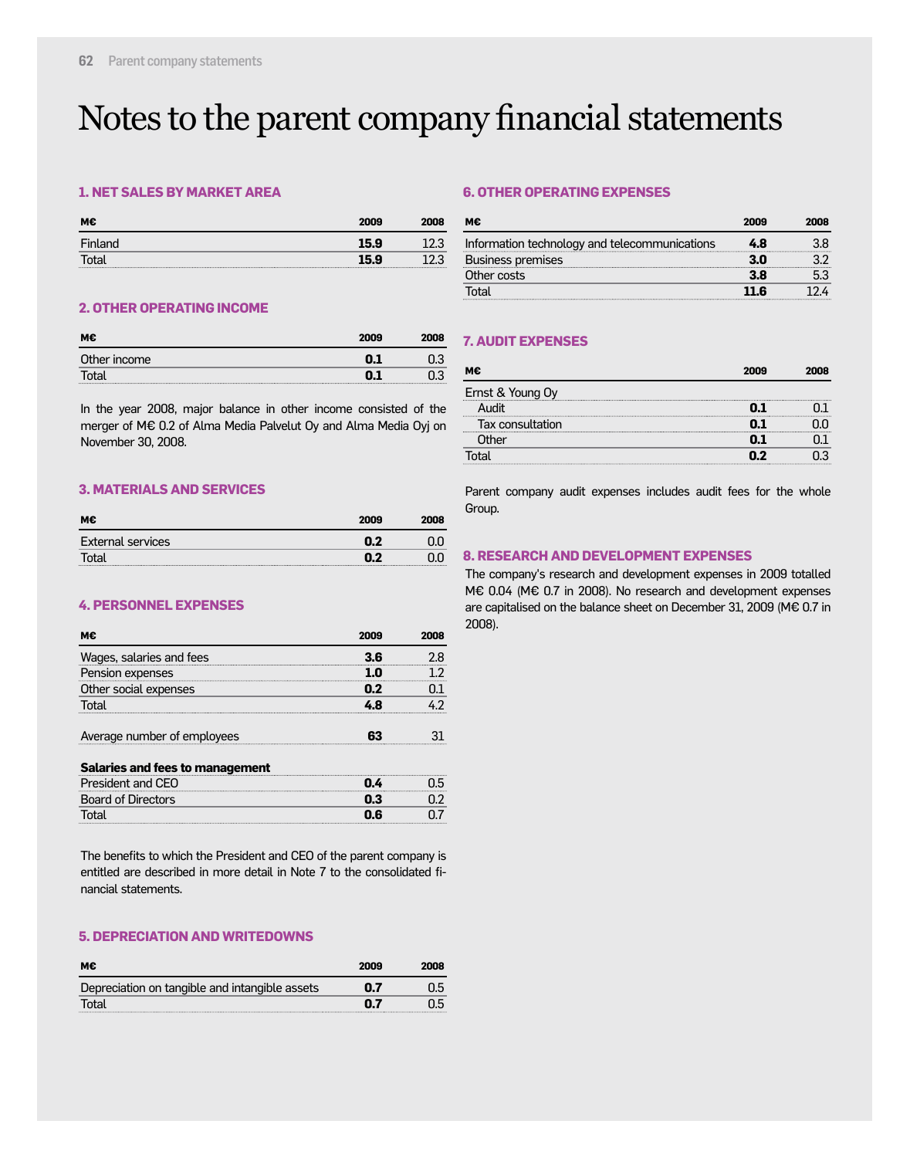### Notes to the parent company financial statements

#### **1. NET SALES BY MARKET AREA**

| м€      | 2009 | 2008 |
|---------|------|------|
| Finland | 15.9 |      |
| otal    | 159  |      |
|         |      |      |

#### **6. OTHER OPERATING EXPENSES**

| мє                                            | 2009 |  |
|-----------------------------------------------|------|--|
| Information technology and telecommunications | 4 A  |  |
| Business premises                             |      |  |
| Other costs                                   | 3 R  |  |
| otal                                          | 11 R |  |

#### **2. OTHER OPERATING INCOME**

| м€           | 2009 | 2008 |
|--------------|------|------|
| Other income |      |      |
| Total        |      |      |

In the year 2008, major balance in other income consisted of the merger of M€ 0.2 of Alma Media Palvelut Oy and Alma Media Oyj on November 30, 2008.

#### **3. MATERIALS AND SERVICES**

| М€                | 2009 | 2008 |
|-------------------|------|------|
| External services | n 7  |      |
| Total             |      |      |

#### **4. PERSONNEL EXPENSES**

| мє                                         | 2009 |  |
|--------------------------------------------|------|--|
| Wages, salaries and fees                   | 3 R  |  |
| Pension expenses                           |      |  |
| Other social expenses                      | n 2  |  |
|                                            |      |  |
| Average number of employees<br><del></del> |      |  |

#### **Salaries and fees to management**

| President and CEO  |     |  |
|--------------------|-----|--|
| Board of Directors |     |  |
|                    | 0.6 |  |

The benefits to which the President and CEO of the parent company is entitled are described in more detail in Note 7 to the consolidated financial statements.

#### **5. DEPRECIATION AND WRITEDOWNS**

| м€                                             | 2009 | 2008 |
|------------------------------------------------|------|------|
| Depreciation on tangible and intangible assets | 0.7  | 0.5  |
| Total                                          | 0.7  |      |

#### **7. AUDIT EXPENSES**

| м€               | 2009 | 2008 |
|------------------|------|------|
| Ernst & Young Oy |      |      |
| HihuA            |      |      |
| Tax consultation |      |      |
| Other            | N. 1 |      |
| ⊺ิ∩tal           | n 7  |      |

Parent company audit expenses includes audit fees for the whole Group.

#### **8. RESEARCH AND DEVELOPMENT EXPENSES**

The company's research and development expenses in 2009 totalled M€ 0.04 (M€ 0.7 in 2008). No research and development expenses are capitalised on the balance sheet on December 31, 2009 (M€ 0.7 in 2008).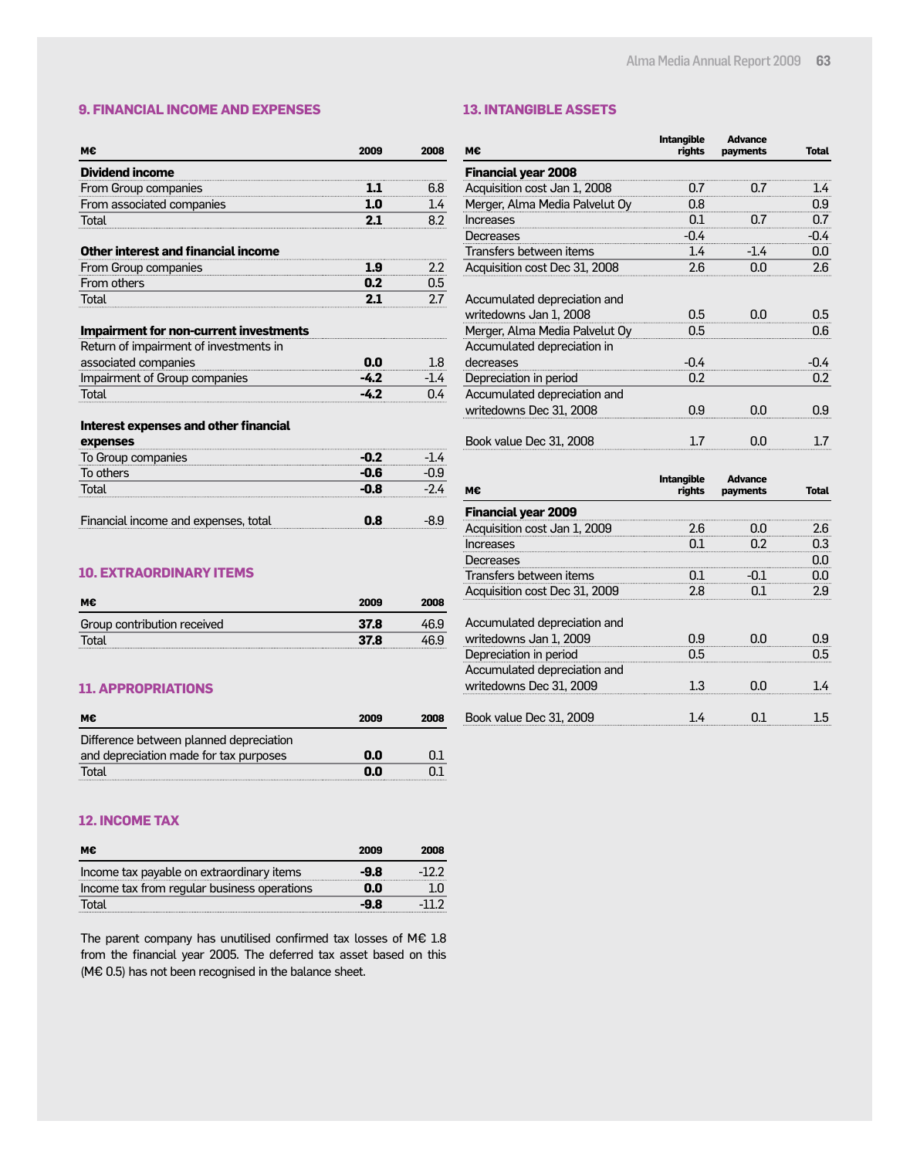**Advance**

**Intangible**

#### **9. FINANCIAL INCOME AND EXPENSES**

#### **13. INTANGIBLE ASSETS**

| мє                                            | 2009   | 2008   |
|-----------------------------------------------|--------|--------|
| <b>Dividend income</b>                        |        |        |
| From Group companies                          | 1.1    | 6.8    |
| From associated companies                     | 1.0    | 1.4    |
| Total                                         | 2.1    | 8.2    |
| Other interest and financial income           |        |        |
| From Group companies                          | 1.9    | 2.2    |
| From others                                   | 0.2    | 0.5    |
| Total                                         | 2.1    | 2.7    |
| <b>Impairment for non-current investments</b> |        |        |
| Return of impairment of investments in        |        |        |
| associated companies                          | 0.0    | 1.8    |
| Impairment of Group companies                 | $-4.2$ | $-1.4$ |
| Total                                         | $-4.2$ | በ 4    |
| <b>Interest expenses and other financial</b>  |        |        |
| expenses                                      |        |        |
| To Group companies                            | -0.2   | -14    |
| To others                                     | -0.6   | -0.9   |
| Total                                         | -0.8   | -24    |

| м€                                                                                       | rights     | payments | <b>Total</b> |
|------------------------------------------------------------------------------------------|------------|----------|--------------|
| <b>Financial year 2008</b>                                                               |            |          |              |
| Acquisition cost Jan 1, 2008                                                             | 0.7        | 0.7      | 1.4          |
| Merger, Alma Media Palvelut Oy                                                           | 0.8        |          | 0.9          |
| Increases                                                                                | 0.1        | 0.7      | 0.7          |
| Decreases                                                                                | $-0.4$     |          | $-0.4$       |
| Transfers between items                                                                  | 1.4        | -14      | 0.0          |
| Acquisition cost Dec 31, 2008                                                            | 2.6        | 0.0      | 2.6          |
| Accumulated depreciation and<br>writedowns Jan 1, 2008<br>Merger, Alma Media Palvelut Oy | 0.5<br>0.5 | 0.N      | 0.5<br>0.6   |
| Accumulated depreciation in                                                              |            |          |              |
| decreases                                                                                | $-0.4$     |          | -0.4         |
| Depreciation in period                                                                   | 0.2        |          | $0.2\,$      |
| Accumulated depreciation and                                                             |            |          |              |
| writedowns Dec 31, 2008                                                                  | 0.9        | 0.0      | 0.9          |
| Book value Dec 31, 2008                                                                  | 17         | 0.N      | 1.7          |

| м€                                                     | <b>Intangible</b><br>rights | Advance<br>payments | Total |
|--------------------------------------------------------|-----------------------------|---------------------|-------|
| <b>Financial year 2009</b>                             |                             |                     |       |
| Acquisition cost Jan 1, 2009                           | 2.6                         | nn                  | 2.6   |
| Increases                                              | 0 I                         |                     | 0.3   |
| Decreases                                              |                             |                     | 0.0   |
| Transfers between items                                | 0.1                         | -01                 | 0.N   |
| Acquisition cost Dec 31, 2009                          | 2.8                         |                     | 2.9   |
| Accumulated depreciation and<br>writedowns Jan 1, 2009 | በ.ዓ                         |                     | 0.9   |
| Depreciation in period                                 | 0.5                         |                     | በ5    |
| Accumulated depreciation and                           |                             |                     |       |
| writedowns Dec 31, 2009                                | 1.3                         | OO                  |       |
| Book value Dec 31, 2009                                |                             |                     |       |

### **10. EXTRAORDINARY ITEMS**

| м€                          | 2009 | 2008 |
|-----------------------------|------|------|
| Group contribution received | 37.8 | 469  |
| Total                       | 37.8 | 46.9 |

Financial income and expenses, total **0.8** -8.9

#### **11. APPROPRIATIONS**

| м€                                      | 2009 | 2008 |
|-----------------------------------------|------|------|
| Difference between planned depreciation |      |      |
| and depreciation made for tax purposes  | 0.0  |      |
| Total                                   | 0.0  |      |

#### **12. INCOME TAX**

| м€                                          | 2009 | 2008  |
|---------------------------------------------|------|-------|
| Income tax payable on extraordinary items   | -9.8 | -122  |
| Income tax from regular business operations | 0.0  | 1.N   |
| Total                                       | -9.8 | -11.2 |

The parent company has unutilised confirmed tax losses of M€ 1.8 from the financial year 2005. The deferred tax asset based on this (M€ 0.5) has not been recognised in the balance sheet.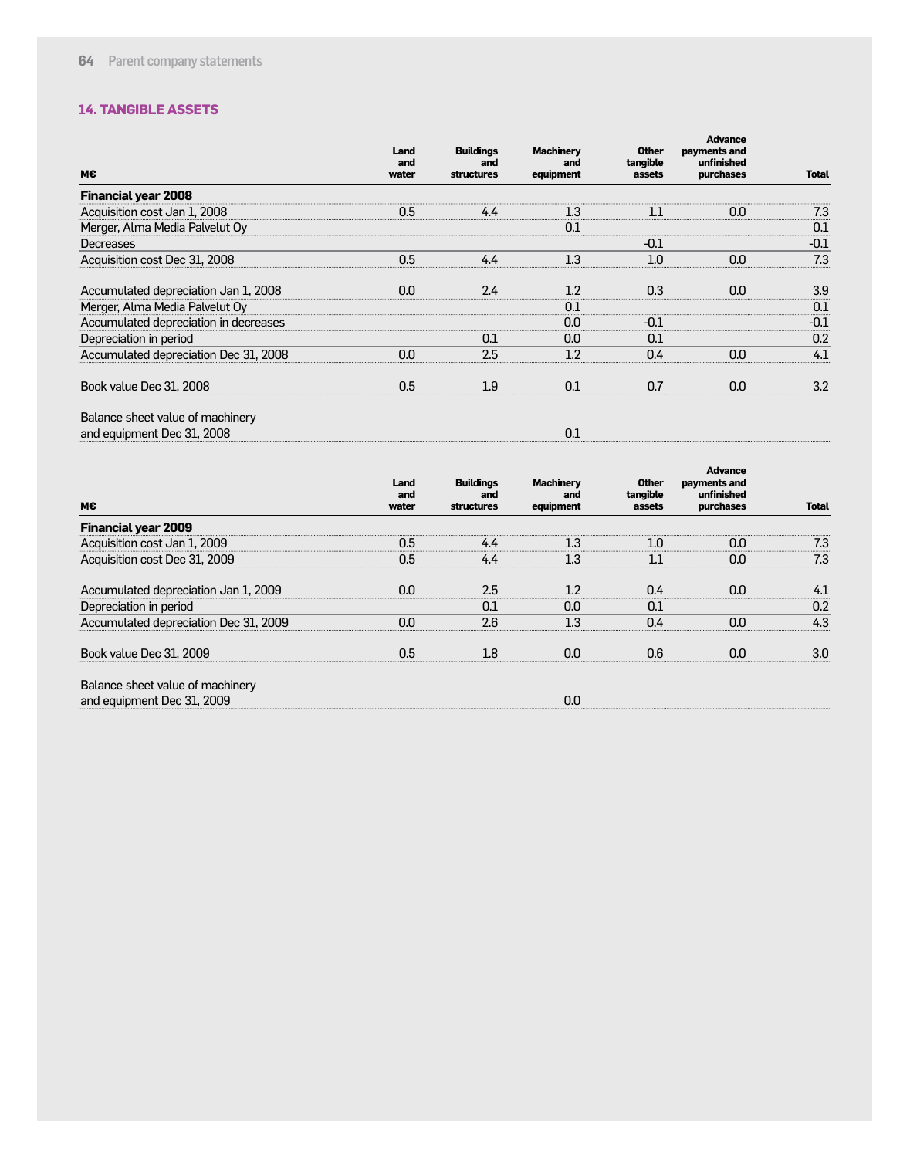#### **14. TANGIBLE ASSETS**

| M€                                    | Land<br>and<br>water | <b>Buildings</b><br>and<br>structures | <b>Machinery</b><br>and<br>equipment | <b>Other</b><br>tangible<br>assets | <b>Advance</b><br>payments and<br>unfinished<br>purchases | <b>Total</b> |
|---------------------------------------|----------------------|---------------------------------------|--------------------------------------|------------------------------------|-----------------------------------------------------------|--------------|
| <b>Financial year 2008</b>            |                      |                                       |                                      |                                    |                                                           |              |
| Acquisition cost Jan 1, 2008          | 0.5                  | 4.4                                   | 1.3                                  | 11                                 | 0.0                                                       | 7.3          |
| Merger, Alma Media Palvelut Oy        |                      |                                       | 0.1                                  |                                    |                                                           | 0.1          |
| Decreases                             |                      |                                       |                                      | $-0.1$                             |                                                           | $-0.1$       |
| Acquisition cost Dec 31, 2008         | 0.5                  | 4.4                                   | 1.3                                  | 1.0                                | 0.0                                                       | 7.3          |
| Accumulated depreciation Jan 1, 2008  | 0.0                  | 2.4                                   | 1.2                                  | 0.3                                | 0.0                                                       | 3.9          |
| Merger, Alma Media Palvelut Oy        |                      |                                       | 0.1                                  |                                    |                                                           | 0.1          |
| Accumulated depreciation in decreases |                      |                                       | 0.0                                  | $-0.1$                             |                                                           | $-0.1$       |
| Depreciation in period                |                      | 0.1                                   | 0.0                                  | 0.1                                |                                                           | 0.2          |
| Accumulated depreciation Dec 31, 2008 | 0.0                  | 2.5                                   | 1.2                                  | 0.4                                | 0.0                                                       | 4.1          |
| Book value Dec 31, 2008               | 0.5                  | 1.9                                   | 0.1                                  | 0.7                                | 0.0                                                       | 3.2          |
| Balance sheet value of machinery      |                      |                                       |                                      |                                    |                                                           |              |

and equipment Dec 31, 2008 0.1 0.1

| M€                                    | Land<br>and<br>water | <b>Buildings</b><br>and<br><b>structures</b> | <b>Machinery</b><br>and<br>equipment | <b>Other</b><br>tangible<br>assets | <b>Advance</b><br>payments and<br>unfinished<br>purchases | <b>Total</b> |
|---------------------------------------|----------------------|----------------------------------------------|--------------------------------------|------------------------------------|-----------------------------------------------------------|--------------|
| <b>Financial year 2009</b>            |                      |                                              |                                      |                                    |                                                           |              |
| Acquisition cost Jan 1, 2009          | 0.5                  | 4.4                                          | 1.3                                  | 1.0                                | 0.0                                                       | 7.3          |
| Acquisition cost Dec 31, 2009         | 0.5                  | 4.4                                          | 1.3                                  | 1.1                                | 0.0                                                       | 7.3          |
| Accumulated depreciation Jan 1, 2009  | 0.0                  | 2.5                                          | 1.2                                  | 0.4                                | 0.0                                                       | 4.1          |
| Depreciation in period                |                      | 0.1                                          | 0.0                                  | 0.1                                |                                                           | 0.2          |
| Accumulated depreciation Dec 31, 2009 | 0.0                  | 2.6                                          | 1.3                                  | 0.4                                | 0.0                                                       | 4.3          |
| Book value Dec 31, 2009               | 0.5                  | 1.8                                          | 0.0                                  | 0.6                                | 0.0                                                       | 3.0          |
| Balance sheet value of machinery      |                      |                                              |                                      |                                    |                                                           |              |
| and equipment Dec 31, 2009            |                      |                                              | 0.0                                  |                                    |                                                           |              |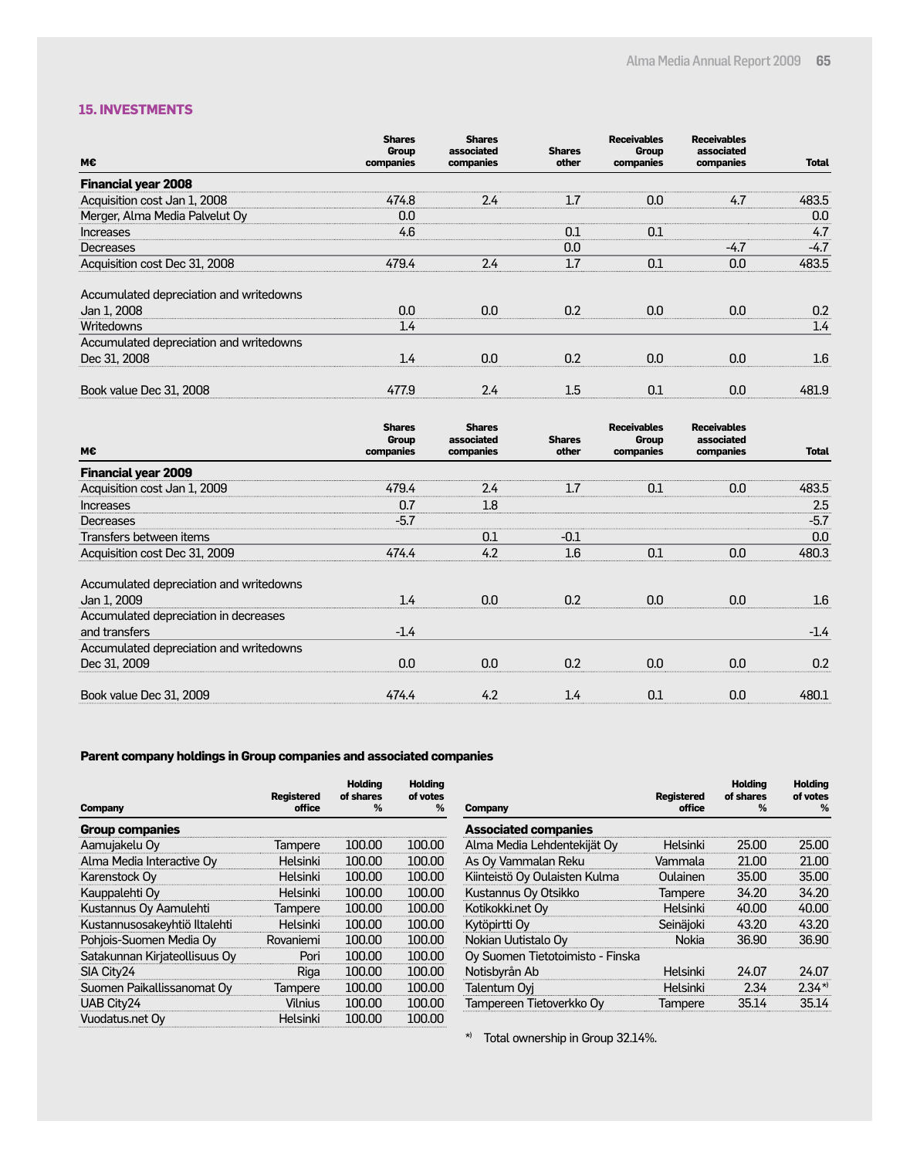#### **15. INVESTMENTS**

| M€                                      | <b>Shares</b><br>Group | <b>Shares</b><br>associated | <b>Shares</b> | <b>Receivables</b><br><b>Group</b> | <b>Receivables</b><br>associated |              |
|-----------------------------------------|------------------------|-----------------------------|---------------|------------------------------------|----------------------------------|--------------|
|                                         | companies              | companies                   | other         | companies                          | companies                        | <b>Total</b> |
| <b>Financial year 2008</b>              |                        |                             |               |                                    |                                  |              |
| Acquisition cost Jan 1, 2008            | 474.8                  | 2.4                         | 1.7           | 0.0                                | 4.7                              | 483.5        |
| Merger, Alma Media Palvelut Oy          | 0.0                    |                             |               |                                    |                                  | 0.0          |
| <b>Increases</b>                        | 4.6                    |                             | 0.1           | 0.1                                |                                  | 4.7          |
| Decreases                               |                        |                             | 0.0           |                                    | $-4.7$                           | $-4.7$       |
| Acquisition cost Dec 31, 2008           | 479.4                  | 2.4                         | 1.7           | 0.1                                | 0.0                              | 483.5        |
| Accumulated depreciation and writedowns |                        |                             |               |                                    |                                  |              |
| Jan 1, 2008                             | 0.0                    | 0.0                         | 0.2           | 0.0                                | 0.0                              | 0.2          |
| Writedowns                              | 1.4                    |                             |               |                                    |                                  | 1.4          |
| Accumulated depreciation and writedowns |                        |                             |               |                                    |                                  |              |
| Dec 31, 2008                            | 1.4                    | 0.0                         | 0.2           | 0.0                                | 0.0                              | $1.6\,$      |
| Book value Dec 31, 2008                 | 477.9                  | 2.4                         | $1.5\,$       | 0.1                                | 0.0                              | 481.9        |

|                                         | <b>Shares</b><br>Group | <b>Shares</b><br>associated | <b>Shares</b> | <b>Receivables</b><br>Group | <b>Receivables</b><br>associated |                  |
|-----------------------------------------|------------------------|-----------------------------|---------------|-----------------------------|----------------------------------|------------------|
| м€                                      | companies              | companies                   | other         | companies                   | companies                        | <b>Total</b>     |
| <b>Financial year 2009</b>              |                        |                             |               |                             |                                  |                  |
| Acquisition cost Jan 1, 2009            | 479.4                  | 2.4                         | 1.7           | 0.1                         | 0.0                              | 483.5            |
| <b>Increases</b>                        | 0.7                    | 1.8                         |               |                             |                                  | 2.5              |
| Decreases                               | $-5.7$                 |                             |               |                             |                                  | $-5.7$           |
| Transfers between items                 |                        | 0.1                         | $-0.1$        |                             |                                  | 0.0              |
| Acquisition cost Dec 31, 2009           | 474.4                  | 4.2                         | 1.6           | 0.1                         | 0.0                              | 480.3            |
| Accumulated depreciation and writedowns |                        |                             |               |                             |                                  |                  |
| Jan 1, 2009                             | 1.4                    | 0.0                         | 0.2           | 0.0                         | 0.0 <sub>1</sub>                 | $1.6\phantom{0}$ |
| Accumulated depreciation in decreases   |                        |                             |               |                             |                                  |                  |
| and transfers                           | $-1.4$                 |                             |               |                             |                                  | $-1.4$           |
| Accumulated depreciation and writedowns |                        |                             |               |                             |                                  |                  |
| Dec 31, 2009                            | 0.0                    | 0.0                         | 0.2           | 0.0                         | 0.0                              | 0.2              |
| Book value Dec 31, 2009                 | 474.4                  | 4.2                         | 1.4           | 0.1                         | 0.0                              | 480.1            |

### **Parent company holdings in Group companies and associated companies**

| <b>Company</b>                | <b>Registered</b><br>office | <b>Holding</b><br>of shares<br>% | <b>Holding</b><br>of votes<br>% |
|-------------------------------|-----------------------------|----------------------------------|---------------------------------|
| <b>Group companies</b>        |                             |                                  |                                 |
| Aamujakelu Oy                 | Tampere                     | 100.00                           | 100.00                          |
| Alma Media Interactive Oy     | Helsinki                    | 100.00                           | 100.00                          |
| Karenstock Oy                 | Helsinki                    | 100.00                           | 100.00                          |
| Kauppalehti Oy                | Helsinki                    | 100.00                           | 100.00                          |
| Kustannus Oy Aamulehti        | Tampere                     | 100.00                           | 100.00                          |
| Kustannusosakeyhtiö Iltalehti | Helsinki                    | 100.00                           | 100.00                          |
| Pohjois-Suomen Media Oy       | Rovaniemi                   | 100.00                           | 100.00                          |
| Satakunnan Kirjateollisuus Oy | Pori                        | 100.00                           | 100.00                          |
| SIA City24                    | Riga                        | 100.00                           | 100.00                          |
| Suomen Paikallissanomat Oy    | <b>Tampere</b>              | 100.00                           | 100.00                          |
| UAB City24                    | Vilnius                     | 100.00                           | 100.00                          |
| Vuodatus.net Oy               | Helsinki                    | 100.00                           | 100.00                          |

| <b>Registered</b> | <b>Holding</b><br>of shares | <b>Holding</b><br>of votes<br>% |
|-------------------|-----------------------------|---------------------------------|
|                   |                             |                                 |
|                   |                             |                                 |
|                   |                             | 25.00                           |
| Vammala           | 21.00                       | 21.00                           |
| Oulainen          | 35.00                       | 35,00                           |
| Tampere           | 34.20                       | 34.20                           |
| Helsinki          | 40.00                       | 40.00                           |
| Seinäjoki         | 43.20                       | 43.20                           |
| Nokia             | 36.90                       | 36.90                           |
|                   |                             |                                 |
| Helsinki          | 24.07                       | 24.07                           |
| Helsinki          | 2.34                        | $2.34*$                         |
| Tampere           | 35.14                       | 35.14                           |
|                   | office<br>Helsinki          | %<br>25.00                      |

\*) Total ownership in Group 32.14%.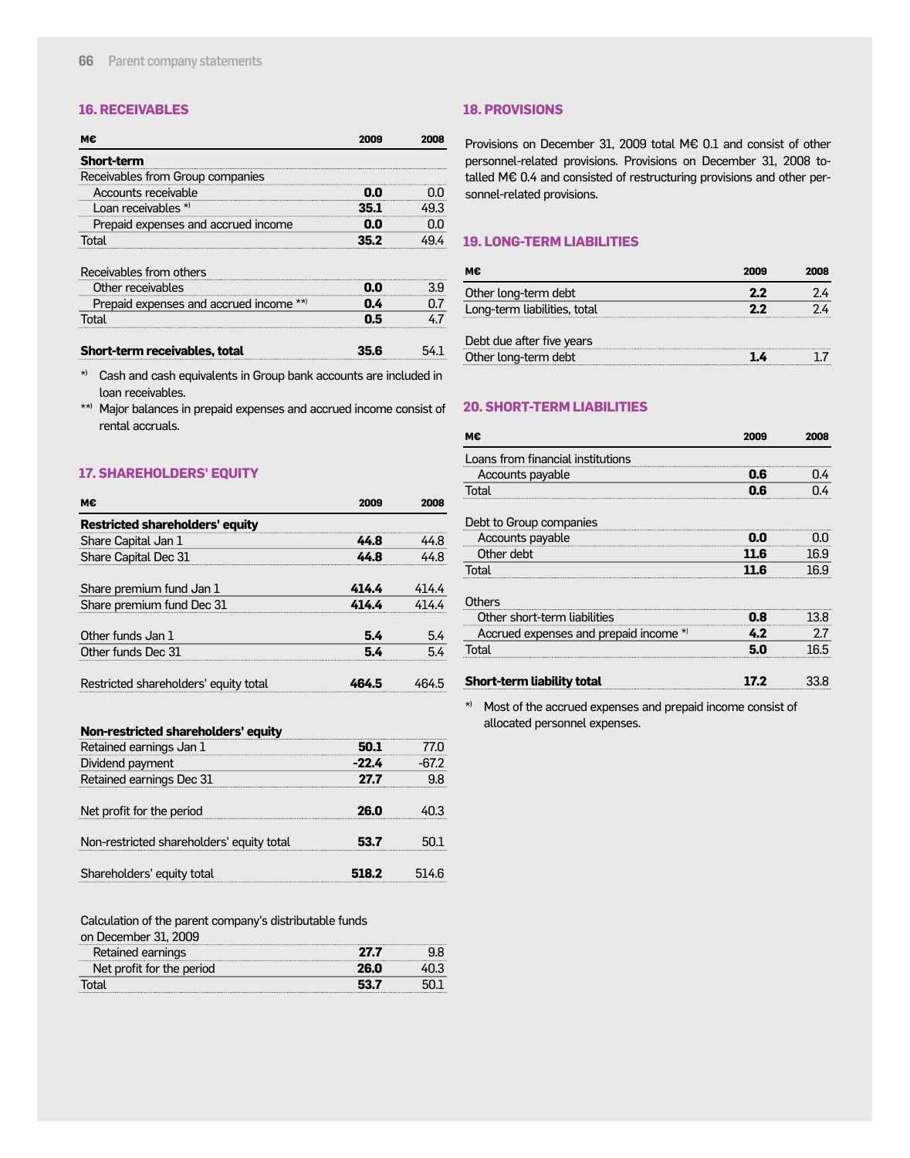#### **16. RECEIVABLES**

| <b>Short-term</b>                   |  |
|-------------------------------------|--|
| Receivables from Group companies    |  |
| Accounts receivable                 |  |
| Loan receivables $*$                |  |
| Prepaid expenses and accrued income |  |
|                                     |  |
| Receivables from others             |  |

| RECEIVADLES II UITTUUTEI 3             |  |
|----------------------------------------|--|
| Other receivables                      |  |
| Prepaid expenses and accrued income ** |  |
| ור                                     |  |
|                                        |  |

| Short-term receivables, total | 54 <sub>1</sub><br>35.6 |
|-------------------------------|-------------------------|
|                               |                         |

\*) Cash and cash equivalents in Group bank accounts are included in loan receivables.

\*\*) Major balances in prepaid expenses and accrued income consist of rental accruals.

#### **17. SHAREHOLDERS' EQUITY**

| м€                                     |       | 2008  |
|----------------------------------------|-------|-------|
| <b>Restricted shareholders' equity</b> |       |       |
| Share Capital Jan 1                    | 44 R  | 44.8  |
| Share Capital Dec 31                   | 44 R  | 44 X  |
| Share premium fund Jan 1               | 4144  | 414.4 |
| Share premium fund Dec 31              | 414 L |       |
| Other funds Jan 1                      | 5.4   | 5.4   |
| Other funds Dec 31                     | 54    | 54    |
| Restricted shareholders' equity total  |       |       |

#### **18. PROVISIONS**

Provisions on December 31, 2009 total M€ 0.1 and consist of other personnel-related provisions. Provisions on December 31, 2008 totalled M€ 0.4 and consisted of restructuring provisions and other personnel-related provisions.

#### **19. LONG-TERM LIABILITIES**

| м€                           | 2009 | 2008 |
|------------------------------|------|------|
| Other long-term debt         | 22   |      |
| Long-term liabilities, total | 22   |      |
| Debt due after five years    |      |      |
| Other long-term debt         |      |      |

#### **20. SHORT-TERM LIABILITIES**

| М€                                     | 2009 | 2008 |
|----------------------------------------|------|------|
| Loans from financial institutions      |      |      |
| Accounts payable                       | 0.6  | [] 4 |
| Total                                  | 0.6  |      |
| Debt to Group companies                |      |      |
| Accounts payable                       | 0.0  |      |
| Other debt                             | 11.6 | 16.9 |
| Total                                  | 11.6 | 16.9 |
| Others                                 |      |      |
| Other short-term liabilities           | 0.8  | 13.8 |
| Accrued expenses and prepaid income *) | 4.2  | 2.7  |
| Total                                  | 5.0  | 16.5 |
| <b>Short-term liability total</b>      |      |      |

\*) Most of the accrued expenses and prepaid income consist of allocated personnel expenses.

#### **Non-restricted shareholders' equity**

| Retained earnings Jan 1                   |       |  |
|-------------------------------------------|-------|--|
| Dividend payment                          | -77 L |  |
| Retained earnings Dec 31                  | 27 7  |  |
| Net profit for the period                 | 26.N  |  |
| Non-restricted shareholders' equity total | 27    |  |
| Shareholders' equity total                |       |  |

Calculation of the parent company's distributable funds

| on December 31, 2009      |  |
|---------------------------|--|
| Retained earnings         |  |
| Net profit for the period |  |
|                           |  |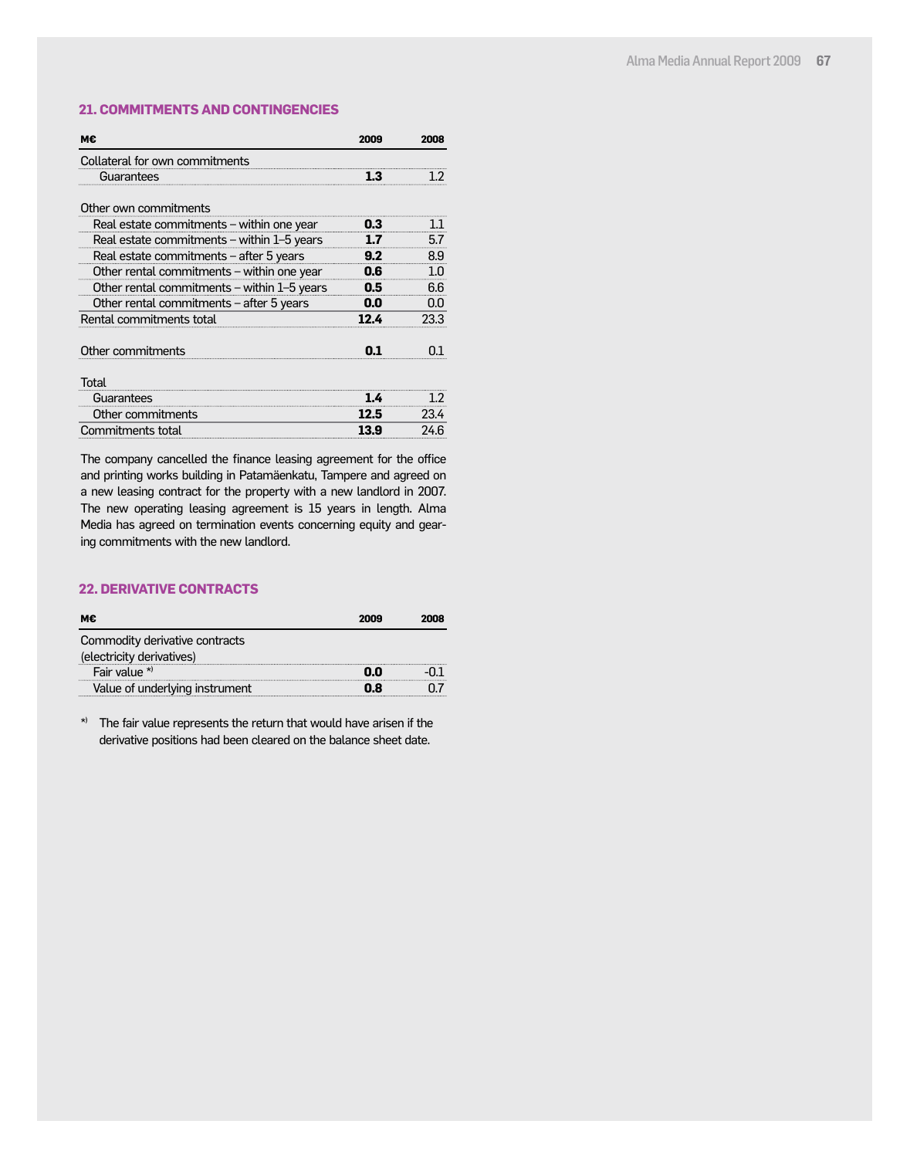#### **21. COMMITMENTS AND CONTINGENCIES**

| мє                                          | 2009 | 2008 |
|---------------------------------------------|------|------|
| Collateral for own commitments              |      |      |
| Guarantees                                  | 1.3  | 12   |
| Other own commitments                       |      |      |
| Real estate commitments - within one year   | 0.3  | 11   |
| Real estate commitments - within 1-5 years  | 17   | 5.7  |
| Real estate commitments - after 5 years     | 9.2  | 8.9  |
| Other rental commitments - within one year  | 0.6  | 1.0  |
| Other rental commitments - within 1-5 years | 0.5  | 6.6  |
| Other rental commitments - after 5 years    | 0.0  | 0.0  |
| Rental commitments total                    | 12.4 | 23.3 |
| Other commitments                           | 01   | n٦   |
| Total                                       |      |      |
| Guarantees                                  | 1.4  | 1.2  |
| Other commitments                           | 12.5 | 23.4 |
| Commitments total                           | 13.9 | 24.6 |

The company cancelled the finance leasing agreement for the office and printing works building in Patamäenkatu, Tampere and agreed on a new leasing contract for the property with a new landlord in 2007. The new operating leasing agreement is 15 years in length. Alma Media has agreed on termination events concerning equity and gearing commitments with the new landlord.

#### **22. DERIVATIVE CONTRACTS**

| onna | אווחל |
|------|-------|
|      |       |
|      |       |
|      |       |
|      |       |
|      |       |

\*) The fair value represents the return that would have arisen if the derivative positions had been cleared on the balance sheet date.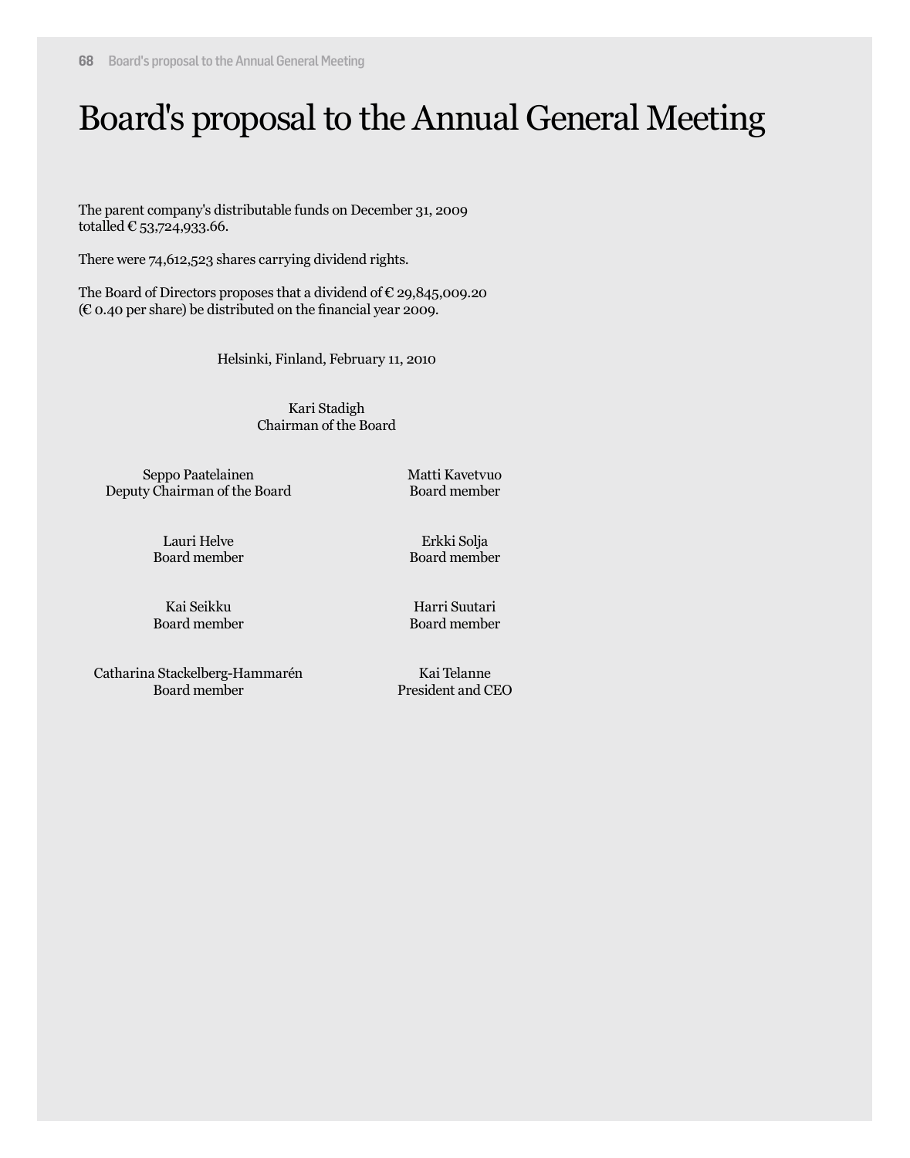### Board's proposal to the Annual General Meeting

The parent company's distributable funds on December 31, 2009 totalled  $\text{\large\ensuremath{\mathbb{C}}}$  53,724,933.66.

There were 74,612,523 shares carrying dividend rights.

The Board of Directors proposes that a dividend of  $\epsilon$  29,845,009.20 (€ 0.40 per share) be distributed on the financial year 2009.

Helsinki, Finland, February 11, 2010

Kari Stadigh Chairman of the Board

Seppo Paatelainen Deputy Chairman of the Board Matti Kavetvuo Board member

Lauri Helve Board member

Erkki Solja Board member

Kai Seikku Board member

Harri Suutari Board member

Catharina Stackelberg-Hammarén Board member

Kai Telanne President and CEO